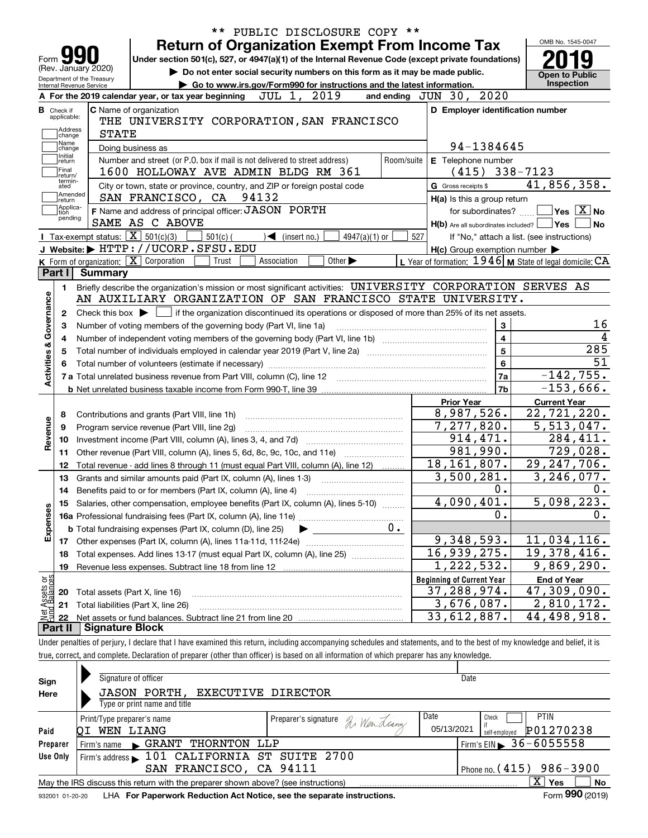| Form $\mathbb Z$                                                      | <b>Return of Organization Exempt From Income Tax</b>                                                                                                                       |                                                           | OMB No. 1545-0047                                                                                                                                                                                                                          |
|-----------------------------------------------------------------------|----------------------------------------------------------------------------------------------------------------------------------------------------------------------------|-----------------------------------------------------------|--------------------------------------------------------------------------------------------------------------------------------------------------------------------------------------------------------------------------------------------|
|                                                                       | Under section 501(c), 527, or 4947(a)(1) of the Internal Revenue Code (except private foundations)                                                                         |                                                           |                                                                                                                                                                                                                                            |
| (Rev. January 2020)<br>Department of the Treasury                     | Do not enter social security numbers on this form as it may be made public.                                                                                                |                                                           | <b>Open to Public</b>                                                                                                                                                                                                                      |
| Internal Revenue Service                                              | Go to www.irs.gov/Form990 for instructions and the latest information.                                                                                                     |                                                           | Inspection                                                                                                                                                                                                                                 |
|                                                                       | 2019<br>JUL 1,<br>A For the 2019 calendar year, or tax year beginning                                                                                                      | 2020<br>and ending $JUN$ 30,                              |                                                                                                                                                                                                                                            |
| <b>B</b> Check if<br>applicable:<br>Address<br><b>STATE</b><br>change | <b>C</b> Name of organization<br>THE UNIVERSITY CORPORATION, SAN FRANCISCO                                                                                                 | D Employer identification number                          |                                                                                                                                                                                                                                            |
| Name<br>change                                                        | Doing business as                                                                                                                                                          | 94-1384645                                                |                                                                                                                                                                                                                                            |
| Initial<br>return<br>Final<br>return/                                 | Number and street (or P.O. box if mail is not delivered to street address)<br>Room/suite<br>1600 HOLLOWAY AVE ADMIN BLDG RM 361                                            | E Telephone number<br>$(415)$ 338-7123                    |                                                                                                                                                                                                                                            |
| termin-<br>ated                                                       | City or town, state or province, country, and ZIP or foreign postal code                                                                                                   | G Gross receipts \$                                       | 41,856,358.                                                                                                                                                                                                                                |
| Amended<br>return                                                     | SAN FRANCISCO, CA 94132                                                                                                                                                    | H(a) Is this a group return                               |                                                                                                                                                                                                                                            |
| Applica-<br>tion<br>pending                                           | F Name and address of principal officer: JASON PORTH                                                                                                                       | for subordinates?                                         | $\sqrt{}$ Yes $\sqrt{ \ \overline{\mathrm{X}}}$ No                                                                                                                                                                                         |
|                                                                       | SAME AS C ABOVE                                                                                                                                                            | $H(b)$ Are all subordinates included?                     | Yes<br>No                                                                                                                                                                                                                                  |
| Tax-exempt status: $\boxed{\mathbf{X}}$ 501(c)(3)                     | $501(c)$ (<br>$\sqrt{\frac{2}{1}}$ (insert no.)<br>$4947(a)(1)$ or                                                                                                         | 527                                                       | If "No," attach a list. (see instructions)                                                                                                                                                                                                 |
|                                                                       | J Website: FHTTP: //UCORP.SFSU.EDU                                                                                                                                         | $H(c)$ Group exemption number $\blacktriangleright$       |                                                                                                                                                                                                                                            |
| K Form of organization: X Corporation                                 | Other $\blacktriangleright$<br>Trust<br>Association                                                                                                                        | L Year of formation: $1946$ M State of legal domicile: CA |                                                                                                                                                                                                                                            |
| Part I<br><b>Summary</b>                                              |                                                                                                                                                                            |                                                           |                                                                                                                                                                                                                                            |
| 1.                                                                    | Briefly describe the organization's mission or most significant activities: UNIVERSITY CORPORATION SERVES AS                                                               |                                                           |                                                                                                                                                                                                                                            |
|                                                                       | AN AUXILIARY ORGANIZATION OF SAN FRANCISCO STATE UNIVERSITY.                                                                                                               |                                                           |                                                                                                                                                                                                                                            |
| Check this box $\blacktriangleright$<br>2                             | if the organization discontinued its operations or disposed of more than 25% of its net assets.                                                                            |                                                           |                                                                                                                                                                                                                                            |
| з                                                                     | Number of voting members of the governing body (Part VI, line 1a)                                                                                                          | 3                                                         | 16                                                                                                                                                                                                                                         |
| Activities & Governance<br>4                                          |                                                                                                                                                                            | $\overline{\mathbf{4}}$                                   |                                                                                                                                                                                                                                            |
| 5                                                                     |                                                                                                                                                                            | 5                                                         | 285                                                                                                                                                                                                                                        |
|                                                                       |                                                                                                                                                                            | $6\phantom{a}$                                            | $\overline{51}$                                                                                                                                                                                                                            |
|                                                                       |                                                                                                                                                                            | 7a                                                        | $-142, 755.$                                                                                                                                                                                                                               |
|                                                                       |                                                                                                                                                                            | 7b                                                        | $-153,666.$                                                                                                                                                                                                                                |
|                                                                       |                                                                                                                                                                            | <b>Prior Year</b>                                         |                                                                                                                                                                                                                                            |
| 8                                                                     |                                                                                                                                                                            |                                                           |                                                                                                                                                                                                                                            |
| 9                                                                     |                                                                                                                                                                            |                                                           | <b>Current Year</b>                                                                                                                                                                                                                        |
|                                                                       | Contributions and grants (Part VIII, line 1h)                                                                                                                              | 8,987,526.                                                |                                                                                                                                                                                                                                            |
|                                                                       | Program service revenue (Part VIII, line 2g)                                                                                                                               | 7,277,820.                                                |                                                                                                                                                                                                                                            |
| 10                                                                    |                                                                                                                                                                            | 914,471.                                                  |                                                                                                                                                                                                                                            |
| Revenue<br>11                                                         | Other revenue (Part VIII, column (A), lines 5, 6d, 8c, 9c, 10c, and 11e)                                                                                                   | 981,990.                                                  |                                                                                                                                                                                                                                            |
| 12                                                                    | Total revenue - add lines 8 through 11 (must equal Part VIII, column (A), line 12)                                                                                         | 18, 161, 807.                                             |                                                                                                                                                                                                                                            |
| 13                                                                    | Grants and similar amounts paid (Part IX, column (A), lines 1-3)                                                                                                           | 3,500,281.                                                |                                                                                                                                                                                                                                            |
|                                                                       | 14 Benefits paid to or for members (Part IX, column (A), line 4)                                                                                                           | 0.                                                        |                                                                                                                                                                                                                                            |
| 15                                                                    | Salaries, other compensation, employee benefits (Part IX, column (A), lines 5-10)                                                                                          | 4,090,401.                                                |                                                                                                                                                                                                                                            |
|                                                                       |                                                                                                                                                                            | 0.                                                        |                                                                                                                                                                                                                                            |
|                                                                       | 0.<br><b>b</b> Total fundraising expenses (Part IX, column (D), line 25)                                                                                                   |                                                           |                                                                                                                                                                                                                                            |
| 17                                                                    |                                                                                                                                                                            | 9,348,593.                                                |                                                                                                                                                                                                                                            |
| Expenses<br>18                                                        | Total expenses. Add lines 13-17 (must equal Part IX, column (A), line 25)                                                                                                  | 16,939,275.                                               |                                                                                                                                                                                                                                            |
| 19                                                                    |                                                                                                                                                                            | 1, 222, 532.                                              |                                                                                                                                                                                                                                            |
|                                                                       |                                                                                                                                                                            | <b>Beginning of Current Year</b>                          | <b>End of Year</b>                                                                                                                                                                                                                         |
| 20                                                                    | Total assets (Part X, line 16)                                                                                                                                             | 37,288,974.                                               | $\overline{22,721,220}$ .<br>5,513,047.<br>$\overline{284,411}$ .<br>729,028.<br>29, 247, 706.<br>$\overline{3,246},077.$<br>0.<br>5,098,223.<br>0.<br>11,034,116.<br>$\overline{19,378,416}$ .<br>9,869,290.<br>$\overline{47,309,090}$ . |
| t Assets or<br>id Balances<br>21                                      | Total liabilities (Part X, line 26)                                                                                                                                        | 3,676,087.                                                | 2,810,172.                                                                                                                                                                                                                                 |
| 22                                                                    |                                                                                                                                                                            | 33,612,887.                                               | 44,498,918.                                                                                                                                                                                                                                |
| <b>Signature Block</b><br>Part II                                     | Under penalties of perjury, I declare that I have examined this return, including accompanying schedules and statements, and to the best of my knowledge and belief, it is |                                                           |                                                                                                                                                                                                                                            |

| Sign<br>Here | Signature of officer<br><b>JASON PORTH,</b><br><b>EXECUTIVE DIRECTOR</b><br>Type or print name and title     |                                   | Date                                                                     |  |  |  |  |  |  |
|--------------|--------------------------------------------------------------------------------------------------------------|-----------------------------------|--------------------------------------------------------------------------|--|--|--|--|--|--|
| Paid         | Print/Type preparer's name<br>WEN LIANG<br>ЭT                                                                | Preparer's signature 2. Wen Liang | Date<br><b>PTIN</b><br>Check<br>05/13/2021<br>P01270238<br>self-emploved |  |  |  |  |  |  |
| Preparer     | GRANT<br>THORNTON<br>LLP<br>Firm's name $\blacktriangleright$                                                |                                   | Firm's EIN $\triangleright$ 36-6055558                                   |  |  |  |  |  |  |
| Use Only     | Firm's address 101 CALIFORNIA ST SUITE 2700                                                                  |                                   |                                                                          |  |  |  |  |  |  |
|              | SAN FRANCISCO, CA 94111<br>Phone no. $(415)$ 986-3900                                                        |                                   |                                                                          |  |  |  |  |  |  |
|              | X.<br><b>Yes</b><br>No<br>May the IRS discuss this return with the preparer shown above? (see instructions)  |                                   |                                                                          |  |  |  |  |  |  |
|              | Form 990 (2019)<br>LHA For Paperwork Reduction Act Notice, see the separate instructions.<br>932001 01-20-20 |                                   |                                                                          |  |  |  |  |  |  |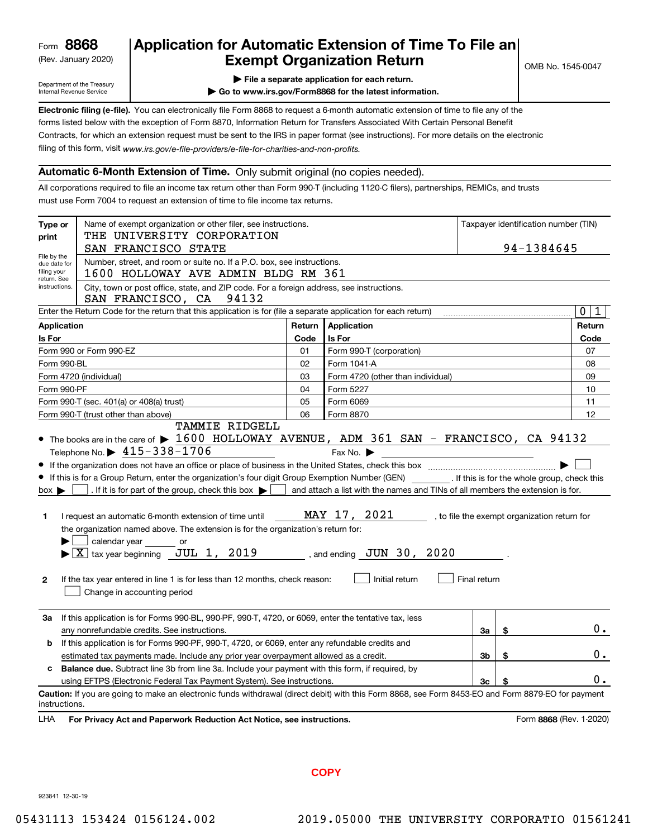(Rev. January 2020)

# **Application for Automatic Extension of Time To File an Exempt Organization Return**

Department of the Treasury Internal Revenue Service

**| File a separate application for each return.**

**| Go to www.irs.gov/Form8868 for the latest information.**

**Electronic filing (e-file).**  You can electronically file Form 8868 to request a 6-month automatic extension of time to file any of the filing of this form, visit www.irs.gov/e-file-providers/e-file-for-charities-and-non-profits. forms listed below with the exception of Form 8870, Information Return for Transfers Associated With Certain Personal Benefit Contracts, for which an extension request must be sent to the IRS in paper format (see instructions). For more details on the electronic

#### **Automatic 6-Month Extension of Time.** Only submit original (no copies needed).

All corporations required to file an income tax return other than Form 990-T (including 1120-C filers), partnerships, REMICs, and trusts must use Form 7004 to request an extension of time to file income tax returns.

| Type or<br>print                                          | Name of exempt organization or other filer, see instructions.<br>THE UNIVERSITY CORPORATION                                                                                                                                                                                                                                                                                                                                                                                                                                                                                                | Taxpayer identification number (TIN) |                                                                                                                                                 |              |    |                                              |  |  |  |  |
|-----------------------------------------------------------|--------------------------------------------------------------------------------------------------------------------------------------------------------------------------------------------------------------------------------------------------------------------------------------------------------------------------------------------------------------------------------------------------------------------------------------------------------------------------------------------------------------------------------------------------------------------------------------------|--------------------------------------|-------------------------------------------------------------------------------------------------------------------------------------------------|--------------|----|----------------------------------------------|--|--|--|--|
|                                                           | SAN FRANCISCO STATE                                                                                                                                                                                                                                                                                                                                                                                                                                                                                                                                                                        |                                      | 94-1384645                                                                                                                                      |              |    |                                              |  |  |  |  |
| File by the<br>due date for<br>filing your<br>return. See | Number, street, and room or suite no. If a P.O. box, see instructions.<br>1600 HOLLOWAY AVE ADMIN BLDG RM 361                                                                                                                                                                                                                                                                                                                                                                                                                                                                              |                                      |                                                                                                                                                 |              |    |                                              |  |  |  |  |
| instructions.                                             | City, town or post office, state, and ZIP code. For a foreign address, see instructions.<br>SAN FRANCISCO, CA 94132<br>Enter the Return Code for the return that this application is for (file a separate application for each return)                                                                                                                                                                                                                                                                                                                                                     |                                      |                                                                                                                                                 |              |    |                                              |  |  |  |  |
|                                                           |                                                                                                                                                                                                                                                                                                                                                                                                                                                                                                                                                                                            |                                      |                                                                                                                                                 |              |    | 0 1                                          |  |  |  |  |
| Application                                               |                                                                                                                                                                                                                                                                                                                                                                                                                                                                                                                                                                                            | Return                               | Application                                                                                                                                     |              |    | Return                                       |  |  |  |  |
| Is For                                                    |                                                                                                                                                                                                                                                                                                                                                                                                                                                                                                                                                                                            | Code                                 | Is For                                                                                                                                          |              |    | Code                                         |  |  |  |  |
|                                                           | Form 990 or Form 990-EZ                                                                                                                                                                                                                                                                                                                                                                                                                                                                                                                                                                    | 01                                   | Form 990-T (corporation)                                                                                                                        |              |    | 07                                           |  |  |  |  |
| Form 990-BL                                               |                                                                                                                                                                                                                                                                                                                                                                                                                                                                                                                                                                                            | 02                                   | Form 1041-A                                                                                                                                     |              |    | 08                                           |  |  |  |  |
|                                                           | Form 4720 (individual)                                                                                                                                                                                                                                                                                                                                                                                                                                                                                                                                                                     | 03                                   | Form 4720 (other than individual)                                                                                                               |              |    | 09                                           |  |  |  |  |
| Form 990-PF                                               |                                                                                                                                                                                                                                                                                                                                                                                                                                                                                                                                                                                            | 04                                   | Form 5227                                                                                                                                       |              |    | 10                                           |  |  |  |  |
|                                                           | Form 990-T (sec. 401(a) or 408(a) trust)                                                                                                                                                                                                                                                                                                                                                                                                                                                                                                                                                   | 05                                   | Form 6069                                                                                                                                       |              |    | 11                                           |  |  |  |  |
|                                                           | Form 990-T (trust other than above)<br>TAMMIE RIDGELL                                                                                                                                                                                                                                                                                                                                                                                                                                                                                                                                      | 06                                   | Form 8870                                                                                                                                       |              |    | 12                                           |  |  |  |  |
| $box \blacktriangleright$<br>1.<br>$\mathbf{2}$           | If this is for a Group Return, enter the organization's four digit Group Exemption Number (GEN) [16] This is for the whole group, check this<br>. If it is for part of the group, check this box $\blacktriangleright$<br>I request an automatic 6-month extension of time until<br>the organization named above. The extension is for the organization's return for:<br>calendar year _______ or<br>$\blacktriangleright$ $\boxed{\text{X}}$ tax year beginning JUL 1, 2019<br>If the tax year entered in line 1 is for less than 12 months, check reason:<br>Change in accounting period |                                      | and attach a list with the names and TINs of all members the extension is for.<br>MAY 17, 2021<br>, and ending $JUN$ 30, 2020<br>Initial return | Final return |    | , to file the exempt organization return for |  |  |  |  |
| За                                                        | If this application is for Forms 990-BL, 990-PF, 990-T, 4720, or 6069, enter the tentative tax, less<br>any nonrefundable credits. See instructions.                                                                                                                                                                                                                                                                                                                                                                                                                                       |                                      |                                                                                                                                                 | За           | \$ | $0$ .                                        |  |  |  |  |
| b                                                         | If this application is for Forms 990-PF, 990-T, 4720, or 6069, enter any refundable credits and                                                                                                                                                                                                                                                                                                                                                                                                                                                                                            |                                      |                                                                                                                                                 |              |    |                                              |  |  |  |  |
|                                                           | estimated tax payments made. Include any prior year overpayment allowed as a credit.                                                                                                                                                                                                                                                                                                                                                                                                                                                                                                       |                                      |                                                                                                                                                 | 3b           | \$ | $0$ .                                        |  |  |  |  |
| c.                                                        | <b>Balance due.</b> Subtract line 3b from line 3a. Include your payment with this form, if required, by                                                                                                                                                                                                                                                                                                                                                                                                                                                                                    |                                      |                                                                                                                                                 |              |    |                                              |  |  |  |  |
|                                                           | using EFTPS (Electronic Federal Tax Payment System). See instructions.                                                                                                                                                                                                                                                                                                                                                                                                                                                                                                                     |                                      |                                                                                                                                                 | Зc           | \$ | 0.                                           |  |  |  |  |
| instructions.<br>LHA                                      | Caution: If you are going to make an electronic funds withdrawal (direct debit) with this Form 8868, see Form 8453-EO and Form 8879-EO for payment<br>For Privacy Act and Paperwork Reduction Act Notice, see instructions.                                                                                                                                                                                                                                                                                                                                                                |                                      |                                                                                                                                                 |              |    | Form 8868 (Rev. 1-2020)                      |  |  |  |  |

**COPY**

923841 12-30-19

## 05431113 153424 0156124.002 2019.05000 THE UNIVERSITY CORPORATIO 01561241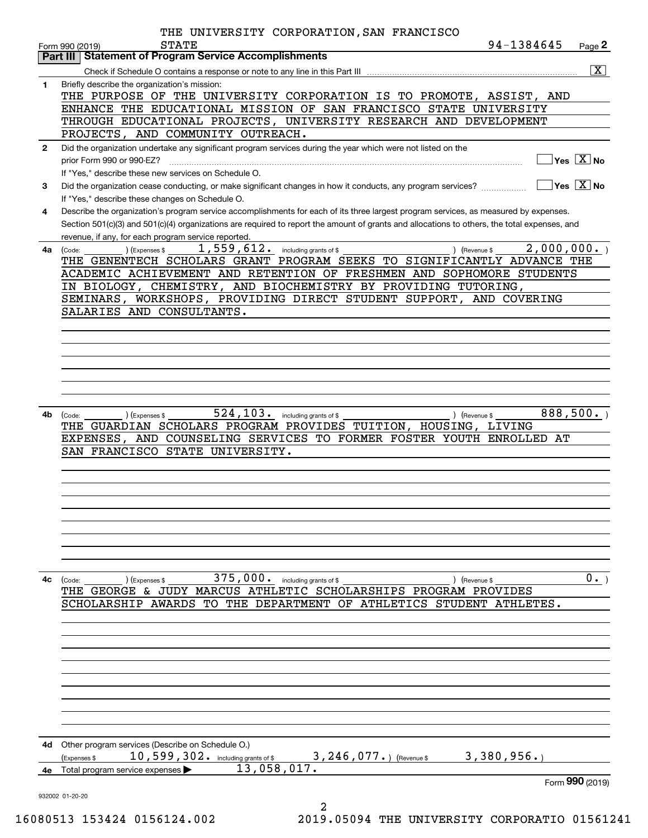|    | THE UNIVERSITY CORPORATION, SAN FRANCISCO                                                                                                     |                             |                                         |
|----|-----------------------------------------------------------------------------------------------------------------------------------------------|-----------------------------|-----------------------------------------|
|    | <b>STATE</b><br>Form 990 (2019)                                                                                                               | 94-1384645                  | Page 2                                  |
|    | Part III   Statement of Program Service Accomplishments                                                                                       |                             |                                         |
|    |                                                                                                                                               |                             | $\boxed{\text{X}}$                      |
| 1  | Briefly describe the organization's mission:                                                                                                  |                             |                                         |
|    | THE PURPOSE OF THE UNIVERSITY CORPORATION IS TO PROMOTE, ASSIST, AND                                                                          |                             |                                         |
|    | ENHANCE THE EDUCATIONAL MISSION OF SAN FRANCISCO STATE UNIVERSITY                                                                             |                             |                                         |
|    | THROUGH EDUCATIONAL PROJECTS, UNIVERSITY RESEARCH AND DEVELOPMENT                                                                             |                             |                                         |
|    | PROJECTS, AND COMMUNITY OUTREACH.                                                                                                             |                             |                                         |
| 2  | Did the organization undertake any significant program services during the year which were not listed on the                                  |                             |                                         |
|    | prior Form 990 or 990-EZ?                                                                                                                     |                             | $\Box$ Yes $[\overline{\mathrm{X}}]$ No |
|    | If "Yes," describe these new services on Schedule O.                                                                                          |                             |                                         |
| 3  | Did the organization cease conducting, or make significant changes in how it conducts, any program services?                                  | $\sqrt{}$ Yes $\sqrt{X}$ No |                                         |
|    | If "Yes," describe these changes on Schedule O.                                                                                               |                             |                                         |
| 4  | Describe the organization's program service accomplishments for each of its three largest program services, as measured by expenses.          |                             |                                         |
|    | Section 501(c)(3) and 501(c)(4) organizations are required to report the amount of grants and allocations to others, the total expenses, and  |                             |                                         |
|    | revenue, if any, for each program service reported.<br>$1$ , 559, 612. including grants of \$                                                 | 2,000,000.                  |                                         |
| 4a | ) (Expenses \$<br>) (Revenue \$<br>(Code:<br>THE GENENTECH SCHOLARS GRANT PROGRAM SEEKS TO SIGNIFICANTLY ADVANCE THE                          |                             |                                         |
|    | ACADEMIC ACHIEVEMENT AND RETENTION OF FRESHMEN AND SOPHOMORE STUDENTS                                                                         |                             |                                         |
|    | IN BIOLOGY, CHEMISTRY, AND BIOCHEMISTRY BY PROVIDING TUTORING,                                                                                |                             |                                         |
|    | SEMINARS, WORKSHOPS, PROVIDING DIRECT STUDENT SUPPORT, AND COVERING                                                                           |                             |                                         |
|    | SALARIES AND CONSULTANTS.                                                                                                                     |                             |                                         |
|    |                                                                                                                                               |                             |                                         |
|    |                                                                                                                                               |                             |                                         |
|    |                                                                                                                                               |                             |                                         |
|    |                                                                                                                                               |                             |                                         |
|    |                                                                                                                                               |                             |                                         |
|    |                                                                                                                                               |                             |                                         |
|    |                                                                                                                                               |                             |                                         |
| 4b | 524, 103. including grants of \$<br>) (Expenses \$<br>) (Revenue \$<br>(Code:                                                                 |                             | 888,500.                                |
|    | THE GUARDIAN SCHOLARS PROGRAM PROVIDES TUITION, HOUSING, LIVING                                                                               |                             |                                         |
|    | EXPENSES, AND COUNSELING SERVICES TO FORMER FOSTER YOUTH ENROLLED AT                                                                          |                             |                                         |
|    | SAN FRANCISCO STATE UNIVERSITY.                                                                                                               |                             |                                         |
|    |                                                                                                                                               |                             |                                         |
|    |                                                                                                                                               |                             |                                         |
|    |                                                                                                                                               |                             |                                         |
|    |                                                                                                                                               |                             |                                         |
|    |                                                                                                                                               |                             |                                         |
|    |                                                                                                                                               |                             |                                         |
|    |                                                                                                                                               |                             |                                         |
|    |                                                                                                                                               |                             |                                         |
|    |                                                                                                                                               |                             |                                         |
| 4с | 375,000. including grants of \$<br>(Expenses \$<br>) (Revenue \$<br>(Code:<br>THE GEORGE & JUDY MARCUS ATHLETIC SCHOLARSHIPS PROGRAM PROVIDES |                             | $0 \cdot$ )                             |
|    | SCHOLARSHIP AWARDS TO THE DEPARTMENT OF ATHLETICS STUDENT ATHLETES.                                                                           |                             |                                         |
|    |                                                                                                                                               |                             |                                         |
|    |                                                                                                                                               |                             |                                         |
|    |                                                                                                                                               |                             |                                         |
|    |                                                                                                                                               |                             |                                         |
|    |                                                                                                                                               |                             |                                         |
|    |                                                                                                                                               |                             |                                         |
|    |                                                                                                                                               |                             |                                         |
|    |                                                                                                                                               |                             |                                         |
|    |                                                                                                                                               |                             |                                         |
|    |                                                                                                                                               |                             |                                         |
| 4d | Other program services (Describe on Schedule O.)                                                                                              |                             |                                         |
|    | 10,599,302. including grants of \$<br>$3, 246, 077.$ (Revenue \$<br>(Expenses \$                                                              | 3,380,956.                  |                                         |
| 4е | 13,058,017.<br>Total program service expenses                                                                                                 |                             |                                         |
|    |                                                                                                                                               |                             | Form 990 (2019)                         |
|    | 932002 01-20-20                                                                                                                               |                             |                                         |
|    | 2                                                                                                                                             |                             |                                         |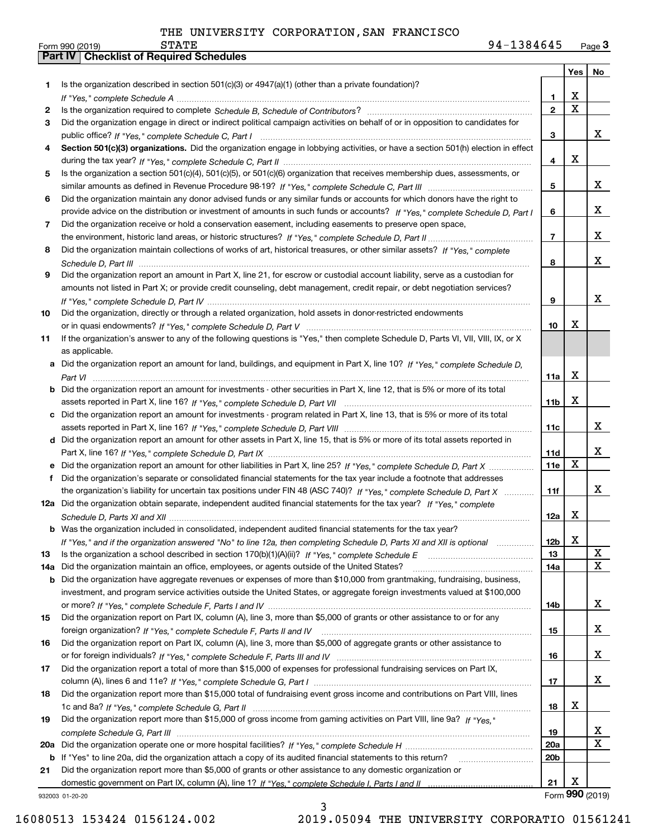|     |                                                                                                                                                                                                                                           |                 | Yes         | No              |
|-----|-------------------------------------------------------------------------------------------------------------------------------------------------------------------------------------------------------------------------------------------|-----------------|-------------|-----------------|
| 1.  | Is the organization described in section $501(c)(3)$ or $4947(a)(1)$ (other than a private foundation)?                                                                                                                                   |                 |             |                 |
|     |                                                                                                                                                                                                                                           | $\mathbf{1}$    | x           |                 |
| 2   |                                                                                                                                                                                                                                           | $\mathbf{2}$    | $\mathbf X$ |                 |
| 3   | Did the organization engage in direct or indirect political campaign activities on behalf of or in opposition to candidates for                                                                                                           |                 |             |                 |
|     |                                                                                                                                                                                                                                           | 3               |             | x               |
| 4   | Section 501(c)(3) organizations. Did the organization engage in lobbying activities, or have a section 501(h) election in effect                                                                                                          |                 |             |                 |
|     |                                                                                                                                                                                                                                           | 4               | X           |                 |
| 5   | Is the organization a section 501(c)(4), 501(c)(5), or 501(c)(6) organization that receives membership dues, assessments, or                                                                                                              |                 |             |                 |
|     |                                                                                                                                                                                                                                           | 5               |             | x               |
| 6   | Did the organization maintain any donor advised funds or any similar funds or accounts for which donors have the right to                                                                                                                 | 6               |             | x               |
| 7   | provide advice on the distribution or investment of amounts in such funds or accounts? If "Yes," complete Schedule D, Part I<br>Did the organization receive or hold a conservation easement, including easements to preserve open space, |                 |             |                 |
|     |                                                                                                                                                                                                                                           | $\overline{7}$  |             | x               |
| 8   | Did the organization maintain collections of works of art, historical treasures, or other similar assets? If "Yes," complete                                                                                                              |                 |             |                 |
|     |                                                                                                                                                                                                                                           | 8               |             | x               |
| 9   | Did the organization report an amount in Part X, line 21, for escrow or custodial account liability, serve as a custodian for                                                                                                             |                 |             |                 |
|     | amounts not listed in Part X; or provide credit counseling, debt management, credit repair, or debt negotiation services?                                                                                                                 |                 |             |                 |
|     |                                                                                                                                                                                                                                           | 9               |             | x               |
| 10  | Did the organization, directly or through a related organization, hold assets in donor-restricted endowments                                                                                                                              |                 |             |                 |
|     |                                                                                                                                                                                                                                           | 10              | x           |                 |
| 11  | If the organization's answer to any of the following questions is "Yes," then complete Schedule D, Parts VI, VII, VIII, IX, or X                                                                                                          |                 |             |                 |
|     | as applicable.                                                                                                                                                                                                                            |                 |             |                 |
|     | a Did the organization report an amount for land, buildings, and equipment in Part X, line 10? If "Yes," complete Schedule D,                                                                                                             |                 |             |                 |
|     |                                                                                                                                                                                                                                           | 11a             | х           |                 |
|     | <b>b</b> Did the organization report an amount for investments - other securities in Part X, line 12, that is 5% or more of its total                                                                                                     |                 |             |                 |
|     |                                                                                                                                                                                                                                           | 11 <sub>b</sub> | X           |                 |
|     | c Did the organization report an amount for investments - program related in Part X, line 13, that is 5% or more of its total                                                                                                             |                 |             | x               |
|     | d Did the organization report an amount for other assets in Part X, line 15, that is 5% or more of its total assets reported in                                                                                                           | 11c             |             |                 |
|     |                                                                                                                                                                                                                                           | 11d             |             | x               |
|     | e Did the organization report an amount for other liabilities in Part X, line 25? If "Yes," complete Schedule D, Part X                                                                                                                   | 11e             | $\mathbf X$ |                 |
| f   | Did the organization's separate or consolidated financial statements for the tax year include a footnote that addresses                                                                                                                   |                 |             |                 |
|     | the organization's liability for uncertain tax positions under FIN 48 (ASC 740)? If "Yes," complete Schedule D, Part X                                                                                                                    | 11f             |             | x               |
|     | 12a Did the organization obtain separate, independent audited financial statements for the tax year? If "Yes," complete                                                                                                                   |                 |             |                 |
|     |                                                                                                                                                                                                                                           | 12a             | x           |                 |
|     | <b>b</b> Was the organization included in consolidated, independent audited financial statements for the tax year?                                                                                                                        |                 |             |                 |
|     | If "Yes," and if the organization answered "No" to line 12a, then completing Schedule D, Parts XI and XII is optional manum                                                                                                               | 12b             | X           |                 |
| 13  |                                                                                                                                                                                                                                           | 13              |             | X               |
| 14a | Did the organization maintain an office, employees, or agents outside of the United States?                                                                                                                                               | 14a             |             | X               |
|     | b Did the organization have aggregate revenues or expenses of more than \$10,000 from grantmaking, fundraising, business,                                                                                                                 |                 |             |                 |
|     | investment, and program service activities outside the United States, or aggregate foreign investments valued at \$100,000                                                                                                                |                 |             |                 |
|     |                                                                                                                                                                                                                                           | 14b             |             | x               |
| 15  | Did the organization report on Part IX, column (A), line 3, more than \$5,000 of grants or other assistance to or for any                                                                                                                 |                 |             |                 |
| 16  | Did the organization report on Part IX, column (A), line 3, more than \$5,000 of aggregate grants or other assistance to                                                                                                                  | 15              |             | x               |
|     |                                                                                                                                                                                                                                           | 16              |             | X               |
| 17  | Did the organization report a total of more than \$15,000 of expenses for professional fundraising services on Part IX,                                                                                                                   |                 |             |                 |
|     |                                                                                                                                                                                                                                           | 17              |             | X               |
| 18  | Did the organization report more than \$15,000 total of fundraising event gross income and contributions on Part VIII, lines                                                                                                              |                 |             |                 |
|     |                                                                                                                                                                                                                                           | 18              | х           |                 |
| 19  | Did the organization report more than \$15,000 of gross income from gaming activities on Part VIII, line 9a? If "Yes."                                                                                                                    |                 |             |                 |
|     |                                                                                                                                                                                                                                           | 19              |             | x               |
| 20a |                                                                                                                                                                                                                                           | 20a             |             | x               |
| b   | If "Yes" to line 20a, did the organization attach a copy of its audited financial statements to this return?                                                                                                                              | 20b             |             |                 |
| 21  | Did the organization report more than \$5,000 of grants or other assistance to any domestic organization or                                                                                                                               |                 |             |                 |
|     |                                                                                                                                                                                                                                           | 21              | х           |                 |
|     | 932003 01-20-20                                                                                                                                                                                                                           |                 |             | Form 990 (2019) |

932003 01-20-20

3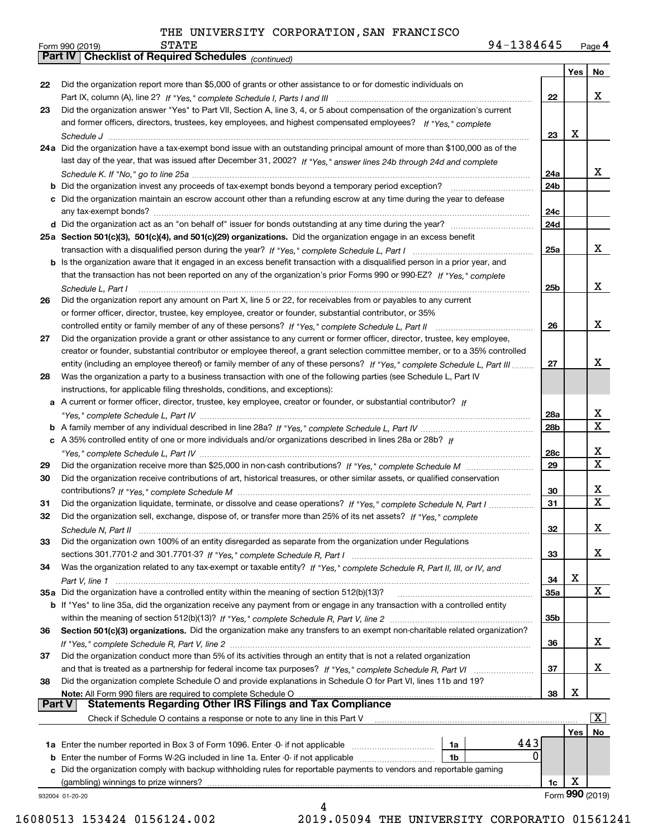| -1384645 | Page $4$ |
|----------|----------|
|----------|----------|

|               | 94-1384645<br><b>STATE</b><br>Form 990 (2019)                                                                                           |            |     | Page 4                       |
|---------------|-----------------------------------------------------------------------------------------------------------------------------------------|------------|-----|------------------------------|
|               | Part IV   Checklist of Required Schedules (continued)                                                                                   |            |     |                              |
|               |                                                                                                                                         |            | Yes | No                           |
| 22            | Did the organization report more than \$5,000 of grants or other assistance to or for domestic individuals on                           |            |     |                              |
|               | Part IX, column (A), line 2? If "Yes," complete Schedule I, Parts I and III [11] [11] [11] [11] [11] [11] [11]                          | 22         |     | x                            |
| 23            | Did the organization answer "Yes" to Part VII, Section A, line 3, 4, or 5 about compensation of the organization's current              |            |     |                              |
|               | and former officers, directors, trustees, key employees, and highest compensated employees? If "Yes," complete                          |            | X   |                              |
|               | 24a Did the organization have a tax-exempt bond issue with an outstanding principal amount of more than \$100,000 as of the             | 23         |     |                              |
|               | last day of the year, that was issued after December 31, 2002? If "Yes," answer lines 24b through 24d and complete                      |            |     |                              |
|               |                                                                                                                                         | 24a        |     | x                            |
|               |                                                                                                                                         | 24b        |     |                              |
|               | c Did the organization maintain an escrow account other than a refunding escrow at any time during the year to defease                  |            |     |                              |
|               |                                                                                                                                         | 24c        |     |                              |
|               |                                                                                                                                         | 24d        |     |                              |
|               | 25a Section 501(c)(3), 501(c)(4), and 501(c)(29) organizations. Did the organization engage in an excess benefit                        |            |     |                              |
|               |                                                                                                                                         | 25a        |     | X                            |
|               | b Is the organization aware that it engaged in an excess benefit transaction with a disqualified person in a prior year, and            |            |     |                              |
|               | that the transaction has not been reported on any of the organization's prior Forms 990 or 990-EZ? If "Yes," complete                   |            |     |                              |
|               | Schedule L, Part I                                                                                                                      | 25b        |     | x                            |
| 26            | Did the organization report any amount on Part X, line 5 or 22, for receivables from or payables to any current                         |            |     |                              |
|               | or former officer, director, trustee, key employee, creator or founder, substantial contributor, or 35%                                 |            |     | x                            |
| 27            | Did the organization provide a grant or other assistance to any current or former officer, director, trustee, key employee,             | 26         |     |                              |
|               | creator or founder, substantial contributor or employee thereof, a grant selection committee member, or to a 35% controlled             |            |     |                              |
|               | entity (including an employee thereof) or family member of any of these persons? If "Yes," complete Schedule L, Part III                | 27         |     | x                            |
| 28            | Was the organization a party to a business transaction with one of the following parties (see Schedule L, Part IV                       |            |     |                              |
|               | instructions, for applicable filing thresholds, conditions, and exceptions):                                                            |            |     |                              |
|               | a A current or former officer, director, trustee, key employee, creator or founder, or substantial contributor? If                      |            |     |                              |
|               |                                                                                                                                         | 28a        |     | X                            |
|               |                                                                                                                                         | 28b        |     | $\overline{\mathbf{x}}$      |
|               | c A 35% controlled entity of one or more individuals and/or organizations described in lines 28a or 28b? If                             |            |     |                              |
|               |                                                                                                                                         | 28c        |     | x                            |
| 29            |                                                                                                                                         | 29         |     | $\overline{\mathbf{x}}$      |
| 30            | Did the organization receive contributions of art, historical treasures, or other similar assets, or qualified conservation             |            |     |                              |
|               |                                                                                                                                         | 30<br>31   |     | x<br>$\overline{\mathbf{x}}$ |
| 31<br>32      | Did the organization liquidate, terminate, or dissolve and cease operations? If "Yes," complete Schedule N, Part I                      |            |     |                              |
|               | Did the organization sell, exchange, dispose of, or transfer more than 25% of its net assets? If "Yes," complete<br>Schedule N, Part II | 32         |     | x                            |
| 33            | Did the organization own 100% of an entity disregarded as separate from the organization under Regulations                              |            |     |                              |
|               |                                                                                                                                         | 33         |     | x                            |
| 34            | Was the organization related to any tax-exempt or taxable entity? If "Yes," complete Schedule R, Part II, III, or IV, and               |            |     |                              |
|               |                                                                                                                                         | 34         | х   |                              |
|               | 35a Did the organization have a controlled entity within the meaning of section 512(b)(13)?                                             | <b>35a</b> |     | X                            |
|               | b If "Yes" to line 35a, did the organization receive any payment from or engage in any transaction with a controlled entity             |            |     |                              |
|               |                                                                                                                                         | 35b        |     |                              |
| 36            | Section 501(c)(3) organizations. Did the organization make any transfers to an exempt non-charitable related organization?              |            |     |                              |
|               |                                                                                                                                         | 36         |     | x                            |
| 37            | Did the organization conduct more than 5% of its activities through an entity that is not a related organization                        |            |     |                              |
| 38            | Did the organization complete Schedule O and provide explanations in Schedule O for Part VI, lines 11b and 19?                          | 37         |     | x                            |
|               | Note: All Form 990 filers are required to complete Schedule O                                                                           | 38         | X   |                              |
| <b>Part V</b> | <b>Statements Regarding Other IRS Filings and Tax Compliance</b>                                                                        |            |     |                              |
|               | Check if Schedule O contains a response or note to any line in this Part V                                                              |            |     | $\overline{\mathbf{X}}$      |
|               |                                                                                                                                         |            | Yes | No                           |
|               | 443<br>1a                                                                                                                               |            |     |                              |
| b             | 0<br>Enter the number of Forms W-2G included in line 1a. Enter -0- if not applicable<br>1b                                              |            |     |                              |
| c             | Did the organization comply with backup withholding rules for reportable payments to vendors and reportable gaming                      |            |     |                              |
|               | (gambling) winnings to prize winners?                                                                                                   | 1c         | х   |                              |
|               | 932004 01-20-20                                                                                                                         |            |     | Form 990 (2019)              |
|               | 4                                                                                                                                       |            |     |                              |

16080513 153424 0156124.002 2019.05094 THE UNIVERSITY CORPORATIO 01561241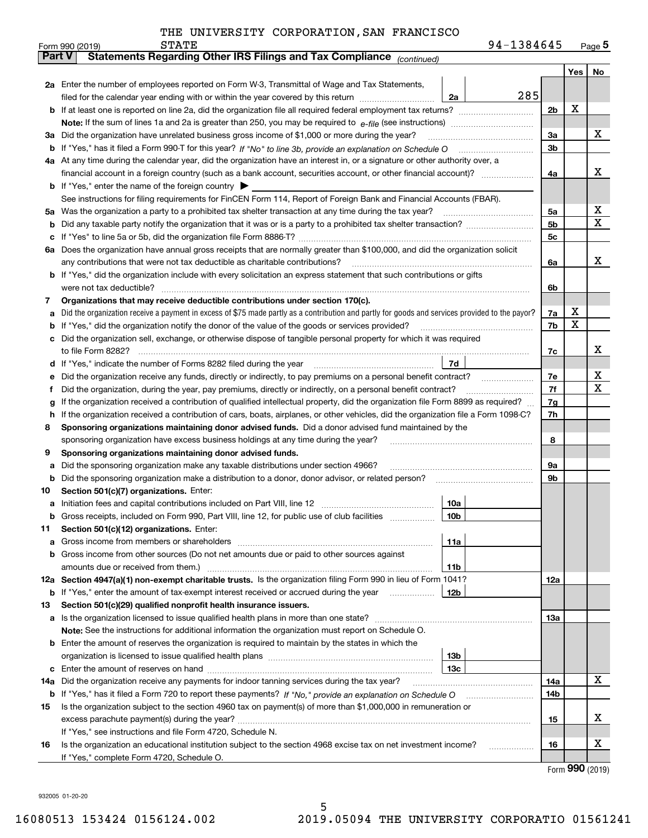|  |  | THE UNIVERSITY CORPORATION,SAN FRANCISCO |  |
|--|--|------------------------------------------|--|
|--|--|------------------------------------------|--|

|     | <b>STATE</b><br>Form 990 (2019)                                                                                                                 | 94-1384645     |     | $_{\text{Page}}$ 5 |  |  |  |  |  |
|-----|-------------------------------------------------------------------------------------------------------------------------------------------------|----------------|-----|--------------------|--|--|--|--|--|
|     | Statements Regarding Other IRS Filings and Tax Compliance (continued)<br><b>Part V</b>                                                          |                |     |                    |  |  |  |  |  |
|     |                                                                                                                                                 |                | Yes | No                 |  |  |  |  |  |
|     | 2a Enter the number of employees reported on Form W-3, Transmittal of Wage and Tax Statements,                                                  |                |     |                    |  |  |  |  |  |
|     | filed for the calendar year ending with or within the year covered by this return www.communition<br>2a                                         | 285            |     |                    |  |  |  |  |  |
|     |                                                                                                                                                 | 2 <sub>b</sub> | x   |                    |  |  |  |  |  |
|     |                                                                                                                                                 |                |     |                    |  |  |  |  |  |
| За  | Did the organization have unrelated business gross income of \$1,000 or more during the year?                                                   | 3a             |     | x                  |  |  |  |  |  |
| b   |                                                                                                                                                 | 3b             |     |                    |  |  |  |  |  |
|     | 4a At any time during the calendar year, did the organization have an interest in, or a signature or other authority over, a                    |                |     |                    |  |  |  |  |  |
|     |                                                                                                                                                 | 4a             |     | x                  |  |  |  |  |  |
|     | <b>b</b> If "Yes," enter the name of the foreign country $\blacktriangleright$                                                                  |                |     |                    |  |  |  |  |  |
|     | See instructions for filing requirements for FinCEN Form 114, Report of Foreign Bank and Financial Accounts (FBAR).                             |                |     |                    |  |  |  |  |  |
| 5a  | Was the organization a party to a prohibited tax shelter transaction at any time during the tax year?                                           | 5a             |     | х                  |  |  |  |  |  |
| b   |                                                                                                                                                 | 5 <sub>b</sub> |     | х                  |  |  |  |  |  |
| с   |                                                                                                                                                 | 5c             |     |                    |  |  |  |  |  |
|     | 6a Does the organization have annual gross receipts that are normally greater than \$100,000, and did the organization solicit                  |                |     |                    |  |  |  |  |  |
|     | any contributions that were not tax deductible as charitable contributions?                                                                     | 6a             |     | x                  |  |  |  |  |  |
|     | <b>b</b> If "Yes," did the organization include with every solicitation an express statement that such contributions or gifts                   |                |     |                    |  |  |  |  |  |
|     | were not tax deductible?                                                                                                                        | 6b             |     |                    |  |  |  |  |  |
| 7   | Organizations that may receive deductible contributions under section 170(c).                                                                   |                |     |                    |  |  |  |  |  |
| а   | Did the organization receive a payment in excess of \$75 made partly as a contribution and partly for goods and services provided to the payor? | 7a             | х   |                    |  |  |  |  |  |
| b   | If "Yes," did the organization notify the donor of the value of the goods or services provided?                                                 | 7b             | х   |                    |  |  |  |  |  |
|     | Did the organization sell, exchange, or otherwise dispose of tangible personal property for which it was required                               |                |     |                    |  |  |  |  |  |
|     |                                                                                                                                                 | 7c             |     | x                  |  |  |  |  |  |
| d   | 7d                                                                                                                                              |                |     |                    |  |  |  |  |  |
| е   |                                                                                                                                                 | 7e             |     | х                  |  |  |  |  |  |
| f   | Did the organization, during the year, pay premiums, directly or indirectly, on a personal benefit contract?                                    | 7f             |     | х                  |  |  |  |  |  |
| g   | If the organization received a contribution of qualified intellectual property, did the organization file Form 8899 as required?                | 7g             |     |                    |  |  |  |  |  |
| h   | If the organization received a contribution of cars, boats, airplanes, or other vehicles, did the organization file a Form 1098-C?              | 7h             |     |                    |  |  |  |  |  |
| 8   | Sponsoring organizations maintaining donor advised funds. Did a donor advised fund maintained by the                                            |                |     |                    |  |  |  |  |  |
|     | sponsoring organization have excess business holdings at any time during the year?                                                              | 8              |     |                    |  |  |  |  |  |
| 9   | Sponsoring organizations maintaining donor advised funds.                                                                                       |                |     |                    |  |  |  |  |  |
| а   | Did the sponsoring organization make any taxable distributions under section 4966?                                                              | 9а             |     |                    |  |  |  |  |  |
| b   | Did the sponsoring organization make a distribution to a donor, donor advisor, or related person?                                               | 9b             |     |                    |  |  |  |  |  |
| 10  | Section 501(c)(7) organizations. Enter:                                                                                                         |                |     |                    |  |  |  |  |  |
| а   | 10a                                                                                                                                             |                |     |                    |  |  |  |  |  |
|     | 10b<br>Gross receipts, included on Form 990, Part VIII, line 12, for public use of club facilities                                              |                |     |                    |  |  |  |  |  |
| 11  | Section 501(c)(12) organizations. Enter:                                                                                                        |                |     |                    |  |  |  |  |  |
| а   | 11a<br>Gross income from members or shareholders                                                                                                |                |     |                    |  |  |  |  |  |
| b   | Gross income from other sources (Do not net amounts due or paid to other sources against                                                        |                |     |                    |  |  |  |  |  |
|     | 11 <sub>b</sub><br>amounts due or received from them.)                                                                                          |                |     |                    |  |  |  |  |  |
|     | 12a Section 4947(a)(1) non-exempt charitable trusts. Is the organization filing Form 990 in lieu of Form 1041?                                  | 12a            |     |                    |  |  |  |  |  |
|     | <b>12b</b><br><b>b</b> If "Yes," enter the amount of tax-exempt interest received or accrued during the year <i>manument</i>                    |                |     |                    |  |  |  |  |  |
| 13  | Section 501(c)(29) qualified nonprofit health insurance issuers.                                                                                |                |     |                    |  |  |  |  |  |
| a   | Is the organization licensed to issue qualified health plans in more than one state?                                                            | 13a            |     |                    |  |  |  |  |  |
|     | Note: See the instructions for additional information the organization must report on Schedule O.                                               |                |     |                    |  |  |  |  |  |
| b   | Enter the amount of reserves the organization is required to maintain by the states in which the<br>13 <sub>b</sub>                             |                |     |                    |  |  |  |  |  |
|     | 13 <sub>c</sub>                                                                                                                                 |                |     |                    |  |  |  |  |  |
| с   | Did the organization receive any payments for indoor tanning services during the tax year?                                                      | 14a            |     | x                  |  |  |  |  |  |
| 14a | <b>b</b> If "Yes," has it filed a Form 720 to report these payments? If "No," provide an explanation on Schedule O                              | 14b            |     |                    |  |  |  |  |  |
| 15  | Is the organization subject to the section 4960 tax on payment(s) of more than \$1,000,000 in remuneration or                                   |                |     |                    |  |  |  |  |  |
|     | excess parachute payment(s) during the year?                                                                                                    | 15             |     | x                  |  |  |  |  |  |
|     | If "Yes," see instructions and file Form 4720, Schedule N.                                                                                      |                |     |                    |  |  |  |  |  |
| 16  | Is the organization an educational institution subject to the section 4968 excise tax on net investment income?                                 | 16             |     | х                  |  |  |  |  |  |
|     | If "Yes," complete Form 4720, Schedule O.                                                                                                       |                |     |                    |  |  |  |  |  |
|     |                                                                                                                                                 |                |     |                    |  |  |  |  |  |

5

Form (2019) **990**

932005 01-20-20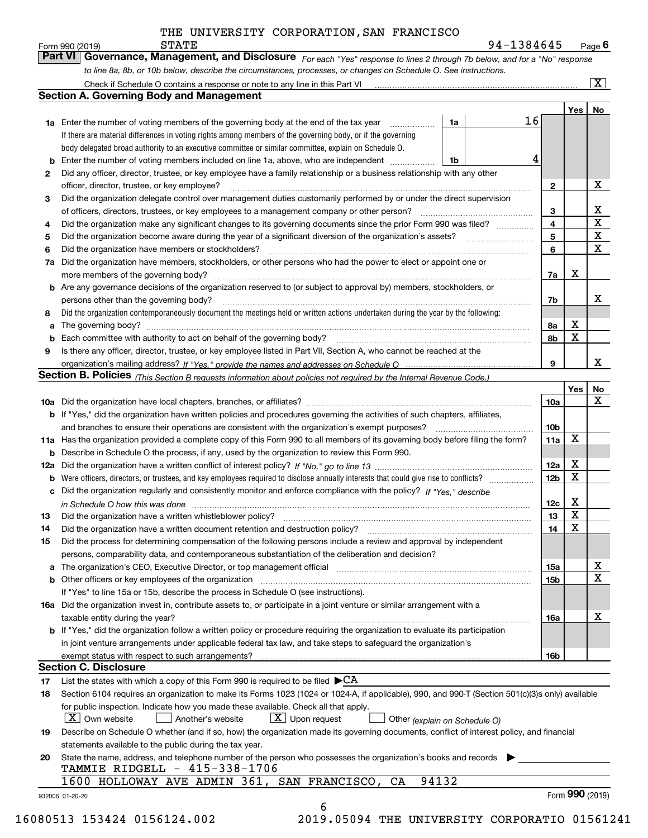|          |                                                                                                                                                                            |                 |                         | $\overline{\text{X}}$      |
|----------|----------------------------------------------------------------------------------------------------------------------------------------------------------------------------|-----------------|-------------------------|----------------------------|
|          | <b>Section A. Governing Body and Management</b>                                                                                                                            |                 |                         |                            |
|          |                                                                                                                                                                            |                 | Yes                     | No                         |
|          | 16<br>1a<br>1a Enter the number of voting members of the governing body at the end of the tax year                                                                         |                 |                         |                            |
|          | If there are material differences in voting rights among members of the governing body, or if the governing                                                                |                 |                         |                            |
|          | body delegated broad authority to an executive committee or similar committee, explain on Schedule O.                                                                      |                 |                         |                            |
| b        | 4<br>Enter the number of voting members included on line 1a, above, who are independent<br>$\vert$ 1b                                                                      |                 |                         |                            |
| 2        | Did any officer, director, trustee, or key employee have a family relationship or a business relationship with any other                                                   | $\mathbf{2}$    |                         | Х                          |
| 3        | officer, director, trustee, or key employee?<br>Did the organization delegate control over management duties customarily performed by or under the direct supervision      |                 |                         |                            |
|          |                                                                                                                                                                            | 3               |                         | х                          |
| 4        | Did the organization make any significant changes to its governing documents since the prior Form 990 was filed?                                                           | 4               |                         | $\overline{\mathbf{x}}$    |
| 5        |                                                                                                                                                                            | 5               |                         | $\overline{\mathbf{x}}$    |
| 6        | Did the organization have members or stockholders?                                                                                                                         | 6               |                         | $\overline{\mathbf{x}}$    |
| 7a       | Did the organization have members, stockholders, or other persons who had the power to elect or appoint one or                                                             |                 |                         |                            |
|          |                                                                                                                                                                            | 7a              | Х                       |                            |
|          | b Are any governance decisions of the organization reserved to (or subject to approval by) members, stockholders, or                                                       |                 |                         |                            |
|          | persons other than the governing body?                                                                                                                                     | 7b              |                         | х                          |
| 8        | Did the organization contemporaneously document the meetings held or written actions undertaken during the year by the following:                                          |                 |                         |                            |
| а        |                                                                                                                                                                            | 8a              | х                       |                            |
|          |                                                                                                                                                                            | 8b              | X                       |                            |
| 9        | Is there any officer, director, trustee, or key employee listed in Part VII, Section A, who cannot be reached at the                                                       |                 |                         |                            |
|          |                                                                                                                                                                            | 9               |                         | x                          |
|          | Section B. Policies (This Section B requests information about policies not required by the Internal Revenue Code.)                                                        |                 |                         |                            |
|          |                                                                                                                                                                            |                 | Yes                     | <b>No</b>                  |
|          |                                                                                                                                                                            | 10a             |                         | $\mathbf X$                |
|          | b If "Yes," did the organization have written policies and procedures governing the activities of such chapters, affiliates,                                               |                 |                         |                            |
|          |                                                                                                                                                                            | 10 <sub>b</sub> |                         |                            |
|          | 11a Has the organization provided a complete copy of this Form 990 to all members of its governing body before filing the form?                                            | 11a             | $\mathbf X$             |                            |
|          | <b>b</b> Describe in Schedule O the process, if any, used by the organization to review this Form 990.                                                                     |                 |                         |                            |
|          |                                                                                                                                                                            | 12a             | Х                       |                            |
| b        |                                                                                                                                                                            | 12 <sub>b</sub> | $\mathbf X$             |                            |
| c        | Did the organization regularly and consistently monitor and enforce compliance with the policy? If "Yes," describe                                                         |                 |                         |                            |
|          | in Schedule O how this was done manufactured and contain an according to the state of the state of the state o                                                             | 12c             | х                       |                            |
| 13       | Did the organization have a written whistleblower policy?                                                                                                                  | 13              | $\overline{\mathbf{x}}$ |                            |
| 14       | Did the organization have a written document retention and destruction policy?                                                                                             | 14              | $\mathbf X$             |                            |
| 15       | Did the process for determining compensation of the following persons include a review and approval by independent                                                         |                 |                         |                            |
|          | persons, comparability data, and contemporaneous substantiation of the deliberation and decision?                                                                          |                 |                         |                            |
|          |                                                                                                                                                                            | 15a             |                         | х<br>$\overline{\text{x}}$ |
| b        |                                                                                                                                                                            | 15 <sub>b</sub> |                         |                            |
|          | If "Yes" to line 15a or 15b, describe the process in Schedule O (see instructions).                                                                                        |                 |                         |                            |
|          | 16a Did the organization invest in, contribute assets to, or participate in a joint venture or similar arrangement with a                                                  |                 |                         | х                          |
|          | taxable entity during the year?<br>b If "Yes," did the organization follow a written policy or procedure requiring the organization to evaluate its participation          | 16a             |                         |                            |
|          | in joint venture arrangements under applicable federal tax law, and take steps to safeguard the organization's                                                             |                 |                         |                            |
|          |                                                                                                                                                                            | 16 <sub>b</sub> |                         |                            |
|          | <b>Section C. Disclosure</b>                                                                                                                                               |                 |                         |                            |
|          | List the states with which a copy of this Form 990 is required to be filed $\blacktriangleright$ CA                                                                        |                 |                         |                            |
|          | Section 6104 requires an organization to make its Forms 1023 (1024 or 1024-A, if applicable), 990, and 990-T (Section 501(c)(3)s only) available                           |                 |                         |                            |
|          |                                                                                                                                                                            |                 |                         |                            |
| 17<br>18 | for public inspection. Indicate how you made these available. Check all that apply.                                                                                        |                 |                         |                            |
|          | $X$ Upon request<br>$\lfloor x \rfloor$ Own website<br>Another's website                                                                                                   |                 |                         |                            |
|          | Other (explain on Schedule O)<br>Describe on Schedule O whether (and if so, how) the organization made its governing documents, conflict of interest policy, and financial |                 |                         |                            |
|          | statements available to the public during the tax year.                                                                                                                    |                 |                         |                            |
| 19<br>20 | State the name, address, and telephone number of the person who possesses the organization's books and records                                                             |                 |                         |                            |
|          | TAMMIE RIDGELL - 415-338-1706                                                                                                                                              |                 |                         |                            |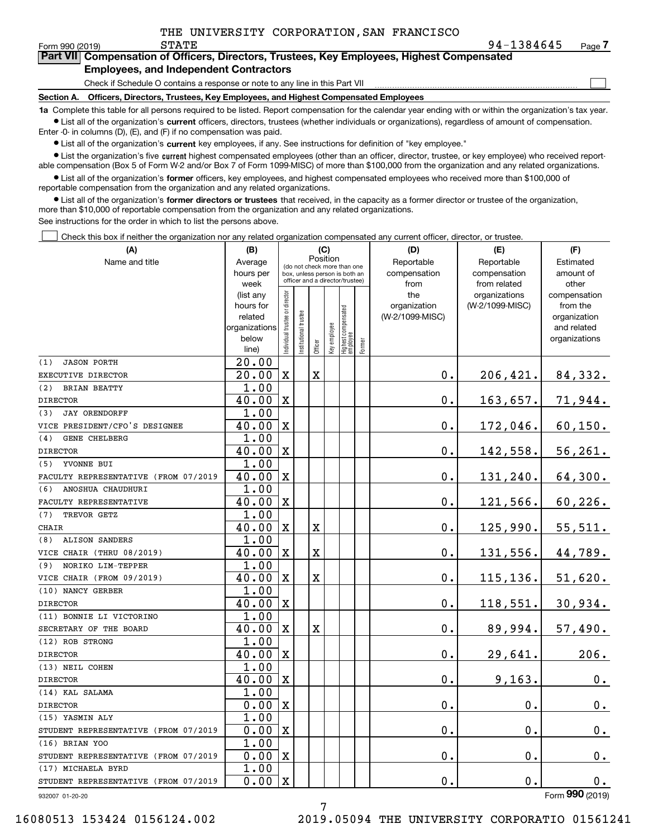$\mathcal{L}^{\text{max}}$ 

| orm 990 (2019) <sup>.</sup> | STATE                                         | 94-1384645                                                                                 | Page <i>I</i> |
|-----------------------------|-----------------------------------------------|--------------------------------------------------------------------------------------------|---------------|
|                             |                                               | Part VII Compensation of Officers, Directors, Trustees, Key Employees, Highest Compensated |               |
|                             | <b>Employees, and Independent Contractors</b> |                                                                                            |               |

Check if Schedule O contains a response or note to any line in this Part VII

**Section A. Officers, Directors, Trustees, Key Employees, and Highest Compensated Employees**

**1a**  Complete this table for all persons required to be listed. Report compensation for the calendar year ending with or within the organization's tax year. **•** List all of the organization's current officers, directors, trustees (whether individuals or organizations), regardless of amount of compensation.

Enter -0- in columns (D), (E), and (F) if no compensation was paid.

 $\bullet$  List all of the organization's  $\,$ current key employees, if any. See instructions for definition of "key employee."

**•** List the organization's five current highest compensated employees (other than an officer, director, trustee, or key employee) who received reportable compensation (Box 5 of Form W-2 and/or Box 7 of Form 1099-MISC) of more than \$100,000 from the organization and any related organizations.

**•** List all of the organization's former officers, key employees, and highest compensated employees who received more than \$100,000 of reportable compensation from the organization and any related organizations.

**former directors or trustees**  ¥ List all of the organization's that received, in the capacity as a former director or trustee of the organization, more than \$10,000 of reportable compensation from the organization and any related organizations.

See instructions for the order in which to list the persons above.

Check this box if neither the organization nor any related organization compensated any current officer, director, or trustee.  $\mathcal{L}^{\text{max}}$ 

| (A)                                  | (B)                  | (C)                            |                                                                  |             |              |                                   |        | (D)                             | (E)             | (F)                      |
|--------------------------------------|----------------------|--------------------------------|------------------------------------------------------------------|-------------|--------------|-----------------------------------|--------|---------------------------------|-----------------|--------------------------|
| Name and title                       | Average              |                                | Position<br>(do not check more than one                          |             |              |                                   |        | Reportable                      | Reportable      | Estimated                |
|                                      | hours per            |                                | box, unless person is both an<br>officer and a director/trustee) |             |              |                                   |        | compensation                    | compensation    | amount of                |
|                                      | week                 |                                |                                                                  |             |              |                                   |        | from                            | from related    | other                    |
|                                      | (list any            |                                |                                                                  |             |              |                                   |        | the                             | organizations   | compensation             |
|                                      | hours for<br>related |                                |                                                                  |             |              |                                   |        | organization<br>(W-2/1099-MISC) | (W-2/1099-MISC) | from the<br>organization |
|                                      | organizations        |                                |                                                                  |             |              |                                   |        |                                 |                 | and related              |
|                                      | below                |                                | nstitutional trustee                                             |             |              |                                   |        |                                 |                 | organizations            |
|                                      | line)                | Individual trustee or director |                                                                  | Officer     | Key employee | Highest compensated<br>  employee | Former |                                 |                 |                          |
| <b>JASON PORTH</b><br>(1)            | $\overline{20.00}$   |                                |                                                                  |             |              |                                   |        |                                 |                 |                          |
| EXECUTIVE DIRECTOR                   | 20.00                | $\mathbf X$                    |                                                                  | X           |              |                                   |        | 0.                              | 206, 421.       | 84,332.                  |
| <b>BRIAN BEATTY</b><br>(2)           | 1.00                 |                                |                                                                  |             |              |                                   |        |                                 |                 |                          |
| <b>DIRECTOR</b>                      | 40.00                | $\mathbf x$                    |                                                                  |             |              |                                   |        | 0.                              | 163,657.        | 71,944.                  |
| <b>JAY ORENDORFF</b><br>(3)          | 1.00                 |                                |                                                                  |             |              |                                   |        |                                 |                 |                          |
| VICE PRESIDENT/CFO'S DESIGNEE        | 40.00                | $\overline{\mathbf{X}}$        |                                                                  |             |              |                                   |        | 0.                              | 172,046.        | 60, 150.                 |
| <b>GENE CHELBERG</b><br>(4)          | 1.00                 |                                |                                                                  |             |              |                                   |        |                                 |                 |                          |
| <b>DIRECTOR</b>                      | 40.00                | X                              |                                                                  |             |              |                                   |        | 0.                              | 142,558.        | 56, 261.                 |
| YVONNE BUI<br>(5)                    | 1.00                 |                                |                                                                  |             |              |                                   |        |                                 |                 |                          |
| FACULTY REPRESENTATIVE (FROM 07/2019 | 40.00                | $\overline{\mathbf{X}}$        |                                                                  |             |              |                                   |        | 0.                              | 131,240.        | 64,300.                  |
| (6)<br>ANOSHUA CHAUDHURI             | 1.00                 |                                |                                                                  |             |              |                                   |        |                                 |                 |                          |
| FACULTY REPRESENTATIVE               | 40.00                | $\mathbf X$                    |                                                                  |             |              |                                   |        | 0.                              | 121,566.        | 60, 226.                 |
| (7)<br>TREVOR GETZ                   | 1.00                 |                                |                                                                  |             |              |                                   |        |                                 |                 |                          |
| CHAIR                                | 40.00                | $\mathbf X$                    |                                                                  | $\mathbf X$ |              |                                   |        | 0.                              | 125,990.        | 55,511.                  |
| ALISON SANDERS<br>(8)                | 1.00                 |                                |                                                                  |             |              |                                   |        |                                 |                 |                          |
| VICE CHAIR (THRU 08/2019)            | 40.00                | X                              |                                                                  | X           |              |                                   |        | $\mathbf 0$ .                   | 131,556.        | 44,789.                  |
| NORIKO LIM-TEPPER<br>(9)             | 1.00                 |                                |                                                                  |             |              |                                   |        |                                 |                 |                          |
| VICE CHAIR (FROM 09/2019)            | 40.00                | $\mathbf X$                    |                                                                  | $\mathbf X$ |              |                                   |        | 0.                              | 115, 136.       | 51,620.                  |
| (10) NANCY GERBER                    | 1.00                 |                                |                                                                  |             |              |                                   |        |                                 |                 |                          |
| <b>DIRECTOR</b>                      | 40.00                | $\overline{\mathbf{X}}$        |                                                                  |             |              |                                   |        | 0.                              | 118,551.        | 30,934.                  |
| (11) BONNIE LI VICTORINO             | 1.00                 |                                |                                                                  |             |              |                                   |        |                                 |                 |                          |
| SECRETARY OF THE BOARD               | 40.00                | $\mathbf X$                    |                                                                  | X           |              |                                   |        | 0.                              | 89,994.         | 57,490.                  |
| (12) ROB STRONG                      | 1.00                 |                                |                                                                  |             |              |                                   |        |                                 |                 |                          |
| <b>DIRECTOR</b>                      | 40.00                | $\mathbf x$                    |                                                                  |             |              |                                   |        | 0.                              | 29,641.         | 206.                     |
| (13) NEIL COHEN                      | 1.00                 |                                |                                                                  |             |              |                                   |        |                                 |                 |                          |
| <b>DIRECTOR</b>                      | 40.00                | $\mathbf X$                    |                                                                  |             |              |                                   |        | $\mathbf 0$ .                   | 9, 163.         | 0.                       |
| (14) KAL SALAMA                      | 1.00                 |                                |                                                                  |             |              |                                   |        |                                 |                 |                          |
| <b>DIRECTOR</b>                      | 0.00                 | $\overline{\text{X}}$          |                                                                  |             |              |                                   |        | 0.                              | $\mathbf 0$ .   | 0.                       |
| (15) YASMIN ALY                      | 1.00                 |                                |                                                                  |             |              |                                   |        |                                 |                 |                          |
| STUDENT REPRESENTATIVE (FROM 07/2019 | 0.00                 | $\mathbf x$                    |                                                                  |             |              |                                   |        | $\mathbf 0$ .                   | $\mathbf 0$ .   | $0$ .                    |
| (16) BRIAN YOO                       | 1.00                 |                                |                                                                  |             |              |                                   |        |                                 |                 |                          |
| STUDENT REPRESENTATIVE (FROM 07/2019 | 0.00                 | $\mathbf X$                    |                                                                  |             |              |                                   |        | 0.                              | $\mathbf 0$ .   | 0.                       |
| (17) MICHAELA BYRD                   | 1.00                 |                                |                                                                  |             |              |                                   |        |                                 |                 |                          |
| STUDENT REPRESENTATIVE (FROM 07/2019 | 0.00                 | $\mathbf x$                    |                                                                  |             |              |                                   |        | 0.                              | О.              | О.                       |
| 932007 01-20-20                      |                      |                                |                                                                  |             |              |                                   |        |                                 |                 | Form 990 (2019)          |

7

932007 01-20-20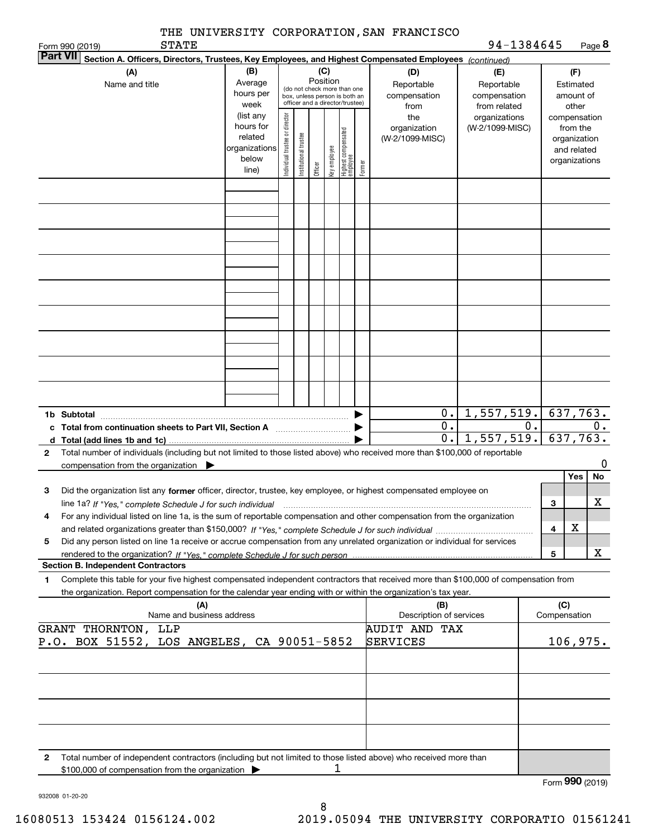|                                                                                                                                                                                                                                                             |                                                                      |                                |                       |                 |              |                                                                                                 |        | THE UNIVERSITY CORPORATION, SAN FRANCISCO |                                                   |                  |                     |                                                          |         |
|-------------------------------------------------------------------------------------------------------------------------------------------------------------------------------------------------------------------------------------------------------------|----------------------------------------------------------------------|--------------------------------|-----------------------|-----------------|--------------|-------------------------------------------------------------------------------------------------|--------|-------------------------------------------|---------------------------------------------------|------------------|---------------------|----------------------------------------------------------|---------|
| <b>STATE</b><br>Form 990 (2019)<br><b>Part VII</b>                                                                                                                                                                                                          |                                                                      |                                |                       |                 |              |                                                                                                 |        |                                           | 94-1384645                                        |                  |                     |                                                          | Page 8  |
| Section A. Officers, Directors, Trustees, Key Employees, and Highest Compensated Employees (continued)<br>(A)<br>Name and title                                                                                                                             | (B)<br>Average<br>hours per<br>week                                  |                                |                       | (C)<br>Position |              | (do not check more than one<br>box, unless person is both an<br>officer and a director/trustee) |        | (D)<br>Reportable<br>compensation<br>from | (E)<br>Reportable<br>compensation<br>from related |                  |                     | (F)<br>Estimated<br>amount of<br>other                   |         |
|                                                                                                                                                                                                                                                             | (list any<br>hours for<br>related<br>organizations<br>below<br>line) | Individual trustee or director | Institutional trustee | Officer         | Key employee | Highest compensated<br>employee                                                                 | Former | the<br>organization<br>(W-2/1099-MISC)    | organizations<br>(W-2/1099-MISC)                  |                  | compensation        | from the<br>organization<br>and related<br>organizations |         |
|                                                                                                                                                                                                                                                             |                                                                      |                                |                       |                 |              |                                                                                                 |        |                                           |                                                   |                  |                     |                                                          |         |
|                                                                                                                                                                                                                                                             |                                                                      |                                |                       |                 |              |                                                                                                 |        |                                           |                                                   |                  |                     |                                                          |         |
|                                                                                                                                                                                                                                                             |                                                                      |                                |                       |                 |              |                                                                                                 |        |                                           |                                                   |                  |                     |                                                          |         |
|                                                                                                                                                                                                                                                             |                                                                      |                                |                       |                 |              |                                                                                                 |        |                                           |                                                   |                  |                     |                                                          |         |
|                                                                                                                                                                                                                                                             |                                                                      |                                |                       |                 |              |                                                                                                 |        |                                           |                                                   |                  |                     |                                                          |         |
| 1b Subtotal<br>c Total from continuation sheets to Part VII, Section A [11, 11] [11] Total from continuation sheets to Part VII, Section A                                                                                                                  |                                                                      |                                |                       |                 |              |                                                                                                 |        | $0$ .<br>$\overline{0}$ .                 | $1,557,519.$ 637,763.                             | $\overline{0}$ . |                     |                                                          | 0.      |
| d Total (add lines 1b and 1c)<br>Total number of individuals (including but not limited to those listed above) who received more than \$100,000 of reportable<br>2                                                                                          |                                                                      |                                |                       |                 |              |                                                                                                 |        | $\overline{0}$ .                          | 1,557,519.                                        |                  | 637,763.            |                                                          |         |
| compensation from the organization                                                                                                                                                                                                                          |                                                                      |                                |                       |                 |              |                                                                                                 |        |                                           |                                                   |                  |                     | Yes                                                      | 0<br>No |
| Did the organization list any former officer, director, trustee, key employee, or highest compensated employee on<br>з                                                                                                                                      |                                                                      |                                |                       |                 |              |                                                                                                 |        |                                           |                                                   |                  |                     |                                                          | X       |
| line 1a? If "Yes," complete Schedule J for such individual manumental contents and the new manumental complete<br>For any individual listed on line 1a, is the sum of reportable compensation and other compensation from the organization<br>4             |                                                                      |                                |                       |                 |              |                                                                                                 |        |                                           |                                                   |                  | 3                   |                                                          |         |
| Did any person listed on line 1a receive or accrue compensation from any unrelated organization or individual for services<br>5                                                                                                                             |                                                                      |                                |                       |                 |              |                                                                                                 |        |                                           |                                                   |                  | 4                   | х                                                        |         |
| <b>Section B. Independent Contractors</b>                                                                                                                                                                                                                   |                                                                      |                                |                       |                 |              |                                                                                                 |        |                                           |                                                   |                  | 5                   |                                                          | x       |
| Complete this table for your five highest compensated independent contractors that received more than \$100,000 of compensation from<br>1<br>the organization. Report compensation for the calendar year ending with or within the organization's tax year. |                                                                      |                                |                       |                 |              |                                                                                                 |        |                                           |                                                   |                  |                     |                                                          |         |
| (A)<br>Name and business address                                                                                                                                                                                                                            |                                                                      |                                |                       |                 |              |                                                                                                 |        | (B)<br>Description of services            |                                                   |                  | (C)<br>Compensation |                                                          |         |
| GRANT THORNTON, LLP<br>AUDIT AND TAX<br>P.O. BOX 51552, LOS ANGELES, CA 90051-5852<br>SERVICES                                                                                                                                                              |                                                                      |                                |                       |                 |              |                                                                                                 |        | 106,975.                                  |                                                   |                  |                     |                                                          |         |
|                                                                                                                                                                                                                                                             |                                                                      |                                |                       |                 |              |                                                                                                 |        |                                           |                                                   |                  |                     |                                                          |         |
|                                                                                                                                                                                                                                                             |                                                                      |                                |                       |                 |              |                                                                                                 |        |                                           |                                                   |                  |                     |                                                          |         |
| Total number of independent contractors (including but not limited to those listed above) who received more than<br>2<br>\$100,000 of compensation from the organization                                                                                    |                                                                      |                                |                       |                 | 1            |                                                                                                 |        |                                           |                                                   |                  |                     |                                                          |         |
|                                                                                                                                                                                                                                                             |                                                                      |                                |                       |                 |              |                                                                                                 |        |                                           |                                                   |                  | Form 990 (2019)     |                                                          |         |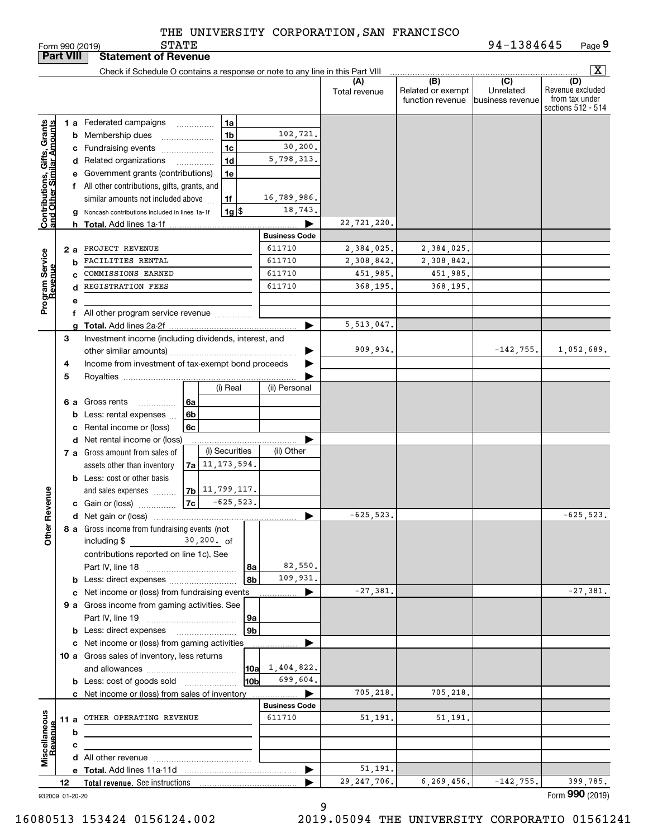STATE

Form 990 (2019) Page **9** 94-1384645

| <b>Part VIII</b>                                          |    |    | <b>Statement of Revenue</b>                                                   |          |                                |                |                           |                      |                                                           |                                                   |                                                                 |
|-----------------------------------------------------------|----|----|-------------------------------------------------------------------------------|----------|--------------------------------|----------------|---------------------------|----------------------|-----------------------------------------------------------|---------------------------------------------------|-----------------------------------------------------------------|
|                                                           |    |    | Check if Schedule O contains a response or note to any line in this Part VIII |          |                                |                |                           |                      |                                                           |                                                   | $\overline{\mathbf{X}}$                                         |
|                                                           |    |    |                                                                               |          |                                |                |                           | (A)<br>Total revenue | $\overline{(B)}$<br>Related or exempt<br>function revenue | $\overline{(C)}$<br>Unrelated<br>business revenue | (D)<br>Revenue excluded<br>from tax under<br>sections 512 - 514 |
|                                                           |    |    | <b>1 a</b> Federated campaigns                                                |          | 1a<br>.                        |                |                           |                      |                                                           |                                                   |                                                                 |
|                                                           |    |    | <b>b</b> Membership dues                                                      |          | 1 <sub>b</sub>                 |                | 102,721.                  |                      |                                                           |                                                   |                                                                 |
|                                                           |    |    | c Fundraising events                                                          |          | 1c                             |                | 30, 200.                  |                      |                                                           |                                                   |                                                                 |
|                                                           |    |    | d Related organizations                                                       |          | 1d<br>$\overline{\phantom{a}}$ |                | 5,798,313.                |                      |                                                           |                                                   |                                                                 |
|                                                           |    |    | e Government grants (contributions)                                           |          | 1e                             |                |                           |                      |                                                           |                                                   |                                                                 |
|                                                           |    |    | f All other contributions, gifts, grants, and                                 |          |                                |                |                           |                      |                                                           |                                                   |                                                                 |
|                                                           |    |    | similar amounts not included above                                            |          | 1f                             |                | 16,789,986.               |                      |                                                           |                                                   |                                                                 |
| Contributions, Gifts, Grants<br>and Other Similar Amounts |    |    | Noncash contributions included in lines 1a-1f                                 |          | $1g$ $\frac{1}{3}$             |                | 18,743.                   |                      |                                                           |                                                   |                                                                 |
|                                                           |    |    |                                                                               |          |                                |                |                           | 22,721,220.          |                                                           |                                                   |                                                                 |
|                                                           |    |    |                                                                               |          |                                |                | <b>Business Code</b>      |                      |                                                           |                                                   |                                                                 |
|                                                           |    | 2a | PROJECT REVENUE                                                               |          |                                |                | 611710                    | 2,384,025.           | 2,384,025.                                                |                                                   |                                                                 |
|                                                           |    | b  | FACILITIES RENTAL                                                             |          |                                |                | 611710                    | 2,308,842.           | 2,308,842.                                                |                                                   |                                                                 |
|                                                           |    | C. | COMMISSIONS EARNED                                                            |          |                                |                | 611710                    | 451,985.             | 451,985.                                                  |                                                   |                                                                 |
| Program Service<br>Revenue                                |    | d  | REGISTRATION FEES                                                             |          |                                |                | 611710                    | 368,195.             | 368,195.                                                  |                                                   |                                                                 |
|                                                           |    | е  |                                                                               |          |                                |                |                           |                      |                                                           |                                                   |                                                                 |
|                                                           |    |    | f All other program service revenue                                           |          |                                |                |                           |                      |                                                           |                                                   |                                                                 |
|                                                           |    | a  |                                                                               |          |                                |                |                           | 5, 513, 047.         |                                                           |                                                   |                                                                 |
|                                                           | З  |    | Investment income (including dividends, interest, and                         |          |                                |                |                           |                      |                                                           |                                                   |                                                                 |
|                                                           |    |    |                                                                               |          |                                |                |                           | 909,934.             |                                                           | $-142, 755.$                                      | 1,052,689.                                                      |
|                                                           | 4  |    | Income from investment of tax-exempt bond proceeds                            |          |                                |                |                           |                      |                                                           |                                                   |                                                                 |
|                                                           | 5  |    |                                                                               |          | (i) Real                       |                | (ii) Personal             |                      |                                                           |                                                   |                                                                 |
|                                                           |    |    |                                                                               |          |                                |                |                           |                      |                                                           |                                                   |                                                                 |
|                                                           |    |    | 6 a Gross rents<br>.                                                          | 6а       |                                |                |                           |                      |                                                           |                                                   |                                                                 |
|                                                           |    |    | <b>b</b> Less: rental expenses<br>c Rental income or (loss)                   | 6b<br>6c |                                |                |                           |                      |                                                           |                                                   |                                                                 |
|                                                           |    |    | d Net rental income or (loss)                                                 |          |                                |                |                           |                      |                                                           |                                                   |                                                                 |
|                                                           |    |    | 7 a Gross amount from sales of                                                |          | (i) Securities                 |                | (ii) Other                |                      |                                                           |                                                   |                                                                 |
|                                                           |    |    | assets other than inventory                                                   |          | $7a$ 11, 173, 594.             |                |                           |                      |                                                           |                                                   |                                                                 |
|                                                           |    |    | <b>b</b> Less: cost or other basis                                            |          |                                |                |                           |                      |                                                           |                                                   |                                                                 |
|                                                           |    |    | and sales expenses                                                            |          | $7b$ 11, 799, 117.             |                |                           |                      |                                                           |                                                   |                                                                 |
|                                                           |    |    | c Gain or (loss)                                                              |          | $ 7c $ -625,523.               |                |                           |                      |                                                           |                                                   |                                                                 |
| Revenue                                                   |    |    |                                                                               |          |                                |                |                           | $-625, 523.$         |                                                           |                                                   | $-625, 523.$                                                    |
|                                                           |    |    | 8 a Gross income from fundraising events (not                                 |          |                                |                |                           |                      |                                                           |                                                   |                                                                 |
| <b>Othe</b>                                               |    |    | including \$                                                                  |          | $30,200.$ of                   |                |                           |                      |                                                           |                                                   |                                                                 |
|                                                           |    |    | contributions reported on line 1c). See                                       |          |                                |                |                           |                      |                                                           |                                                   |                                                                 |
|                                                           |    |    |                                                                               |          |                                | 8a             | 82,550.                   |                      |                                                           |                                                   |                                                                 |
|                                                           |    |    |                                                                               |          |                                | 8b             | 109,931.                  |                      |                                                           |                                                   |                                                                 |
|                                                           |    |    | c Net income or (loss) from fundraising events                                |          |                                |                | ▶                         | $-27,381.$           |                                                           |                                                   | $-27,381.$                                                      |
|                                                           |    |    | 9 a Gross income from gaming activities. See                                  |          |                                |                |                           |                      |                                                           |                                                   |                                                                 |
|                                                           |    |    |                                                                               |          |                                | 9a             |                           |                      |                                                           |                                                   |                                                                 |
|                                                           |    |    | <b>b</b> Less: direct expenses <b>manually</b>                                |          |                                | 9 <sub>b</sub> |                           |                      |                                                           |                                                   |                                                                 |
|                                                           |    |    | c Net income or (loss) from gaming activities                                 |          |                                |                |                           |                      |                                                           |                                                   |                                                                 |
|                                                           |    |    | 10 a Gross sales of inventory, less returns                                   |          |                                |                |                           |                      |                                                           |                                                   |                                                                 |
|                                                           |    |    |                                                                               |          |                                | 10a            | 1,404,822.                |                      |                                                           |                                                   |                                                                 |
|                                                           |    |    | <b>b</b> Less: cost of goods sold                                             |          |                                | 10b            | 699,604.                  | 705,218.             | 705,218.                                                  |                                                   |                                                                 |
|                                                           |    |    | c Net income or (loss) from sales of inventory                                |          |                                |                | ▶<br><b>Business Code</b> |                      |                                                           |                                                   |                                                                 |
|                                                           |    |    | 11 a OTHER OPERATING REVENUE                                                  |          |                                |                | 611710                    | 51, 191.             | 51,191.                                                   |                                                   |                                                                 |
|                                                           |    | b  |                                                                               |          |                                |                |                           |                      |                                                           |                                                   |                                                                 |
|                                                           |    | c  |                                                                               |          |                                |                |                           |                      |                                                           |                                                   |                                                                 |
| Miscellaneous<br>Revenue                                  |    |    |                                                                               |          |                                |                |                           |                      |                                                           |                                                   |                                                                 |
|                                                           |    |    |                                                                               |          |                                |                | ▶                         | 51,191.              |                                                           |                                                   |                                                                 |
|                                                           | 12 |    |                                                                               |          |                                |                |                           | 29, 247, 706.        | 6,269,456.                                                | $-142, 755.$                                      | 399,785.                                                        |
| 932009 01-20-20                                           |    |    |                                                                               |          |                                |                |                           |                      |                                                           |                                                   | Form 990 (2019)                                                 |

9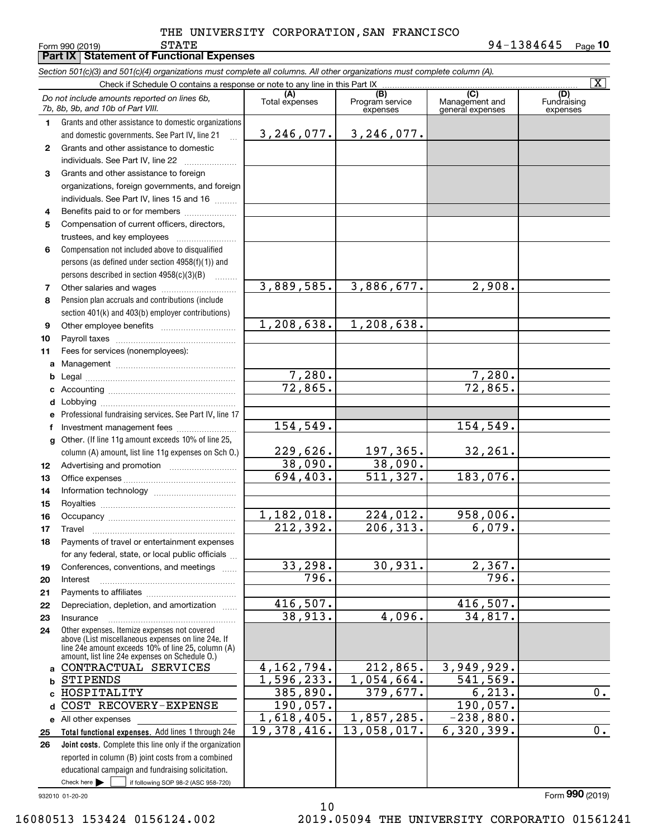**Part IX Statement of Functional Expenses**

|              | Section 501(c)(3) and 501(c)(4) organizations must complete all columns. All other organizations must complete column (A).<br>Check if Schedule O contains a response or note to any line in this Part IX |                        |                                    |                                    | $ \overline{\mathrm{X}} $      |
|--------------|-----------------------------------------------------------------------------------------------------------------------------------------------------------------------------------------------------------|------------------------|------------------------------------|------------------------------------|--------------------------------|
|              |                                                                                                                                                                                                           | (A)                    |                                    | (C)                                | (D)                            |
|              | Do not include amounts reported on lines 6b,<br>7b, 8b, 9b, and 10b of Part VIII.                                                                                                                         | Total expenses         | (B)<br>Program service<br>expenses | Management and<br>general expenses | <b>Fundraising</b><br>expenses |
| 1            | Grants and other assistance to domestic organizations                                                                                                                                                     |                        |                                    |                                    |                                |
|              | and domestic governments. See Part IV, line 21<br>$\mathbf{r}$                                                                                                                                            | 3, 246, 077.           | 3, 246, 077.                       |                                    |                                |
| $\mathbf{2}$ | Grants and other assistance to domestic                                                                                                                                                                   |                        |                                    |                                    |                                |
|              | individuals. See Part IV, line 22                                                                                                                                                                         |                        |                                    |                                    |                                |
| 3            | Grants and other assistance to foreign                                                                                                                                                                    |                        |                                    |                                    |                                |
|              | organizations, foreign governments, and foreign                                                                                                                                                           |                        |                                    |                                    |                                |
|              | individuals. See Part IV, lines 15 and 16                                                                                                                                                                 |                        |                                    |                                    |                                |
| 4            | Benefits paid to or for members                                                                                                                                                                           |                        |                                    |                                    |                                |
| 5            | Compensation of current officers, directors,                                                                                                                                                              |                        |                                    |                                    |                                |
|              | trustees, and key employees                                                                                                                                                                               |                        |                                    |                                    |                                |
| 6            | Compensation not included above to disqualified                                                                                                                                                           |                        |                                    |                                    |                                |
|              | persons (as defined under section 4958(f)(1)) and                                                                                                                                                         |                        |                                    |                                    |                                |
|              | persons described in section 4958(c)(3)(B)<br>.                                                                                                                                                           |                        |                                    |                                    |                                |
| 7            |                                                                                                                                                                                                           | 3,889,585.             | 3,886,677.                         | 2,908.                             |                                |
| 8            | Pension plan accruals and contributions (include                                                                                                                                                          |                        |                                    |                                    |                                |
|              | section 401(k) and 403(b) employer contributions)                                                                                                                                                         |                        |                                    |                                    |                                |
| 9            |                                                                                                                                                                                                           | 1,208,638.             | 1,208,638.                         |                                    |                                |
| 10           |                                                                                                                                                                                                           |                        |                                    |                                    |                                |
| 11           | Fees for services (nonemployees):                                                                                                                                                                         |                        |                                    |                                    |                                |
| a            |                                                                                                                                                                                                           |                        |                                    |                                    |                                |
| b            |                                                                                                                                                                                                           | <u>7,280.</u>          |                                    | 7,280.                             |                                |
| c            |                                                                                                                                                                                                           | 72,865.                |                                    | 72,865.                            |                                |
| d            |                                                                                                                                                                                                           |                        |                                    |                                    |                                |
| е            | Professional fundraising services. See Part IV, line 17                                                                                                                                                   |                        |                                    |                                    |                                |
| f            | Investment management fees                                                                                                                                                                                | 154,549.               |                                    | 154,549.                           |                                |
| g            | Other. (If line 11g amount exceeds 10% of line 25,                                                                                                                                                        |                        |                                    |                                    |                                |
|              | column (A) amount, list line 11g expenses on Sch 0.)                                                                                                                                                      | 229,626.               | 197,365.                           | 32,261.                            |                                |
| 12           |                                                                                                                                                                                                           | 38,090.                | 38,090.                            |                                    |                                |
| 13           |                                                                                                                                                                                                           | 694,403.               | 511,327.                           | 183,076.                           |                                |
| 14           |                                                                                                                                                                                                           |                        |                                    |                                    |                                |
| 15           |                                                                                                                                                                                                           | 1,182,018.             | 224,012.                           | 958,006.                           |                                |
| 16           |                                                                                                                                                                                                           | $\overline{212,392}$ . | 206, 313.                          | 6,079.                             |                                |
| 17           | Payments of travel or entertainment expenses                                                                                                                                                              |                        |                                    |                                    |                                |
| 18           |                                                                                                                                                                                                           |                        |                                    |                                    |                                |
| 19           | for any federal, state, or local public officials<br>Conferences, conventions, and meetings                                                                                                               | 33,298.                | 30,931.                            | 2,367.                             |                                |
| 20           | Interest                                                                                                                                                                                                  | 796.                   |                                    | $\overline{796}$ .                 |                                |
| 21           |                                                                                                                                                                                                           |                        |                                    |                                    |                                |
| 22           | Depreciation, depletion, and amortization                                                                                                                                                                 | 416,507.               |                                    | 416,507.                           |                                |
| 23           | Insurance                                                                                                                                                                                                 | 38,913.                | 4,096.                             | 34,817.                            |                                |
| 24           | Other expenses. Itemize expenses not covered                                                                                                                                                              |                        |                                    |                                    |                                |
|              | above (List miscellaneous expenses on line 24e. If<br>line 24e amount exceeds 10% of line 25, column (A)                                                                                                  |                        |                                    |                                    |                                |
|              | amount, list line 24e expenses on Schedule O.)                                                                                                                                                            |                        |                                    |                                    |                                |
| a            | CONTRACTUAL SERVICES                                                                                                                                                                                      | 4, 162, 794.           | 212,865.                           | 3,949,929.                         |                                |
| b            | STIPENDS                                                                                                                                                                                                  | 1,596,233.             | 1,054,664.                         | 541,569.                           |                                |
| C            | HOSPITALITY                                                                                                                                                                                               | 385,890.               | 379,677.                           | 6, 213.                            | 0.                             |
| d            | COST RECOVERY-EXPENSE                                                                                                                                                                                     | 190,057.               |                                    | 190,057.                           |                                |
|              | e All other expenses                                                                                                                                                                                      | 1,618,405.             | 1,857,285.                         | $-238,880.$                        |                                |
| 25           | Total functional expenses. Add lines 1 through 24e                                                                                                                                                        | 19,378,416.            | 13,058,017.                        | 6,320,399.                         | $\overline{0}$ .               |
| 26           | Joint costs. Complete this line only if the organization                                                                                                                                                  |                        |                                    |                                    |                                |
|              | reported in column (B) joint costs from a combined                                                                                                                                                        |                        |                                    |                                    |                                |
|              | educational campaign and fundraising solicitation.                                                                                                                                                        |                        |                                    |                                    |                                |
|              | Check here $\blacktriangleright$<br>if following SOP 98-2 (ASC 958-720)                                                                                                                                   |                        |                                    |                                    |                                |

932010 01-20-20

Form (2019) **990**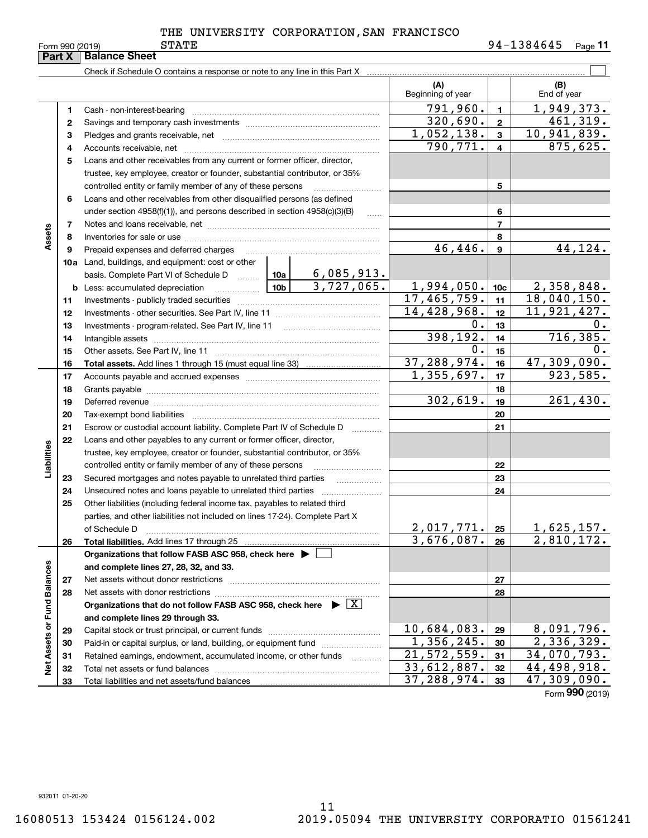**Part X Balance Sheet**<br>**Part X Balance** 

|                             | <b>Part X</b> | <b>Balance Sheet</b>                                                                                                                                                                                                           |            |                          |                           |                |                          |
|-----------------------------|---------------|--------------------------------------------------------------------------------------------------------------------------------------------------------------------------------------------------------------------------------|------------|--------------------------|---------------------------|----------------|--------------------------|
|                             |               | Check if Schedule O contains a response or note to any line in this Part X                                                                                                                                                     |            |                          |                           |                |                          |
|                             |               |                                                                                                                                                                                                                                |            |                          | (A)<br>Beginning of year  |                | (B)<br>End of year       |
|                             | 1             | Cash - non-interest-bearing                                                                                                                                                                                                    |            |                          | 791,960.                  | $\mathbf{1}$   | 1,949,373.               |
|                             | 2             |                                                                                                                                                                                                                                |            |                          | 320,690.                  | $\overline{2}$ | 461,319.                 |
|                             | з             |                                                                                                                                                                                                                                |            |                          | 1,052,138.                | 3              | 10,941,839.              |
|                             | 4             |                                                                                                                                                                                                                                |            |                          | 790,771.                  | $\overline{4}$ | 875,625.                 |
|                             | 5             | Loans and other receivables from any current or former officer, director,                                                                                                                                                      |            |                          |                           |                |                          |
|                             |               | trustee, key employee, creator or founder, substantial contributor, or 35%                                                                                                                                                     |            |                          |                           |                |                          |
|                             |               | controlled entity or family member of any of these persons                                                                                                                                                                     |            |                          |                           | 5              |                          |
|                             | 6             | Loans and other receivables from other disqualified persons (as defined                                                                                                                                                        |            |                          |                           |                |                          |
|                             |               | under section 4958(f)(1)), and persons described in section 4958(c)(3)(B)                                                                                                                                                      |            | $\ldots$                 |                           | 6              |                          |
|                             | 7             |                                                                                                                                                                                                                                |            |                          | 7                         |                |                          |
| Assets                      | 8             |                                                                                                                                                                                                                                |            |                          |                           | 8              |                          |
|                             | 9             | Prepaid expenses and deferred charges                                                                                                                                                                                          |            |                          | 46,446.                   | 9              | 44,124.                  |
|                             |               | 10a Land, buildings, and equipment: cost or other                                                                                                                                                                              |            |                          |                           |                |                          |
|                             |               | basis. Complete Part VI of Schedule D    10a   6, 085, 913.                                                                                                                                                                    |            |                          |                           |                |                          |
|                             |               | <b>10b</b><br><b>b</b> Less: accumulated depreciation                                                                                                                                                                          | 3,727,065. | 1,994,050.               | 10 <sub>c</sub>           | 2,358,848.     |                          |
|                             | 11            |                                                                                                                                                                                                                                |            | 17,465,759.              | 11                        | 18,040,150.    |                          |
|                             | 12            |                                                                                                                                                                                                                                |            | 14,428,968.              | 12                        | 11,921,427.    |                          |
|                             | 13            |                                                                                                                                                                                                                                |            | 0.                       | 13                        | 0.             |                          |
|                             | 14            |                                                                                                                                                                                                                                |            |                          | 398, 192.                 | 14             | 716, 385.                |
|                             | 15            |                                                                                                                                                                                                                                |            |                          | 0.                        | 15             | 0.                       |
|                             | 16            |                                                                                                                                                                                                                                |            |                          | 37,288,974.               | 16             | 47,309,090.              |
|                             | 17            |                                                                                                                                                                                                                                |            |                          | $\overline{1,355,697}$ .  | 17             | 923,585.                 |
|                             | 18            |                                                                                                                                                                                                                                |            | 18                       |                           |                |                          |
|                             | 19            | Deferred revenue material contracts and a contract of the contract of the contract of the contract of the contract of the contract of the contract of the contract of the contract of the contract of the contract of the cont |            |                          | 302,619.                  | 19             | 261,430.                 |
|                             | 20            |                                                                                                                                                                                                                                |            |                          |                           | 20             |                          |
|                             | 21            | Escrow or custodial account liability. Complete Part IV of Schedule D                                                                                                                                                          |            | 1.1.1.1.1.1.1.1.1        |                           | 21             |                          |
|                             | 22            | Loans and other payables to any current or former officer, director,                                                                                                                                                           |            |                          |                           |                |                          |
| Liabilities                 |               | trustee, key employee, creator or founder, substantial contributor, or 35%                                                                                                                                                     |            |                          |                           |                |                          |
|                             |               | controlled entity or family member of any of these persons                                                                                                                                                                     |            |                          |                           | 22             |                          |
|                             | 23            | Secured mortgages and notes payable to unrelated third parties                                                                                                                                                                 |            |                          |                           | 23             |                          |
|                             | 24            |                                                                                                                                                                                                                                |            |                          |                           | 24             |                          |
|                             | 25            | Other liabilities (including federal income tax, payables to related third                                                                                                                                                     |            |                          |                           |                |                          |
|                             |               | parties, and other liabilities not included on lines 17-24). Complete Part X                                                                                                                                                   |            |                          |                           |                |                          |
|                             |               | of Schedule D                                                                                                                                                                                                                  |            |                          | 2,017,771.                | 25             | 1,625,157.               |
|                             | 26            |                                                                                                                                                                                                                                |            |                          | 3,676,087.                | 26             | 2,810,172.               |
|                             |               | Organizations that follow FASB ASC 958, check here $\blacktriangleright$                                                                                                                                                       |            |                          |                           |                |                          |
|                             |               | and complete lines 27, 28, 32, and 33.                                                                                                                                                                                         |            |                          |                           |                |                          |
|                             | 27            | Net assets without donor restrictions                                                                                                                                                                                          |            |                          |                           | 27             |                          |
|                             | 28            |                                                                                                                                                                                                                                |            |                          |                           | 28             |                          |
|                             |               | Organizations that do not follow FASB ASC 958, check here $\triangleright \lfloor X \rfloor$                                                                                                                                   |            |                          |                           |                |                          |
|                             |               | and complete lines 29 through 33.                                                                                                                                                                                              |            |                          |                           |                |                          |
| Net Assets or Fund Balances | 29            |                                                                                                                                                                                                                                |            |                          | 10,684,083.<br>1,356,245. | 29             | 8,091,796.<br>2,336,329. |
|                             | 30            | Paid-in or capital surplus, or land, building, or equipment fund                                                                                                                                                               |            |                          | 21, 572, 559.             | 30             | 34,070,793.              |
|                             | 31            | Retained earnings, endowment, accumulated income, or other funds                                                                                                                                                               |            | $\overline{\phantom{a}}$ | 33,612,887.               | 31<br>32       | 44,498,918.              |
|                             | 32            |                                                                                                                                                                                                                                |            |                          | 37, 288, 974.             | 33             | 47,309,090.              |
|                             | 33            |                                                                                                                                                                                                                                |            |                          |                           |                |                          |

Form (2019) **990**

932011 01-20-20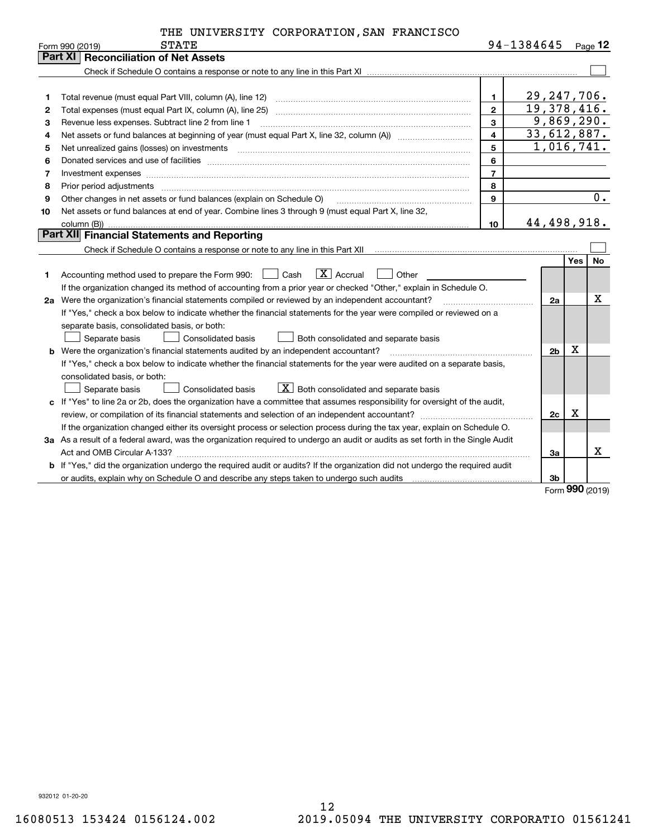| THE UNIVERSITY CORPORATION,SAN FRANCISCO |  |
|------------------------------------------|--|
|------------------------------------------|--|

|    | <b>STATE</b><br>Form 990 (2019)                                                                                                                                                                                                |                | 94-1384645     |            | $_{\text{Page}}$ 12 |
|----|--------------------------------------------------------------------------------------------------------------------------------------------------------------------------------------------------------------------------------|----------------|----------------|------------|---------------------|
|    | <b>Reconciliation of Net Assets</b><br>Part XI                                                                                                                                                                                 |                |                |            |                     |
|    |                                                                                                                                                                                                                                |                |                |            |                     |
|    |                                                                                                                                                                                                                                |                |                |            |                     |
| 1  | Total revenue (must equal Part VIII, column (A), line 12)                                                                                                                                                                      | $\blacksquare$ | 29, 247, 706.  |            |                     |
| 2  | Total expenses (must equal Part IX, column (A), line 25)                                                                                                                                                                       | $\mathbf{z}$   | 19, 378, 416.  |            |                     |
| 3  | Revenue less expenses. Subtract line 2 from line 1                                                                                                                                                                             | $\mathbf{3}$   | 9,869,290.     |            |                     |
| 4  |                                                                                                                                                                                                                                | 4              | 33,612,887.    |            |                     |
| 5  | Net unrealized gains (losses) on investments                                                                                                                                                                                   | 5              | 1,016,741.     |            |                     |
| 6  | Donated services and use of facilities [111] matter contracts and the service of facilities [11] matter contracts and use of facilities [11] matter contracts and the service of facilities [11] matter contracts and the serv | 6              |                |            |                     |
| 7  | Investment expenses www.communication.com/www.communication.com/www.communication.com/www.com                                                                                                                                  | $\overline{7}$ |                |            |                     |
| 8  | Prior period adjustments                                                                                                                                                                                                       | 8              |                |            |                     |
| 9  | Other changes in net assets or fund balances (explain on Schedule O)                                                                                                                                                           | 9              |                |            | 0.                  |
| 10 | Net assets or fund balances at end of year. Combine lines 3 through 9 (must equal Part X, line 32,                                                                                                                             |                |                |            |                     |
|    |                                                                                                                                                                                                                                | 10             | 44,498,918.    |            |                     |
|    | Part XII Financial Statements and Reporting                                                                                                                                                                                    |                |                |            |                     |
|    | Check if Schedule O contains a response or note to any line in this Part XII <i>manumano contained in the Schedule O</i> contains a response or note to any line in this Part XII                                              |                |                |            |                     |
|    |                                                                                                                                                                                                                                |                |                | <b>Yes</b> | <b>No</b>           |
| 1. | $\boxed{\mathbf{X}}$ Accrual<br>Accounting method used to prepare the Form 990: <u>June</u> Cash<br>Other                                                                                                                      |                |                |            |                     |
|    | If the organization changed its method of accounting from a prior year or checked "Other," explain in Schedule O.                                                                                                              |                |                |            |                     |
|    | 2a Were the organization's financial statements compiled or reviewed by an independent accountant?                                                                                                                             |                | 2a             |            | x                   |
|    | If "Yes," check a box below to indicate whether the financial statements for the year were compiled or reviewed on a                                                                                                           |                |                |            |                     |
|    | separate basis, consolidated basis, or both:                                                                                                                                                                                   |                |                |            |                     |
|    | Separate basis<br>Consolidated basis<br>Both consolidated and separate basis                                                                                                                                                   |                |                |            |                     |
|    | <b>b</b> Were the organization's financial statements audited by an independent accountant?                                                                                                                                    |                | 2 <sub>b</sub> | х          |                     |
|    | If "Yes," check a box below to indicate whether the financial statements for the year were audited on a separate basis,                                                                                                        |                |                |            |                     |
|    | consolidated basis, or both:                                                                                                                                                                                                   |                |                |            |                     |
|    | $X$ Both consolidated and separate basis<br>Consolidated basis<br>Separate basis                                                                                                                                               |                |                |            |                     |
|    | c If "Yes" to line 2a or 2b, does the organization have a committee that assumes responsibility for oversight of the audit,                                                                                                    |                |                |            |                     |
|    | review, or compilation of its financial statements and selection of an independent accountant?                                                                                                                                 |                | 2c             | х          |                     |
|    | If the organization changed either its oversight process or selection process during the tax year, explain on Schedule O.                                                                                                      |                |                |            |                     |
|    | 3a As a result of a federal award, was the organization required to undergo an audit or audits as set forth in the Single Audit                                                                                                |                |                |            |                     |
|    |                                                                                                                                                                                                                                |                | За             |            | х                   |
|    | b If "Yes," did the organization undergo the required audit or audits? If the organization did not undergo the required audit                                                                                                  |                |                |            |                     |
|    |                                                                                                                                                                                                                                |                | 3b             | <u>nnn</u> |                     |

Form (2019) **990**

932012 01-20-20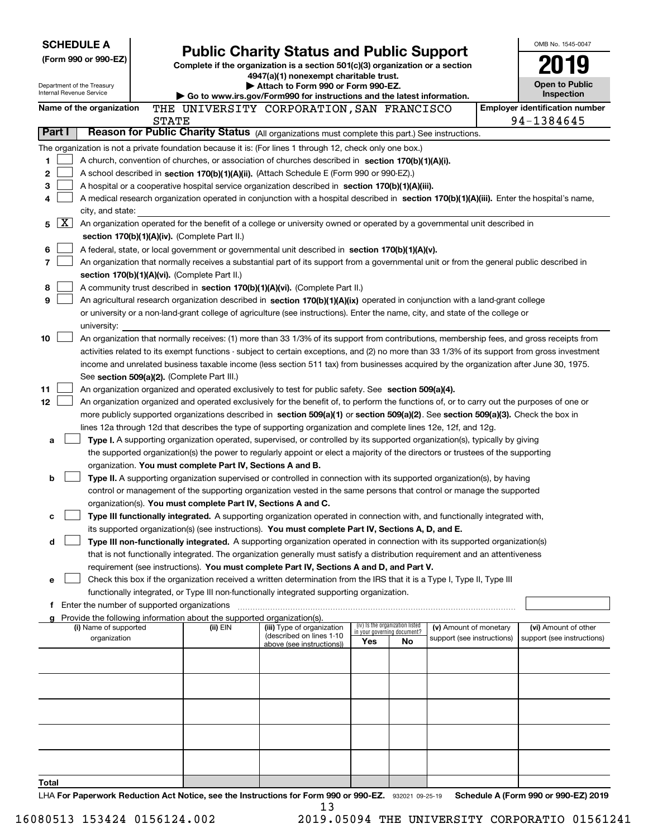| <b>SCHEDULE A</b> |                 |                                                                                                                                               |              |                                                                        |                                                                                                                                                                                                                                                    |                             |                                 |                            |  | OMB No. 1545-0047                     |  |  |  |
|-------------------|-----------------|-----------------------------------------------------------------------------------------------------------------------------------------------|--------------|------------------------------------------------------------------------|----------------------------------------------------------------------------------------------------------------------------------------------------------------------------------------------------------------------------------------------------|-----------------------------|---------------------------------|----------------------------|--|---------------------------------------|--|--|--|
|                   |                 | (Form 990 or 990-EZ)                                                                                                                          |              |                                                                        | <b>Public Charity Status and Public Support</b>                                                                                                                                                                                                    |                             |                                 |                            |  |                                       |  |  |  |
|                   |                 |                                                                                                                                               |              |                                                                        | Complete if the organization is a section 501(c)(3) organization or a section<br>4947(a)(1) nonexempt charitable trust.                                                                                                                            |                             |                                 |                            |  |                                       |  |  |  |
|                   |                 | Department of the Treasury                                                                                                                    |              |                                                                        | Attach to Form 990 or Form 990-EZ.                                                                                                                                                                                                                 |                             |                                 |                            |  | <b>Open to Public</b>                 |  |  |  |
|                   |                 | Internal Revenue Service                                                                                                                      |              |                                                                        | ► Go to www.irs.gov/Form990 for instructions and the latest information.                                                                                                                                                                           |                             |                                 |                            |  | Inspection                            |  |  |  |
|                   |                 | Name of the organization                                                                                                                      |              |                                                                        | THE UNIVERSITY CORPORATION, SAN FRANCISCO                                                                                                                                                                                                          |                             |                                 |                            |  | <b>Employer identification number</b> |  |  |  |
|                   | Part I          |                                                                                                                                               | <b>STATE</b> |                                                                        | Reason for Public Charity Status (All organizations must complete this part.) See instructions.                                                                                                                                                    |                             |                                 |                            |  | 94-1384645                            |  |  |  |
|                   |                 |                                                                                                                                               |              |                                                                        | The organization is not a private foundation because it is: (For lines 1 through 12, check only one box.)                                                                                                                                          |                             |                                 |                            |  |                                       |  |  |  |
| 1                 |                 |                                                                                                                                               |              |                                                                        | A church, convention of churches, or association of churches described in section 170(b)(1)(A)(i).                                                                                                                                                 |                             |                                 |                            |  |                                       |  |  |  |
| 2                 |                 |                                                                                                                                               |              |                                                                        | A school described in section 170(b)(1)(A)(ii). (Attach Schedule E (Form 990 or 990-EZ).)                                                                                                                                                          |                             |                                 |                            |  |                                       |  |  |  |
| 3                 |                 |                                                                                                                                               |              |                                                                        | A hospital or a cooperative hospital service organization described in section $170(b)(1)(A)(iii)$ .                                                                                                                                               |                             |                                 |                            |  |                                       |  |  |  |
| 4                 |                 |                                                                                                                                               |              |                                                                        | A medical research organization operated in conjunction with a hospital described in section 170(b)(1)(A)(iii). Enter the hospital's name,                                                                                                         |                             |                                 |                            |  |                                       |  |  |  |
|                   |                 | city, and state:                                                                                                                              |              |                                                                        |                                                                                                                                                                                                                                                    |                             |                                 |                            |  |                                       |  |  |  |
| 5                 | $\mid$ X $\mid$ |                                                                                                                                               |              |                                                                        | An organization operated for the benefit of a college or university owned or operated by a governmental unit described in                                                                                                                          |                             |                                 |                            |  |                                       |  |  |  |
|                   |                 |                                                                                                                                               |              | section 170(b)(1)(A)(iv). (Complete Part II.)                          |                                                                                                                                                                                                                                                    |                             |                                 |                            |  |                                       |  |  |  |
| 6                 |                 |                                                                                                                                               |              |                                                                        | A federal, state, or local government or governmental unit described in section 170(b)(1)(A)(v).                                                                                                                                                   |                             |                                 |                            |  |                                       |  |  |  |
| 7                 |                 |                                                                                                                                               |              |                                                                        | An organization that normally receives a substantial part of its support from a governmental unit or from the general public described in                                                                                                          |                             |                                 |                            |  |                                       |  |  |  |
| 8                 |                 | section 170(b)(1)(A)(vi). (Complete Part II.)<br>A community trust described in section 170(b)(1)(A)(vi). (Complete Part II.)                 |              |                                                                        |                                                                                                                                                                                                                                                    |                             |                                 |                            |  |                                       |  |  |  |
| 9                 |                 |                                                                                                                                               |              |                                                                        | An agricultural research organization described in section 170(b)(1)(A)(ix) operated in conjunction with a land-grant college                                                                                                                      |                             |                                 |                            |  |                                       |  |  |  |
|                   |                 |                                                                                                                                               |              |                                                                        | or university or a non-land-grant college of agriculture (see instructions). Enter the name, city, and state of the college or                                                                                                                     |                             |                                 |                            |  |                                       |  |  |  |
|                   |                 | university:                                                                                                                                   |              |                                                                        |                                                                                                                                                                                                                                                    |                             |                                 |                            |  |                                       |  |  |  |
| 10                |                 |                                                                                                                                               |              |                                                                        | An organization that normally receives: (1) more than 33 1/3% of its support from contributions, membership fees, and gross receipts from                                                                                                          |                             |                                 |                            |  |                                       |  |  |  |
|                   |                 | activities related to its exempt functions - subject to certain exceptions, and (2) no more than 33 1/3% of its support from gross investment |              |                                                                        |                                                                                                                                                                                                                                                    |                             |                                 |                            |  |                                       |  |  |  |
|                   |                 | income and unrelated business taxable income (less section 511 tax) from businesses acquired by the organization after June 30, 1975.         |              |                                                                        |                                                                                                                                                                                                                                                    |                             |                                 |                            |  |                                       |  |  |  |
|                   |                 |                                                                                                                                               |              | See section 509(a)(2). (Complete Part III.)                            |                                                                                                                                                                                                                                                    |                             |                                 |                            |  |                                       |  |  |  |
| 11<br>12          |                 |                                                                                                                                               |              |                                                                        | An organization organized and operated exclusively to test for public safety. See section 509(a)(4).<br>An organization organized and operated exclusively for the benefit of, to perform the functions of, or to carry out the purposes of one or |                             |                                 |                            |  |                                       |  |  |  |
|                   |                 |                                                                                                                                               |              |                                                                        | more publicly supported organizations described in section 509(a)(1) or section 509(a)(2). See section 509(a)(3). Check the box in                                                                                                                 |                             |                                 |                            |  |                                       |  |  |  |
|                   |                 |                                                                                                                                               |              |                                                                        | lines 12a through 12d that describes the type of supporting organization and complete lines 12e, 12f, and 12g.                                                                                                                                     |                             |                                 |                            |  |                                       |  |  |  |
| a                 |                 |                                                                                                                                               |              |                                                                        | Type I. A supporting organization operated, supervised, or controlled by its supported organization(s), typically by giving                                                                                                                        |                             |                                 |                            |  |                                       |  |  |  |
|                   |                 |                                                                                                                                               |              |                                                                        | the supported organization(s) the power to regularly appoint or elect a majority of the directors or trustees of the supporting                                                                                                                    |                             |                                 |                            |  |                                       |  |  |  |
|                   |                 |                                                                                                                                               |              | organization. You must complete Part IV, Sections A and B.             |                                                                                                                                                                                                                                                    |                             |                                 |                            |  |                                       |  |  |  |
| b                 |                 |                                                                                                                                               |              |                                                                        | Type II. A supporting organization supervised or controlled in connection with its supported organization(s), by having                                                                                                                            |                             |                                 |                            |  |                                       |  |  |  |
|                   |                 |                                                                                                                                               |              | organization(s). You must complete Part IV, Sections A and C.          | control or management of the supporting organization vested in the same persons that control or manage the supported                                                                                                                               |                             |                                 |                            |  |                                       |  |  |  |
| c                 |                 |                                                                                                                                               |              |                                                                        | Type III functionally integrated. A supporting organization operated in connection with, and functionally integrated with,                                                                                                                         |                             |                                 |                            |  |                                       |  |  |  |
|                   |                 |                                                                                                                                               |              |                                                                        | its supported organization(s) (see instructions). You must complete Part IV, Sections A, D, and E.                                                                                                                                                 |                             |                                 |                            |  |                                       |  |  |  |
| d                 |                 |                                                                                                                                               |              |                                                                        | Type III non-functionally integrated. A supporting organization operated in connection with its supported organization(s)                                                                                                                          |                             |                                 |                            |  |                                       |  |  |  |
|                   |                 |                                                                                                                                               |              |                                                                        | that is not functionally integrated. The organization generally must satisfy a distribution requirement and an attentiveness                                                                                                                       |                             |                                 |                            |  |                                       |  |  |  |
|                   |                 |                                                                                                                                               |              |                                                                        | requirement (see instructions). You must complete Part IV, Sections A and D, and Part V.                                                                                                                                                           |                             |                                 |                            |  |                                       |  |  |  |
| е                 |                 |                                                                                                                                               |              |                                                                        | Check this box if the organization received a written determination from the IRS that it is a Type I, Type II, Type III                                                                                                                            |                             |                                 |                            |  |                                       |  |  |  |
|                   |                 | Enter the number of supported organizations                                                                                                   |              |                                                                        | functionally integrated, or Type III non-functionally integrated supporting organization.                                                                                                                                                          |                             |                                 |                            |  |                                       |  |  |  |
| f.                |                 |                                                                                                                                               |              | Provide the following information about the supported organization(s). |                                                                                                                                                                                                                                                    |                             |                                 |                            |  |                                       |  |  |  |
|                   |                 | (i) Name of supported                                                                                                                         |              | (ii) EIN                                                               | (iii) Type of organization                                                                                                                                                                                                                         | in your governing document? | (iv) Is the organization listed | (v) Amount of monetary     |  | (vi) Amount of other                  |  |  |  |
|                   |                 | organization                                                                                                                                  |              |                                                                        | (described on lines 1-10<br>above (see instructions))                                                                                                                                                                                              | Yes                         | No                              | support (see instructions) |  | support (see instructions)            |  |  |  |
|                   |                 |                                                                                                                                               |              |                                                                        |                                                                                                                                                                                                                                                    |                             |                                 |                            |  |                                       |  |  |  |
|                   |                 |                                                                                                                                               |              |                                                                        |                                                                                                                                                                                                                                                    |                             |                                 |                            |  |                                       |  |  |  |
|                   |                 |                                                                                                                                               |              |                                                                        |                                                                                                                                                                                                                                                    |                             |                                 |                            |  |                                       |  |  |  |
|                   |                 |                                                                                                                                               |              |                                                                        |                                                                                                                                                                                                                                                    |                             |                                 |                            |  |                                       |  |  |  |
|                   |                 |                                                                                                                                               |              |                                                                        |                                                                                                                                                                                                                                                    |                             |                                 |                            |  |                                       |  |  |  |
|                   |                 |                                                                                                                                               |              |                                                                        |                                                                                                                                                                                                                                                    |                             |                                 |                            |  |                                       |  |  |  |
|                   |                 |                                                                                                                                               |              |                                                                        |                                                                                                                                                                                                                                                    |                             |                                 |                            |  |                                       |  |  |  |
|                   |                 |                                                                                                                                               |              |                                                                        |                                                                                                                                                                                                                                                    |                             |                                 |                            |  |                                       |  |  |  |
|                   |                 |                                                                                                                                               |              |                                                                        |                                                                                                                                                                                                                                                    |                             |                                 |                            |  |                                       |  |  |  |
| Total             |                 |                                                                                                                                               |              |                                                                        |                                                                                                                                                                                                                                                    | 0.00E                       |                                 |                            |  | $0.00 - 0.000$ $F(7)$ $0.040$         |  |  |  |

LHA For Paperwork Reduction Act Notice, see the Instructions for Form 990 or 990-EZ. 932021 09-25-19 Schedule A (Form 990 or 990-EZ) 2019 13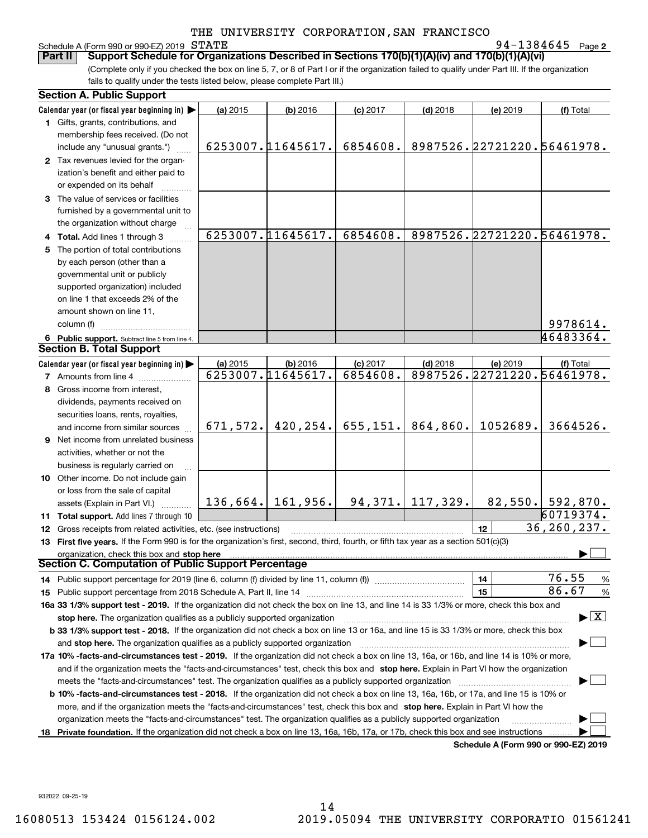#### Schedule A (Form 990 or 990-EZ) 2019 STATE

**2** STATE 94-1384645

(Complete only if you checked the box on line 5, 7, or 8 of Part I or if the organization failed to qualify under Part III. If the organization fails to qualify under the tests listed below, please complete Part III.) **Part II** | Support Schedule for Organizations Described in Sections 170(b)(1)(A)(iv) and 170(b)(1)(A)(vi)

|    | <b>Section A. Public Support</b>                                                                                                               |          |                                 |            |                      |                                        |                                          |
|----|------------------------------------------------------------------------------------------------------------------------------------------------|----------|---------------------------------|------------|----------------------|----------------------------------------|------------------------------------------|
|    | Calendar year (or fiscal year beginning in)                                                                                                    | (a) 2015 | (b) 2016                        | $(c)$ 2017 | $(d)$ 2018           | (e) 2019                               | (f) Total                                |
|    | 1 Gifts, grants, contributions, and                                                                                                            |          |                                 |            |                      |                                        |                                          |
|    | membership fees received. (Do not                                                                                                              |          |                                 |            |                      |                                        |                                          |
|    | include any "unusual grants.")                                                                                                                 |          | 6253007.11645617.               | 6854608.   |                      | 8987526.22721220.56461978.             |                                          |
|    | 2 Tax revenues levied for the organ-                                                                                                           |          |                                 |            |                      |                                        |                                          |
|    | ization's benefit and either paid to                                                                                                           |          |                                 |            |                      |                                        |                                          |
|    | or expended on its behalf                                                                                                                      |          |                                 |            |                      |                                        |                                          |
|    | 3 The value of services or facilities                                                                                                          |          |                                 |            |                      |                                        |                                          |
|    | furnished by a governmental unit to                                                                                                            |          |                                 |            |                      |                                        |                                          |
|    | the organization without charge                                                                                                                |          |                                 |            |                      |                                        |                                          |
|    | 4 Total. Add lines 1 through 3                                                                                                                 |          | 6253007.11645617.               | 6854608.   |                      |                                        | 8987526.22721220.56461978.               |
| 5. | The portion of total contributions                                                                                                             |          |                                 |            |                      |                                        |                                          |
|    | by each person (other than a                                                                                                                   |          |                                 |            |                      |                                        |                                          |
|    | governmental unit or publicly                                                                                                                  |          |                                 |            |                      |                                        |                                          |
|    | supported organization) included                                                                                                               |          |                                 |            |                      |                                        |                                          |
|    | on line 1 that exceeds 2% of the                                                                                                               |          |                                 |            |                      |                                        |                                          |
|    | amount shown on line 11,                                                                                                                       |          |                                 |            |                      |                                        |                                          |
|    | column (f)                                                                                                                                     |          |                                 |            |                      |                                        | 9978614.                                 |
|    | 6 Public support. Subtract line 5 from line 4.                                                                                                 |          |                                 |            |                      |                                        | 46483364.                                |
|    | <b>Section B. Total Support</b>                                                                                                                |          |                                 |            |                      |                                        |                                          |
|    | Calendar year (or fiscal year beginning in)                                                                                                    | (a) 2015 | $(b)$ 2016<br>6253007.11645617. | $(c)$ 2017 | $(d)$ 2018           | (e) 2019<br>8987526.22721220.56461978. | (f) Total                                |
|    | <b>7</b> Amounts from line 4                                                                                                                   |          |                                 | 6854608.   |                      |                                        |                                          |
|    | 8 Gross income from interest,                                                                                                                  |          |                                 |            |                      |                                        |                                          |
|    | dividends, payments received on                                                                                                                |          |                                 |            |                      |                                        |                                          |
|    | securities loans, rents, royalties,                                                                                                            |          |                                 |            |                      |                                        |                                          |
|    | and income from similar sources                                                                                                                | 671,572. | 420, 254.                       | 655, 151.  | 864,860.             | 1052689.                               | 3664526.                                 |
|    | 9 Net income from unrelated business                                                                                                           |          |                                 |            |                      |                                        |                                          |
|    | activities, whether or not the                                                                                                                 |          |                                 |            |                      |                                        |                                          |
|    | business is regularly carried on                                                                                                               |          |                                 |            |                      |                                        |                                          |
|    | 10 Other income. Do not include gain                                                                                                           |          |                                 |            |                      |                                        |                                          |
|    | or loss from the sale of capital                                                                                                               |          |                                 |            |                      |                                        |                                          |
|    | assets (Explain in Part VI.)                                                                                                                   |          | $136,664.$   161,956.           |            | $94, 371.$ 117, 329. |                                        | $82,550.$ 592,870.                       |
|    | 11 Total support. Add lines 7 through 10                                                                                                       |          |                                 |            |                      |                                        | 60719374.                                |
|    | 12 Gross receipts from related activities, etc. (see instructions)                                                                             |          |                                 |            |                      | 12                                     | 36, 260, 237.                            |
|    | 13 First five years. If the Form 990 is for the organization's first, second, third, fourth, or fifth tax year as a section 501(c)(3)          |          |                                 |            |                      |                                        |                                          |
|    | organization, check this box and stop here<br>Section C. Computation of Public Support Percentage                                              |          |                                 |            |                      |                                        |                                          |
|    |                                                                                                                                                |          |                                 |            |                      |                                        | 76.55                                    |
|    | 14 Public support percentage for 2019 (line 6, column (f) divided by line 11, column (f) <i>mummumumum</i>                                     |          |                                 |            |                      | 14                                     | %                                        |
|    |                                                                                                                                                |          |                                 |            |                      | 15                                     | 86.67<br>$\%$                            |
|    | 16a 33 1/3% support test - 2019. If the organization did not check the box on line 13, and line 14 is 33 1/3% or more, check this box and      |          |                                 |            |                      |                                        |                                          |
|    | stop here. The organization qualifies as a publicly supported organization                                                                     |          |                                 |            |                      |                                        | $\blacktriangleright$ $\boxed{\text{X}}$ |
|    | b 33 1/3% support test - 2018. If the organization did not check a box on line 13 or 16a, and line 15 is 33 1/3% or more, check this box       |          |                                 |            |                      |                                        |                                          |
|    | and stop here. The organization qualifies as a publicly supported organization                                                                 |          |                                 |            |                      |                                        |                                          |
|    | 17a 10% -facts-and-circumstances test - 2019. If the organization did not check a box on line 13, 16a, or 16b, and line 14 is 10% or more,     |          |                                 |            |                      |                                        |                                          |
|    | and if the organization meets the "facts-and-circumstances" test, check this box and stop here. Explain in Part VI how the organization        |          |                                 |            |                      |                                        |                                          |
|    | meets the "facts-and-circumstances" test. The organization qualifies as a publicly supported organization <i>marroummumumum</i>                |          |                                 |            |                      |                                        |                                          |
|    | <b>b 10% -facts-and-circumstances test - 2018.</b> If the organization did not check a box on line 13, 16a, 16b, or 17a, and line 15 is 10% or |          |                                 |            |                      |                                        |                                          |
|    | more, and if the organization meets the "facts-and-circumstances" test, check this box and stop here. Explain in Part VI how the               |          |                                 |            |                      |                                        |                                          |
|    | organization meets the "facts-and-circumstances" test. The organization qualifies as a publicly supported organization                         |          |                                 |            |                      |                                        |                                          |
|    | 18 Private foundation. If the organization did not check a box on line 13, 16a, 16b, 17a, or 17b, check this box and see instructions          |          |                                 |            |                      |                                        |                                          |
|    |                                                                                                                                                |          |                                 |            |                      |                                        | Schedule A (Form 990 or 990-EZ) 2019     |

**Schedule A (Form 990 or 990-EZ) 2019**

932022 09-25-19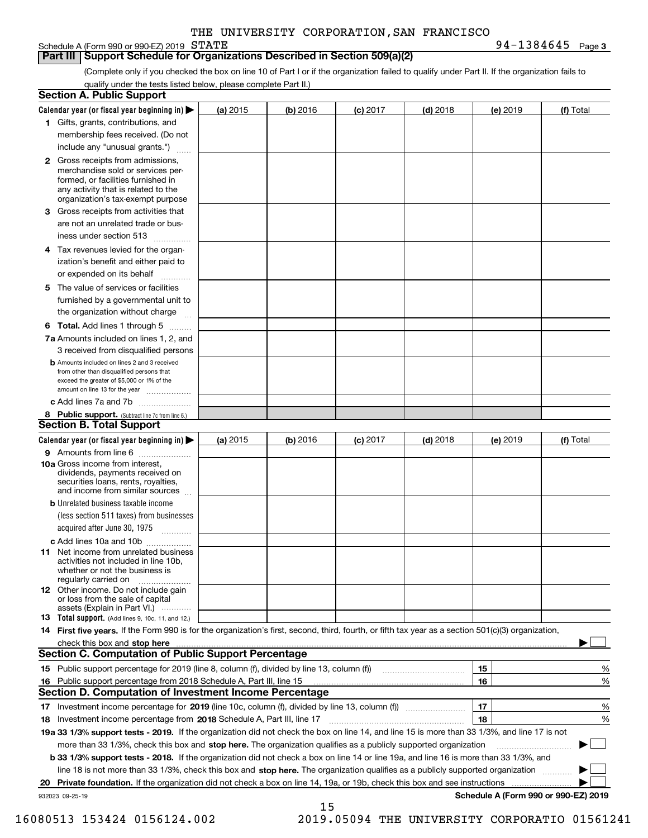#### Schedule A (Form 990 or 990-EZ) 2019 STATE

**Part III Support Schedule for Organizations Described in Section 509(a)(2)** 

**3** STATE 94-1384645

| (Complete only if you checked the box on line 10 of Part I or if the organization failed to qualify under Part II. If the organization fails to |                                                                 |            |            |            |            |           |  |  |  |  |
|-------------------------------------------------------------------------------------------------------------------------------------------------|-----------------------------------------------------------------|------------|------------|------------|------------|-----------|--|--|--|--|
|                                                                                                                                                 | qualify under the tests listed below, please complete Part II.) |            |            |            |            |           |  |  |  |  |
| <b>Section A. Public Support</b>                                                                                                                |                                                                 |            |            |            |            |           |  |  |  |  |
| Calendar year (or fiscal year beginning in) $\blacktriangleright$                                                                               | (a) 2015                                                        | $(b)$ 2016 | $(c)$ 2017 | $(d)$ 2018 | $(e)$ 2019 | (f) Total |  |  |  |  |

|     | Calendar year (or fiscal year beginning in)                                                                                                                                              | (a) 2015 | (b) 2016 | $(c)$ 2017 | $(d)$ 2018 | (e) 2019 | (f) Total                            |
|-----|------------------------------------------------------------------------------------------------------------------------------------------------------------------------------------------|----------|----------|------------|------------|----------|--------------------------------------|
|     | 1 Gifts, grants, contributions, and<br>membership fees received. (Do not<br>include any "unusual grants.")                                                                               |          |          |            |            |          |                                      |
|     | 2 Gross receipts from admissions,<br>merchandise sold or services per-<br>formed, or facilities furnished in<br>any activity that is related to the<br>organization's tax-exempt purpose |          |          |            |            |          |                                      |
|     | 3 Gross receipts from activities that<br>are not an unrelated trade or bus-                                                                                                              |          |          |            |            |          |                                      |
|     | iness under section 513                                                                                                                                                                  |          |          |            |            |          |                                      |
| 4   | Tax revenues levied for the organ-<br>ization's benefit and either paid to                                                                                                               |          |          |            |            |          |                                      |
|     | or expended on its behalf                                                                                                                                                                |          |          |            |            |          |                                      |
| 5.  | The value of services or facilities<br>furnished by a governmental unit to<br>the organization without charge                                                                            |          |          |            |            |          |                                      |
|     | 6 Total. Add lines 1 through 5                                                                                                                                                           |          |          |            |            |          |                                      |
|     | 7a Amounts included on lines 1, 2, and<br>3 received from disqualified persons                                                                                                           |          |          |            |            |          |                                      |
|     | <b>b</b> Amounts included on lines 2 and 3 received<br>from other than disqualified persons that<br>exceed the greater of \$5,000 or 1% of the<br>amount on line 13 for the year         |          |          |            |            |          |                                      |
|     | c Add lines 7a and 7b                                                                                                                                                                    |          |          |            |            |          |                                      |
|     | 8 Public support. (Subtract line 7c from line 6.)                                                                                                                                        |          |          |            |            |          |                                      |
|     | <b>Section B. Total Support</b>                                                                                                                                                          |          |          |            |            |          |                                      |
|     | Calendar year (or fiscal year beginning in) $\blacktriangleright$                                                                                                                        | (a) 2015 | (b) 2016 | $(c)$ 2017 | $(d)$ 2018 | (e) 2019 | (f) Total                            |
|     | 9 Amounts from line 6                                                                                                                                                                    |          |          |            |            |          |                                      |
|     | 10a Gross income from interest,<br>dividends, payments received on<br>securities loans, rents, royalties,<br>and income from similar sources                                             |          |          |            |            |          |                                      |
|     | <b>b</b> Unrelated business taxable income<br>(less section 511 taxes) from businesses<br>acquired after June 30, 1975                                                                   |          |          |            |            |          |                                      |
|     | c Add lines 10a and 10b                                                                                                                                                                  |          |          |            |            |          |                                      |
| 11. | Net income from unrelated business<br>activities not included in line 10b,<br>whether or not the business is                                                                             |          |          |            |            |          |                                      |
|     | 12 Other income. Do not include gain<br>or loss from the sale of capital<br>assets (Explain in Part VI.)                                                                                 |          |          |            |            |          |                                      |
|     | <b>13 Total support.</b> (Add lines 9, 10c, 11, and 12.)                                                                                                                                 |          |          |            |            |          |                                      |
|     | 14 First five years. If the Form 990 is for the organization's first, second, third, fourth, or fifth tax year as a section 501(c)(3) organization,                                      |          |          |            |            |          |                                      |
|     | check this box and stop here<br><b>Section C. Computation of Public Support Percentage</b>                                                                                               |          |          |            |            |          |                                      |
|     |                                                                                                                                                                                          |          |          |            |            | 15       | %                                    |
|     | 16 Public support percentage from 2018 Schedule A, Part III, line 15                                                                                                                     |          |          |            |            | 16       | %                                    |
|     | Section D. Computation of Investment Income Percentage                                                                                                                                   |          |          |            |            |          |                                      |
|     |                                                                                                                                                                                          |          |          |            |            | 17       | %                                    |
|     |                                                                                                                                                                                          |          |          |            |            | 18       | %                                    |
|     | 19a 33 1/3% support tests - 2019. If the organization did not check the box on line 14, and line 15 is more than 33 1/3%, and line 17 is not                                             |          |          |            |            |          |                                      |
|     | more than 33 1/3%, check this box and stop here. The organization qualifies as a publicly supported organization                                                                         |          |          |            |            |          |                                      |
|     | b 33 1/3% support tests - 2018. If the organization did not check a box on line 14 or line 19a, and line 16 is more than 33 1/3%, and                                                    |          |          |            |            |          |                                      |
|     | line 18 is not more than 33 1/3%, check this box and stop here. The organization qualifies as a publicly supported organization                                                          |          |          |            |            |          |                                      |
|     |                                                                                                                                                                                          |          |          |            |            |          |                                      |
|     | 932023 09-25-19                                                                                                                                                                          |          |          |            |            |          | Schedule A (Form 990 or 990-EZ) 2019 |
|     |                                                                                                                                                                                          |          | 15       |            |            |          |                                      |

16080513 153424 0156124.002 2019.05094 THE UNIVERSITY CORPORATIO 01561241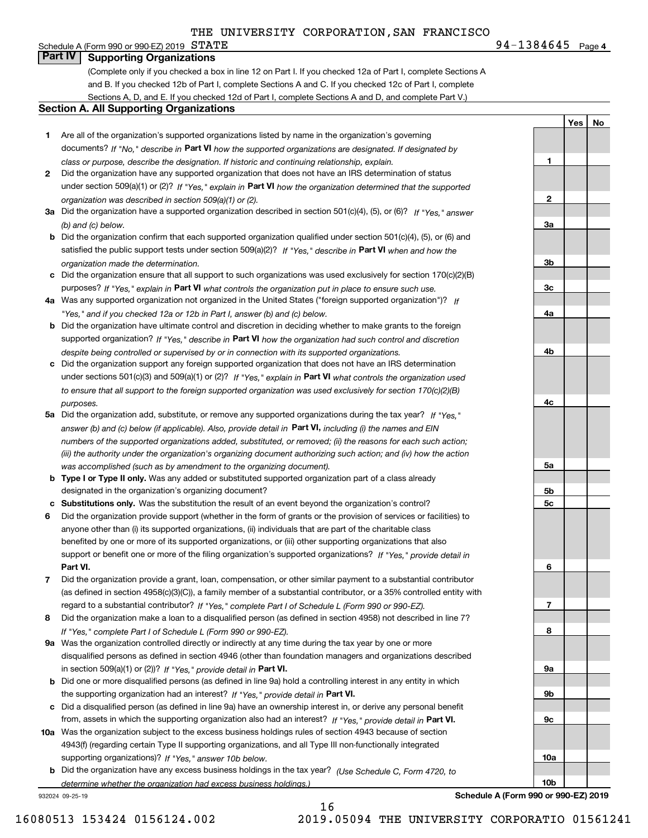#### Schedule A (Form 990 or 990-EZ) 2019  $STATE$ **Part IV Supporting Organizations**

(Complete only if you checked a box in line 12 on Part I. If you checked 12a of Part I, complete Sections A and B. If you checked 12b of Part I, complete Sections A and C. If you checked 12c of Part I, complete Sections A, D, and E. If you checked 12d of Part I, complete Sections A and D, and complete Part V.)

#### **Section A. All Supporting Organizations**

- **1** Are all of the organization's supported organizations listed by name in the organization's governing documents? If "No," describe in **Part VI** how the supported organizations are designated. If designated by *class or purpose, describe the designation. If historic and continuing relationship, explain.*
- **2**under section 509(a)(1) or (2)? If "Yes," explain in Part VI how the organization determined that the supported *organization was described in section 509(a)(1) or (2).* Did the organization have any supported organization that does not have an IRS determination of status
- **3a** Did the organization have a supported organization described in section 501(c)(4), (5), or (6)? If "Yes," answer *(b) and (c) below.*
- **b** Did the organization confirm that each supported organization qualified under section 501(c)(4), (5), or (6) and satisfied the public support tests under section 509(a)(2)? If "Yes," describe in **Part VI** when and how the *organization made the determination.*
- **c**Did the organization ensure that all support to such organizations was used exclusively for section 170(c)(2)(B) purposes? If "Yes," explain in **Part VI** what controls the organization put in place to ensure such use.
- **4a** *If* Was any supported organization not organized in the United States ("foreign supported organization")? *"Yes," and if you checked 12a or 12b in Part I, answer (b) and (c) below.*
- **b** Did the organization have ultimate control and discretion in deciding whether to make grants to the foreign supported organization? If "Yes," describe in **Part VI** how the organization had such control and discretion *despite being controlled or supervised by or in connection with its supported organizations.*
- **c** Did the organization support any foreign supported organization that does not have an IRS determination under sections 501(c)(3) and 509(a)(1) or (2)? If "Yes," explain in **Part VI** what controls the organization used *to ensure that all support to the foreign supported organization was used exclusively for section 170(c)(2)(B) purposes.*
- **5a***If "Yes,"* Did the organization add, substitute, or remove any supported organizations during the tax year? answer (b) and (c) below (if applicable). Also, provide detail in **Part VI,** including (i) the names and EIN *numbers of the supported organizations added, substituted, or removed; (ii) the reasons for each such action; (iii) the authority under the organization's organizing document authorizing such action; and (iv) how the action was accomplished (such as by amendment to the organizing document).*
- **b** Type I or Type II only. Was any added or substituted supported organization part of a class already designated in the organization's organizing document?
- **cSubstitutions only.**  Was the substitution the result of an event beyond the organization's control?
- **6** Did the organization provide support (whether in the form of grants or the provision of services or facilities) to **Part VI.** *If "Yes," provide detail in* support or benefit one or more of the filing organization's supported organizations? anyone other than (i) its supported organizations, (ii) individuals that are part of the charitable class benefited by one or more of its supported organizations, or (iii) other supporting organizations that also
- **7**Did the organization provide a grant, loan, compensation, or other similar payment to a substantial contributor *If "Yes," complete Part I of Schedule L (Form 990 or 990-EZ).* regard to a substantial contributor? (as defined in section 4958(c)(3)(C)), a family member of a substantial contributor, or a 35% controlled entity with
- **8***If "Yes," complete Part I of Schedule L (Form 990 or 990-EZ).* Did the organization make a loan to a disqualified person (as defined in section 4958) not described in line 7?
- **9a** Was the organization controlled directly or indirectly at any time during the tax year by one or more in section 509(a)(1) or (2))? If "Yes," *provide detail in* <code>Part VI.</code> disqualified persons as defined in section 4946 (other than foundation managers and organizations described
- **b**the supporting organization had an interest? If "Yes," provide detail in P**art VI**. Did one or more disqualified persons (as defined in line 9a) hold a controlling interest in any entity in which
- **c**Did a disqualified person (as defined in line 9a) have an ownership interest in, or derive any personal benefit from, assets in which the supporting organization also had an interest? If "Yes," provide detail in P**art VI.**
- **10a** Was the organization subject to the excess business holdings rules of section 4943 because of section supporting organizations)? If "Yes," answer 10b below. 4943(f) (regarding certain Type II supporting organizations, and all Type III non-functionally integrated
- **b** Did the organization have any excess business holdings in the tax year? (Use Schedule C, Form 4720, to *determine whether the organization had excess business holdings.)*

16

932024 09-25-19

**Schedule A (Form** 

| За                  |  |
|---------------------|--|
|                     |  |
|                     |  |
| 3b                  |  |
|                     |  |
|                     |  |
| Зc                  |  |
|                     |  |
| 4a                  |  |
|                     |  |
|                     |  |
| 4b                  |  |
|                     |  |
|                     |  |
|                     |  |
|                     |  |
| 4c                  |  |
|                     |  |
|                     |  |
|                     |  |
|                     |  |
|                     |  |
| 5a                  |  |
|                     |  |
| <u>5b</u>           |  |
| 5c                  |  |
|                     |  |
|                     |  |
|                     |  |
|                     |  |
|                     |  |
| 6                   |  |
|                     |  |
|                     |  |
| 7                   |  |
|                     |  |
|                     |  |
| 8                   |  |
|                     |  |
|                     |  |
| 9a                  |  |
|                     |  |
| <u>9b</u>           |  |
|                     |  |
|                     |  |
| <u>9c</u>           |  |
|                     |  |
|                     |  |
| 10a                 |  |
|                     |  |
| <u>10b</u>          |  |
|                     |  |
| 990 or 990-EZ) 2019 |  |
|                     |  |
| RATIO 015612        |  |

**1**

**2**

**YesNo**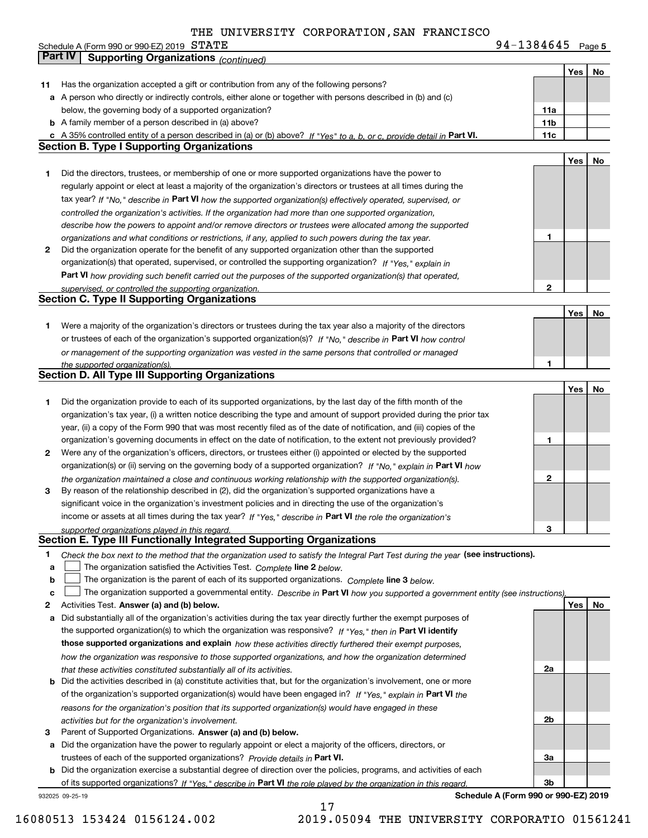**5** STATE 94-1384645

|    | Part IV<br><b>Supporting Organizations (continued)</b>                                                                            |                 |     |    |
|----|-----------------------------------------------------------------------------------------------------------------------------------|-----------------|-----|----|
|    |                                                                                                                                   |                 | Yes | No |
| 11 | Has the organization accepted a gift or contribution from any of the following persons?                                           |                 |     |    |
| а  | A person who directly or indirectly controls, either alone or together with persons described in (b) and (c)                      |                 |     |    |
|    | below, the governing body of a supported organization?                                                                            | 11a             |     |    |
|    | <b>b</b> A family member of a person described in (a) above?                                                                      | 11 <sub>b</sub> |     |    |
|    | c A 35% controlled entity of a person described in (a) or (b) above? If "Yes" to a, b, or c, provide detail in Part VI.           | 11c             |     |    |
|    | <b>Section B. Type I Supporting Organizations</b>                                                                                 |                 |     |    |
|    |                                                                                                                                   |                 | Yes | No |
| 1  | Did the directors, trustees, or membership of one or more supported organizations have the power to                               |                 |     |    |
|    | regularly appoint or elect at least a majority of the organization's directors or trustees at all times during the                |                 |     |    |
|    | tax year? If "No," describe in Part VI how the supported organization(s) effectively operated, supervised, or                     |                 |     |    |
|    | controlled the organization's activities. If the organization had more than one supported organization,                           |                 |     |    |
|    | describe how the powers to appoint and/or remove directors or trustees were allocated among the supported                         |                 |     |    |
|    | organizations and what conditions or restrictions, if any, applied to such powers during the tax year.                            | 1               |     |    |
| 2  | Did the organization operate for the benefit of any supported organization other than the supported                               |                 |     |    |
|    | organization(s) that operated, supervised, or controlled the supporting organization? If "Yes," explain in                        |                 |     |    |
|    | Part VI how providing such benefit carried out the purposes of the supported organization(s) that operated,                       |                 |     |    |
|    |                                                                                                                                   | 2               |     |    |
|    | supervised, or controlled the supporting organization.<br><b>Section C. Type II Supporting Organizations</b>                      |                 |     |    |
|    |                                                                                                                                   |                 | Yes | No |
| 1. | Were a majority of the organization's directors or trustees during the tax year also a majority of the directors                  |                 |     |    |
|    | or trustees of each of the organization's supported organization(s)? If "No," describe in Part VI how control                     |                 |     |    |
|    |                                                                                                                                   |                 |     |    |
|    | or management of the supporting organization was vested in the same persons that controlled or managed                            | 1               |     |    |
|    | the supported organization(s).<br><b>Section D. All Type III Supporting Organizations</b>                                         |                 |     |    |
|    |                                                                                                                                   |                 | Yes | No |
| 1  | Did the organization provide to each of its supported organizations, by the last day of the fifth month of the                    |                 |     |    |
|    | organization's tax year, (i) a written notice describing the type and amount of support provided during the prior tax             |                 |     |    |
|    |                                                                                                                                   |                 |     |    |
|    | year, (ii) a copy of the Form 990 that was most recently filed as of the date of notification, and (iii) copies of the            |                 |     |    |
|    | organization's governing documents in effect on the date of notification, to the extent not previously provided?                  | 1               |     |    |
| 2  | Were any of the organization's officers, directors, or trustees either (i) appointed or elected by the supported                  |                 |     |    |
|    | organization(s) or (ii) serving on the governing body of a supported organization? If "No," explain in Part VI how                |                 |     |    |
|    | the organization maintained a close and continuous working relationship with the supported organization(s).                       | 2               |     |    |
| 3  | By reason of the relationship described in (2), did the organization's supported organizations have a                             |                 |     |    |
|    | significant voice in the organization's investment policies and in directing the use of the organization's                        |                 |     |    |
|    | income or assets at all times during the tax year? If "Yes," describe in Part VI the role the organization's                      |                 |     |    |
|    | supported organizations played in this regard.<br>Section E. Type III Functionally Integrated Supporting Organizations            | 3               |     |    |
|    |                                                                                                                                   |                 |     |    |
| 1  | Check the box next to the method that the organization used to satisfy the Integral Part Test during the year (see instructions). |                 |     |    |
| a  | The organization satisfied the Activities Test. Complete line 2 below.                                                            |                 |     |    |
| b  | The organization is the parent of each of its supported organizations. Complete line 3 below.                                     |                 |     |    |
| с  | The organization supported a governmental entity. Describe in Part VI how you supported a government entity (see instructions),   |                 |     |    |
| 2  | Activities Test. Answer (a) and (b) below.                                                                                        |                 | Yes | No |
| а  | Did substantially all of the organization's activities during the tax year directly further the exempt purposes of                |                 |     |    |
|    | the supported organization(s) to which the organization was responsive? If "Yes," then in Part VI identify                        |                 |     |    |
|    | those supported organizations and explain how these activities directly furthered their exempt purposes,                          |                 |     |    |
|    | how the organization was responsive to those supported organizations, and how the organization determined                         |                 |     |    |
|    | that these activities constituted substantially all of its activities.                                                            | 2a              |     |    |
| b  | Did the activities described in (a) constitute activities that, but for the organization's involvement, one or more               |                 |     |    |
|    | of the organization's supported organization(s) would have been engaged in? If "Yes," explain in Part VI the                      |                 |     |    |
|    | reasons for the organization's position that its supported organization(s) would have engaged in these                            |                 |     |    |
|    | activities but for the organization's involvement.                                                                                | 2b              |     |    |
| з  | Parent of Supported Organizations. Answer (a) and (b) below.                                                                      |                 |     |    |
| а  | Did the organization have the power to regularly appoint or elect a majority of the officers, directors, or                       |                 |     |    |
|    | trustees of each of the supported organizations? Provide details in Part VI.                                                      | 3a              |     |    |
| b  | Did the organization exercise a substantial degree of direction over the policies, programs, and activities of each               |                 |     |    |
|    | of its supported organizations? If "Yes," describe in Part VI the role played by the organization in this regard.                 | 3b              |     |    |

17

932025 09-25-19

**Schedule A (Form 990 or 990-EZ) 2019**

Schedule A (Form 990 or 990-EZ) 2019 STATE

16080513 153424 0156124.002 2019.05094 THE UNIVERSITY CORPORATIO 01561241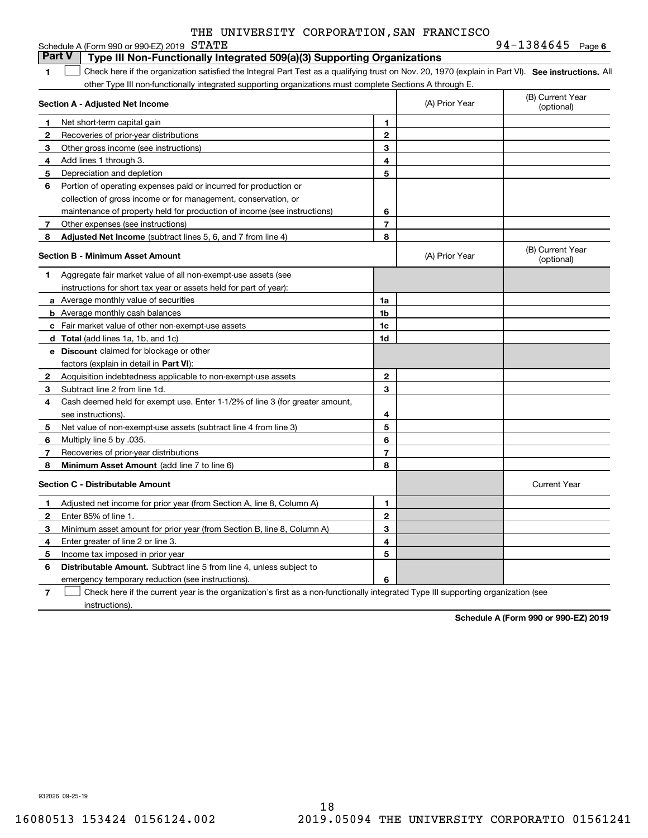|  | THE UNIVERSITY CORPORATION, SAN FRANCISCO |  |
|--|-------------------------------------------|--|
|--|-------------------------------------------|--|

|              | Schedule A (Form 990 or 990-EZ) 2019 STATE                                                                                                         |                |                | $94 - 1384645$ Page 6          |
|--------------|----------------------------------------------------------------------------------------------------------------------------------------------------|----------------|----------------|--------------------------------|
|              | <b>Part V</b><br>Type III Non-Functionally Integrated 509(a)(3) Supporting Organizations                                                           |                |                |                                |
| 1            | Check here if the organization satisfied the Integral Part Test as a qualifying trust on Nov. 20, 1970 (explain in Part VI). See instructions. All |                |                |                                |
|              | other Type III non-functionally integrated supporting organizations must complete Sections A through E.                                            |                |                |                                |
|              | Section A - Adjusted Net Income                                                                                                                    |                | (A) Prior Year | (B) Current Year<br>(optional) |
| 1.           | Net short-term capital gain                                                                                                                        | 1              |                |                                |
| 2            | Recoveries of prior-year distributions                                                                                                             | $\mathbf{2}$   |                |                                |
| З            | Other gross income (see instructions)                                                                                                              | 3              |                |                                |
| 4            | Add lines 1 through 3.                                                                                                                             | 4              |                |                                |
| 5            | Depreciation and depletion                                                                                                                         | 5              |                |                                |
| 6            | Portion of operating expenses paid or incurred for production or                                                                                   |                |                |                                |
|              | collection of gross income or for management, conservation, or                                                                                     |                |                |                                |
|              | maintenance of property held for production of income (see instructions)                                                                           | 6              |                |                                |
| 7            | Other expenses (see instructions)                                                                                                                  | 7              |                |                                |
| 8            | Adjusted Net Income (subtract lines 5, 6, and 7 from line 4)                                                                                       | 8              |                |                                |
|              | <b>Section B - Minimum Asset Amount</b>                                                                                                            |                | (A) Prior Year | (B) Current Year<br>(optional) |
| 1.           | Aggregate fair market value of all non-exempt-use assets (see                                                                                      |                |                |                                |
|              | instructions for short tax year or assets held for part of year):                                                                                  |                |                |                                |
|              | a Average monthly value of securities                                                                                                              | 1a             |                |                                |
|              | <b>b</b> Average monthly cash balances                                                                                                             | 1b             |                |                                |
|              | c Fair market value of other non-exempt-use assets                                                                                                 | 1 <sub>c</sub> |                |                                |
|              | d Total (add lines 1a, 1b, and 1c)                                                                                                                 | 1d             |                |                                |
|              | <b>e</b> Discount claimed for blockage or other                                                                                                    |                |                |                                |
|              | factors (explain in detail in Part VI):                                                                                                            |                |                |                                |
| $\mathbf{2}$ | Acquisition indebtedness applicable to non-exempt-use assets                                                                                       | 2              |                |                                |
| 3            | Subtract line 2 from line 1d.                                                                                                                      | 3              |                |                                |
| 4            | Cash deemed held for exempt use. Enter 1-1/2% of line 3 (for greater amount,                                                                       |                |                |                                |
|              | see instructions).                                                                                                                                 | 4              |                |                                |
| 5            | Net value of non-exempt-use assets (subtract line 4 from line 3)                                                                                   | 5              |                |                                |
| 6            | Multiply line 5 by .035.                                                                                                                           | 6              |                |                                |
| 7            | Recoveries of prior-year distributions                                                                                                             | $\overline{7}$ |                |                                |
| 8            | Minimum Asset Amount (add line 7 to line 6)                                                                                                        | 8              |                |                                |
|              | <b>Section C - Distributable Amount</b>                                                                                                            |                |                | <b>Current Year</b>            |
| 1            | Adjusted net income for prior year (from Section A, line 8, Column A)                                                                              | $\mathbf{1}$   |                |                                |
| $\mathbf{2}$ | Enter 85% of line 1.                                                                                                                               | $\mathbf 2$    |                |                                |
| з            | Minimum asset amount for prior year (from Section B, line 8, Column A)                                                                             | 3              |                |                                |
| 4            | Enter greater of line 2 or line 3.                                                                                                                 | 4              |                |                                |
| 5            | Income tax imposed in prior year                                                                                                                   | 5              |                |                                |
| 6            | <b>Distributable Amount.</b> Subtract line 5 from line 4, unless subject to                                                                        |                |                |                                |
|              | emergency temporary reduction (see instructions)                                                                                                   | 6              |                |                                |

**7** Check here if the current year is the organization's first as a non-functionally integrated Type III supporting organization (see instructions).

**Schedule A (Form 990 or 990-EZ) 2019**

932026 09-25-19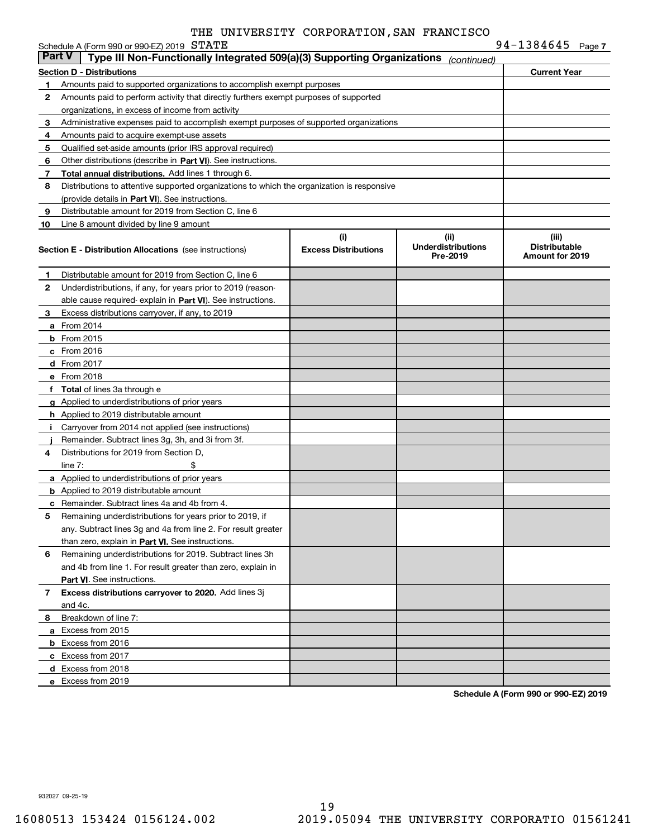|               | Schedule A (Form 990 or 990-EZ) 2019 STATE                                                 |                                    |                                               | 94-1384645 Page 7                                |
|---------------|--------------------------------------------------------------------------------------------|------------------------------------|-----------------------------------------------|--------------------------------------------------|
| <b>Part V</b> | Type III Non-Functionally Integrated 509(a)(3) Supporting Organizations                    |                                    | (continued)                                   |                                                  |
|               | <b>Section D - Distributions</b>                                                           |                                    |                                               | <b>Current Year</b>                              |
| 1             | Amounts paid to supported organizations to accomplish exempt purposes                      |                                    |                                               |                                                  |
| 2             | Amounts paid to perform activity that directly furthers exempt purposes of supported       |                                    |                                               |                                                  |
|               | organizations, in excess of income from activity                                           |                                    |                                               |                                                  |
| 3             | Administrative expenses paid to accomplish exempt purposes of supported organizations      |                                    |                                               |                                                  |
| 4             | Amounts paid to acquire exempt-use assets                                                  |                                    |                                               |                                                  |
| 5             | Qualified set-aside amounts (prior IRS approval required)                                  |                                    |                                               |                                                  |
| 6             | Other distributions (describe in Part VI). See instructions.                               |                                    |                                               |                                                  |
| 7             | <b>Total annual distributions.</b> Add lines 1 through 6.                                  |                                    |                                               |                                                  |
| 8             | Distributions to attentive supported organizations to which the organization is responsive |                                    |                                               |                                                  |
|               | (provide details in Part VI). See instructions.                                            |                                    |                                               |                                                  |
| 9             | Distributable amount for 2019 from Section C, line 6                                       |                                    |                                               |                                                  |
| 10            | Line 8 amount divided by line 9 amount                                                     |                                    |                                               |                                                  |
|               | <b>Section E - Distribution Allocations</b> (see instructions)                             | (i)<br><b>Excess Distributions</b> | (ii)<br><b>Underdistributions</b><br>Pre-2019 | (iii)<br><b>Distributable</b><br>Amount for 2019 |
| 1             | Distributable amount for 2019 from Section C, line 6                                       |                                    |                                               |                                                  |
| 2             | Underdistributions, if any, for years prior to 2019 (reason-                               |                                    |                                               |                                                  |
|               | able cause required- explain in Part VI). See instructions.                                |                                    |                                               |                                                  |
| 3             | Excess distributions carryover, if any, to 2019                                            |                                    |                                               |                                                  |
|               | <b>a</b> From 2014                                                                         |                                    |                                               |                                                  |
|               | <b>b</b> From 2015                                                                         |                                    |                                               |                                                  |
|               | c From 2016                                                                                |                                    |                                               |                                                  |
|               | d From 2017                                                                                |                                    |                                               |                                                  |
|               | e From 2018                                                                                |                                    |                                               |                                                  |
|               | f Total of lines 3a through e                                                              |                                    |                                               |                                                  |
|               | g Applied to underdistributions of prior years                                             |                                    |                                               |                                                  |
|               | <b>h</b> Applied to 2019 distributable amount                                              |                                    |                                               |                                                  |
|               | Carryover from 2014 not applied (see instructions)                                         |                                    |                                               |                                                  |
|               | Remainder. Subtract lines 3g, 3h, and 3i from 3f.                                          |                                    |                                               |                                                  |
| 4             | Distributions for 2019 from Section D,                                                     |                                    |                                               |                                                  |
|               | line $7:$                                                                                  |                                    |                                               |                                                  |
|               | a Applied to underdistributions of prior years                                             |                                    |                                               |                                                  |
|               | <b>b</b> Applied to 2019 distributable amount                                              |                                    |                                               |                                                  |
|               | <b>c</b> Remainder. Subtract lines 4a and 4b from 4.                                       |                                    |                                               |                                                  |
| 5             | Remaining underdistributions for years prior to 2019, if                                   |                                    |                                               |                                                  |
|               | any. Subtract lines 3q and 4a from line 2. For result greater                              |                                    |                                               |                                                  |
|               | than zero, explain in Part VI. See instructions.                                           |                                    |                                               |                                                  |
| 6             | Remaining underdistributions for 2019. Subtract lines 3h                                   |                                    |                                               |                                                  |
|               | and 4b from line 1. For result greater than zero, explain in                               |                                    |                                               |                                                  |
|               | Part VI. See instructions.                                                                 |                                    |                                               |                                                  |
| 7             | Excess distributions carryover to 2020. Add lines 3j                                       |                                    |                                               |                                                  |
|               | and 4c.                                                                                    |                                    |                                               |                                                  |
| 8             | Breakdown of line 7:                                                                       |                                    |                                               |                                                  |
|               | a Excess from 2015                                                                         |                                    |                                               |                                                  |
|               | <b>b</b> Excess from 2016                                                                  |                                    |                                               |                                                  |
|               | c Excess from 2017                                                                         |                                    |                                               |                                                  |
|               | d Excess from 2018                                                                         |                                    |                                               |                                                  |
|               | e Excess from 2019                                                                         |                                    |                                               |                                                  |
|               |                                                                                            |                                    |                                               |                                                  |

**Schedule A (Form 990 or 990-EZ) 2019**

932027 09-25-19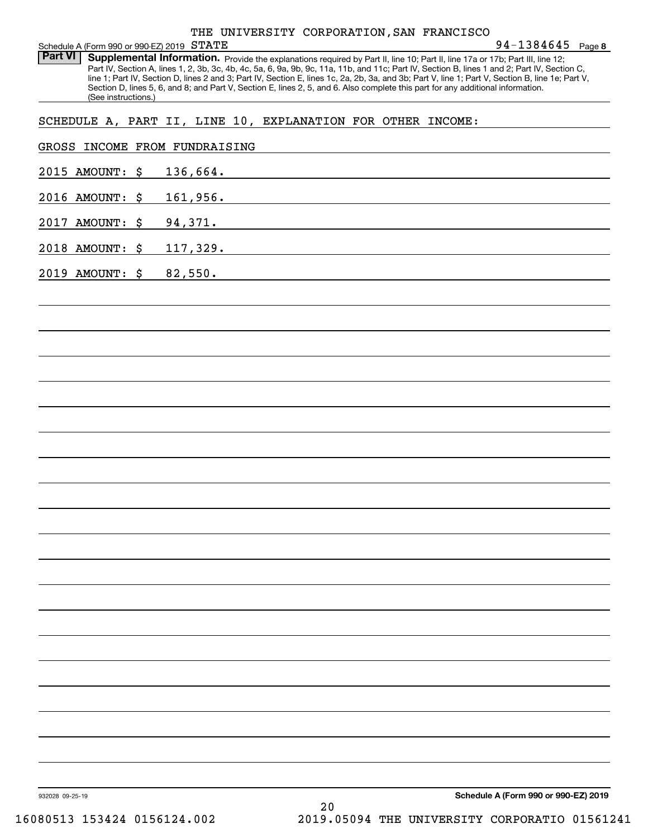|  | THE UNIVERSITY CORPORATION, SAN FRANCISCO |  |
|--|-------------------------------------------|--|
|--|-------------------------------------------|--|

**8** 94-1384645 Schedule A (Form 990 or 990-EZ) 2019 Page STATE

Part VI | Supplemental Information. Provide the explanations required by Part II, line 10; Part II, line 17a or 17b; Part III, line 12; Part IV, Section A, lines 1, 2, 3b, 3c, 4b, 4c, 5a, 6, 9a, 9b, 9c, 11a, 11b, and 11c; Part IV, Section B, lines 1 and 2; Part IV, Section C, line 1; Part IV, Section D, lines 2 and 3; Part IV, Section E, lines 1c, 2a, 2b, 3a, and 3b; Part V, line 1; Part V, Section B, line 1e; Part V, Section D, lines 5, 6, and 8; and Part V, Section E, lines 2, 5, and 6. Also complete this part for any additional information. (See instructions.)

SCHEDULE A, PART II, LINE 10, EXPLANATION FOR OTHER INCOME:

| GROSS INCOME FROM FUNDRAISING |          |
|-------------------------------|----------|
| 2015 AMOUNT: \$               | 136,664. |
| 2016 AMOUNT: \$               | 161,956. |
| 2017 AMOUNT: \$               | 94, 371. |
| 2018 AMOUNT: \$               | 117,329. |
| 2019 AMOUNT: \$<br>82,550.    |          |
|                               |          |
|                               |          |
|                               |          |
|                               |          |
|                               |          |
|                               |          |
|                               |          |
|                               |          |
|                               |          |
|                               |          |
|                               |          |
|                               |          |
|                               |          |
|                               |          |
|                               |          |
|                               |          |
|                               |          |
|                               |          |
|                               |          |
|                               |          |
|                               |          |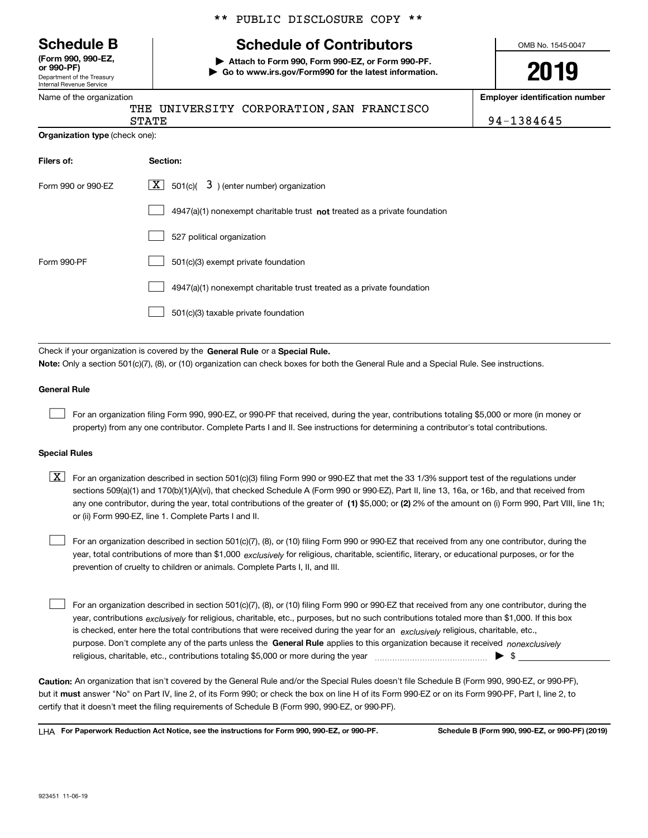Department of the Treasury Internal Revenue Service **(Form 990, 990-EZ, or 990-PF)**

#### Name of the organization

\*\* PUBLIC DISCLOSURE COPY \*\*

# **Schedule B Schedule of Contributors**

**| Attach to Form 990, Form 990-EZ, or Form 990-PF. | Go to www.irs.gov/Form990 for the latest information.** OMB No. 1545-0047

**2019**

**Employer identification number**

|       | THE UNIVERSITY CORPORATION, SAN FRANCISCO |  |            |
|-------|-------------------------------------------|--|------------|
| STATE |                                           |  | 94-1384645 |

**Organization type** (check one):

| Filers of:         | Section:                                                                    |
|--------------------|-----------------------------------------------------------------------------|
| Form 990 or 990-EZ | $\lfloor \mathbf{X} \rfloor$ 501(c)( 3) (enter number) organization         |
|                    | $4947(a)(1)$ nonexempt charitable trust not treated as a private foundation |
|                    | 527 political organization                                                  |
| Form 990-PF        | 501(c)(3) exempt private foundation                                         |
|                    | 4947(a)(1) nonexempt charitable trust treated as a private foundation       |
|                    | 501(c)(3) taxable private foundation                                        |

Check if your organization is covered by the **General Rule** or a **Special Rule. Note:**  Only a section 501(c)(7), (8), or (10) organization can check boxes for both the General Rule and a Special Rule. See instructions.

#### **General Rule**

 $\mathcal{L}^{\text{max}}$ 

For an organization filing Form 990, 990-EZ, or 990-PF that received, during the year, contributions totaling \$5,000 or more (in money or property) from any one contributor. Complete Parts I and II. See instructions for determining a contributor's total contributions.

#### **Special Rules**

any one contributor, during the year, total contributions of the greater of  $\,$  (1) \$5,000; or **(2)** 2% of the amount on (i) Form 990, Part VIII, line 1h;  $\boxed{\textbf{X}}$  For an organization described in section 501(c)(3) filing Form 990 or 990-EZ that met the 33 1/3% support test of the regulations under sections 509(a)(1) and 170(b)(1)(A)(vi), that checked Schedule A (Form 990 or 990-EZ), Part II, line 13, 16a, or 16b, and that received from or (ii) Form 990-EZ, line 1. Complete Parts I and II.

year, total contributions of more than \$1,000 *exclusively* for religious, charitable, scientific, literary, or educational purposes, or for the For an organization described in section 501(c)(7), (8), or (10) filing Form 990 or 990-EZ that received from any one contributor, during the prevention of cruelty to children or animals. Complete Parts I, II, and III.  $\mathcal{L}^{\text{max}}$ 

purpose. Don't complete any of the parts unless the **General Rule** applies to this organization because it received *nonexclusively* year, contributions <sub>exclusively</sub> for religious, charitable, etc., purposes, but no such contributions totaled more than \$1,000. If this box is checked, enter here the total contributions that were received during the year for an  $\;$ exclusively religious, charitable, etc., For an organization described in section 501(c)(7), (8), or (10) filing Form 990 or 990-EZ that received from any one contributor, during the religious, charitable, etc., contributions totaling \$5,000 or more during the year  $\Box$ — $\Box$   $\Box$  $\mathcal{L}^{\text{max}}$ 

**Caution:**  An organization that isn't covered by the General Rule and/or the Special Rules doesn't file Schedule B (Form 990, 990-EZ, or 990-PF),  **must** but it answer "No" on Part IV, line 2, of its Form 990; or check the box on line H of its Form 990-EZ or on its Form 990-PF, Part I, line 2, to certify that it doesn't meet the filing requirements of Schedule B (Form 990, 990-EZ, or 990-PF).

**For Paperwork Reduction Act Notice, see the instructions for Form 990, 990-EZ, or 990-PF. Schedule B (Form 990, 990-EZ, or 990-PF) (2019)** LHA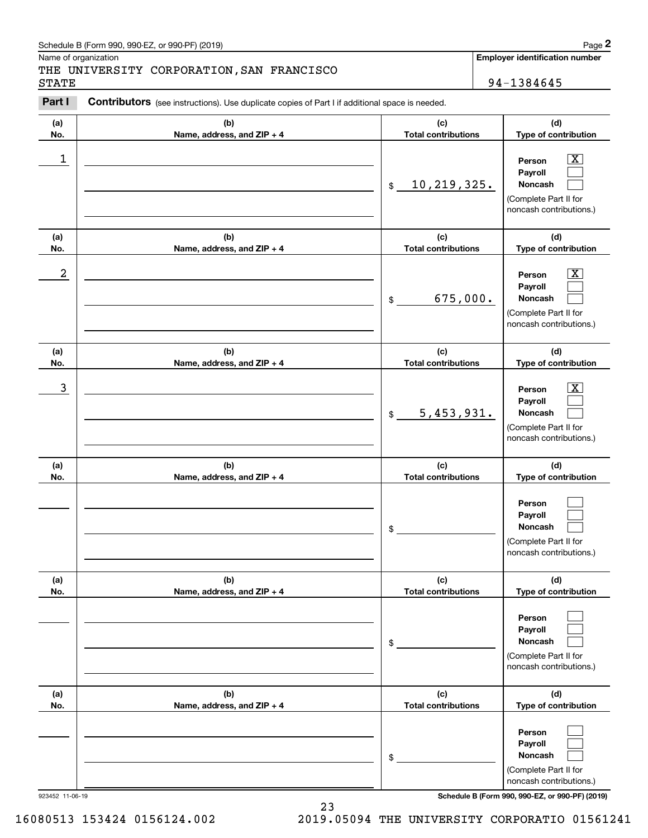#### Schedule B (Form 990, 990-EZ, or 990-PF) (2019) **Page 2** and the state of the state of the state of the state of the state of the state of the state of the state of the state of the state of the state of the state of the s

Name of organization

## THE UNIVERSITY CORPORATION,SAN FRANCISCO

**Employer identification number**

#### **(a)No.(b)Name, address, and ZIP + 4 (c)Total contributions (d)Type of contribution PersonPayrollNoncash (a)No.(b)Name, address, and ZIP + 4 (c)Total contributions (d)Type of contribution PersonPayrollNoncash (a)No.(b)Name, address, and ZIP + 4 (c)Total contributions (d)Type of contribution PersonPayrollNoncash (a) No.(b)Name, address, and ZIP + 4 (c) Total contributions (d) Type of contribution PersonPayrollNoncash(a) No.(b)Name, address, and ZIP + 4 (c) Total contributions (d) Type of contribution PersonPayrollNoncash(a) No.(b)Name, address, and ZIP + 4 (c) Total contributions (d)Type of contribution PersonPayrollNoncash Contributors** (see instructions). Use duplicate copies of Part I if additional space is needed. \$(Complete Part II for noncash contributions.) \$(Complete Part II for noncash contributions.) \$(Complete Part II for noncash contributions.) \$(Complete Part II for noncash contributions.) \$(Complete Part II for noncash contributions.) \$(Complete Part II for noncash contributions.) Chedule B (Form 990, 990-EZ, or 990-PF) (2019)<br>Iame of organization<br>**2PATE UNIVERSITY CORPORATION, SAN FRANCISCO**<br>**2PATE** Contributors (see instructions). Use duplicate copies of Part I if additional space is needed.<br>2Part  $|X|$  $\mathcal{L}^{\text{max}}$  $\mathcal{L}^{\text{max}}$  $\boxed{\text{X}}$  $\mathcal{L}^{\text{max}}$  $\mathcal{L}^{\text{max}}$  $|X|$  $\mathcal{L}^{\text{max}}$  $\mathcal{L}^{\text{max}}$  $\mathcal{L}^{\text{max}}$  $\mathcal{L}^{\text{max}}$  $\mathcal{L}^{\text{max}}$  $\mathcal{L}^{\text{max}}$  $\mathcal{L}^{\text{max}}$  $\mathcal{L}^{\text{max}}$  $\mathcal{L}^{\text{max}}$  $\mathcal{L}^{\text{max}}$  $\mathcal{L}^{\text{max}}$  $\begin{array}{c|c|c|c|c|c} 1 & \hspace{1.5cm} & \hspace{1.5cm} & \hspace{1.5cm} & \hspace{1.5cm} & \hspace{1.5cm} & \hspace{1.5cm} & \hspace{1.5cm} & \hspace{1.5cm} & \hspace{1.5cm} & \hspace{1.5cm} & \hspace{1.5cm} & \hspace{1.5cm} & \hspace{1.5cm} & \hspace{1.5cm} & \hspace{1.5cm} & \hspace{1.5cm} & \hspace{1.5cm} & \hspace{1.5cm} & \hspace{1.5cm} & \hspace{1.5cm} &$ 10,219,325.  $2$  | Person  $\overline{\text{X}}$ 675,000.  $\overline{3}$  | Person  $\overline{X}$ 5,453,931. STATE 94-1384645

923452 11-06-19 **Schedule B (Form 990, 990-EZ, or 990-PF) (2019)**

23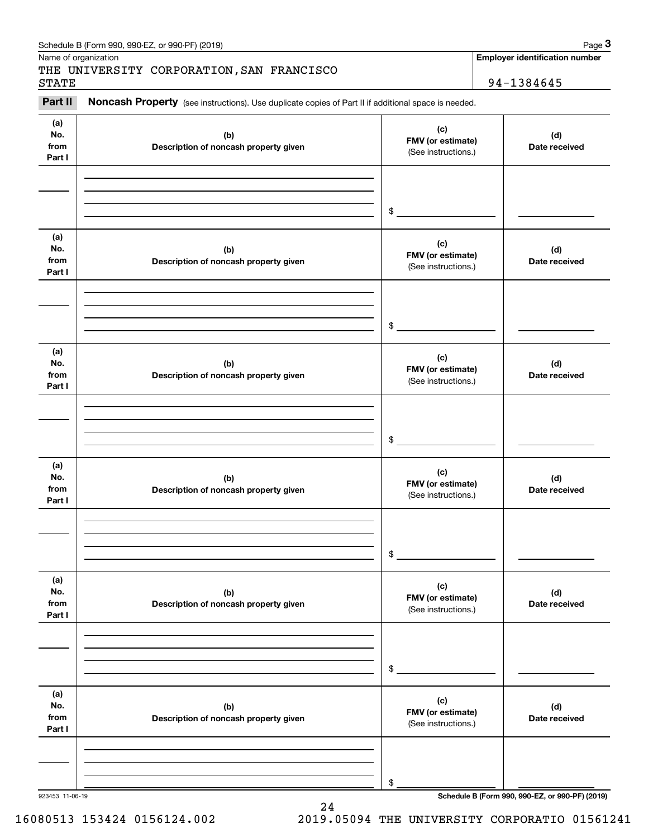|                              | Schedule B (Form 990, 990-EZ, or 990-PF) (2019)                                                     |                                                 | Page 3                                          |
|------------------------------|-----------------------------------------------------------------------------------------------------|-------------------------------------------------|-------------------------------------------------|
| Name of organization         |                                                                                                     |                                                 | <b>Employer identification number</b>           |
|                              | THE UNIVERSITY CORPORATION, SAN FRANCISCO                                                           |                                                 | 94-1384645                                      |
| <b>STATE</b>                 |                                                                                                     |                                                 |                                                 |
| Part II                      | Noncash Property (see instructions). Use duplicate copies of Part II if additional space is needed. |                                                 |                                                 |
| (a)<br>No.<br>from           | (b)<br>Description of noncash property given                                                        | (c)<br>FMV (or estimate)<br>(See instructions.) | (d)<br>Date received                            |
| Part I                       |                                                                                                     |                                                 |                                                 |
|                              |                                                                                                     |                                                 |                                                 |
|                              |                                                                                                     |                                                 |                                                 |
|                              |                                                                                                     | \$                                              |                                                 |
|                              |                                                                                                     |                                                 |                                                 |
| (a)<br>No.<br>from<br>Part I | (b)<br>Description of noncash property given                                                        | (c)<br>FMV (or estimate)<br>(See instructions.) | (d)<br>Date received                            |
|                              |                                                                                                     |                                                 |                                                 |
|                              |                                                                                                     |                                                 |                                                 |
|                              |                                                                                                     | \$                                              |                                                 |
|                              |                                                                                                     |                                                 |                                                 |
| (a)<br>No.<br>from           | (b)<br>Description of noncash property given                                                        | (c)<br>FMV (or estimate)<br>(See instructions.) | (d)<br>Date received                            |
| Part I                       |                                                                                                     |                                                 |                                                 |
|                              |                                                                                                     |                                                 |                                                 |
|                              |                                                                                                     |                                                 |                                                 |
|                              |                                                                                                     | \$                                              |                                                 |
| (a)                          |                                                                                                     |                                                 |                                                 |
| No.                          | (b)                                                                                                 | (c)<br>FMV (or estimate)                        | (d)                                             |
| from<br>Part I               | Description of noncash property given                                                               | (See instructions.)                             | Date received                                   |
|                              |                                                                                                     |                                                 |                                                 |
|                              |                                                                                                     |                                                 |                                                 |
|                              |                                                                                                     |                                                 |                                                 |
|                              |                                                                                                     | \$                                              |                                                 |
| (a)                          |                                                                                                     |                                                 |                                                 |
| No.                          | (b)                                                                                                 | (c)<br>FMV (or estimate)                        | (d)                                             |
| from<br>Part I               | Description of noncash property given                                                               | (See instructions.)                             | Date received                                   |
|                              |                                                                                                     |                                                 |                                                 |
|                              |                                                                                                     |                                                 |                                                 |
|                              |                                                                                                     |                                                 |                                                 |
|                              |                                                                                                     | \$                                              |                                                 |
| (a)                          |                                                                                                     |                                                 |                                                 |
| No.                          | (b)                                                                                                 | (c)<br>FMV (or estimate)                        | (d)                                             |
| from                         | Description of noncash property given                                                               | (See instructions.)                             | Date received                                   |
| Part I                       |                                                                                                     |                                                 |                                                 |
|                              |                                                                                                     |                                                 |                                                 |
|                              |                                                                                                     |                                                 |                                                 |
|                              |                                                                                                     | \$                                              |                                                 |
| 923453 11-06-19              |                                                                                                     |                                                 | Schedule B (Form 990, 990-EZ, or 990-PF) (2019) |

24

16080513 153424 0156124.002 2019.05094 THE UNIVERSITY CORPORATIO 01561241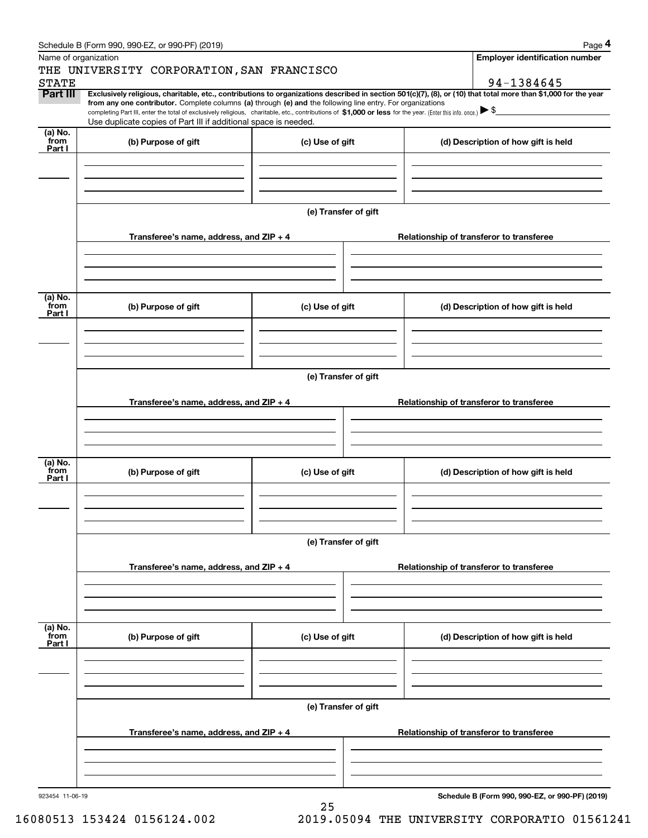|                      | Schedule B (Form 990, 990-EZ, or 990-PF) (2019)                                                                                                                                                                                                                              |                      |                                          | Page 4                                          |  |  |  |  |
|----------------------|------------------------------------------------------------------------------------------------------------------------------------------------------------------------------------------------------------------------------------------------------------------------------|----------------------|------------------------------------------|-------------------------------------------------|--|--|--|--|
| Name of organization |                                                                                                                                                                                                                                                                              |                      |                                          | <b>Employer identification number</b>           |  |  |  |  |
|                      | THE UNIVERSITY CORPORATION, SAN FRANCISCO                                                                                                                                                                                                                                    |                      |                                          |                                                 |  |  |  |  |
| <b>STATE</b>         |                                                                                                                                                                                                                                                                              |                      |                                          | 94-1384645                                      |  |  |  |  |
| Part III             | Exclusively religious, charitable, etc., contributions to organizations described in section 501(c)(7), (8), or (10) that total more than \$1,000 for the year<br>from any one contributor. Complete columns (a) through (e) and the following line entry. For organizations |                      |                                          |                                                 |  |  |  |  |
|                      | completing Part III, enter the total of exclusively religious, charitable, etc., contributions of \$1,000 or less for the year. (Enter this info. once.) $\blacktriangleright$ \$                                                                                            |                      |                                          |                                                 |  |  |  |  |
| (a) No.              | Use duplicate copies of Part III if additional space is needed.                                                                                                                                                                                                              |                      |                                          |                                                 |  |  |  |  |
| from                 | (b) Purpose of gift                                                                                                                                                                                                                                                          | (c) Use of gift      |                                          | (d) Description of how gift is held             |  |  |  |  |
| Part I               |                                                                                                                                                                                                                                                                              |                      |                                          |                                                 |  |  |  |  |
|                      |                                                                                                                                                                                                                                                                              |                      |                                          |                                                 |  |  |  |  |
|                      |                                                                                                                                                                                                                                                                              |                      |                                          |                                                 |  |  |  |  |
|                      |                                                                                                                                                                                                                                                                              |                      |                                          |                                                 |  |  |  |  |
|                      |                                                                                                                                                                                                                                                                              | (e) Transfer of gift |                                          |                                                 |  |  |  |  |
|                      |                                                                                                                                                                                                                                                                              |                      |                                          |                                                 |  |  |  |  |
|                      | Transferee's name, address, and ZIP + 4                                                                                                                                                                                                                                      |                      |                                          | Relationship of transferor to transferee        |  |  |  |  |
|                      |                                                                                                                                                                                                                                                                              |                      |                                          |                                                 |  |  |  |  |
|                      |                                                                                                                                                                                                                                                                              |                      |                                          |                                                 |  |  |  |  |
|                      |                                                                                                                                                                                                                                                                              |                      |                                          |                                                 |  |  |  |  |
| (a) No.              |                                                                                                                                                                                                                                                                              |                      |                                          |                                                 |  |  |  |  |
| from<br>Part I       | (b) Purpose of gift                                                                                                                                                                                                                                                          | (c) Use of gift      |                                          | (d) Description of how gift is held             |  |  |  |  |
|                      |                                                                                                                                                                                                                                                                              |                      |                                          |                                                 |  |  |  |  |
|                      |                                                                                                                                                                                                                                                                              |                      |                                          |                                                 |  |  |  |  |
|                      |                                                                                                                                                                                                                                                                              |                      |                                          |                                                 |  |  |  |  |
|                      |                                                                                                                                                                                                                                                                              |                      |                                          |                                                 |  |  |  |  |
|                      | (e) Transfer of gift                                                                                                                                                                                                                                                         |                      |                                          |                                                 |  |  |  |  |
|                      |                                                                                                                                                                                                                                                                              |                      |                                          |                                                 |  |  |  |  |
|                      | Transferee's name, address, and $ZIP + 4$                                                                                                                                                                                                                                    |                      |                                          | Relationship of transferor to transferee        |  |  |  |  |
|                      |                                                                                                                                                                                                                                                                              |                      |                                          |                                                 |  |  |  |  |
|                      |                                                                                                                                                                                                                                                                              |                      |                                          |                                                 |  |  |  |  |
|                      |                                                                                                                                                                                                                                                                              |                      |                                          |                                                 |  |  |  |  |
| (a) No.              |                                                                                                                                                                                                                                                                              |                      |                                          |                                                 |  |  |  |  |
| from<br>Part I       | (b) Purpose of gift                                                                                                                                                                                                                                                          | (c) Use of gift      |                                          | (d) Description of how gift is held             |  |  |  |  |
|                      |                                                                                                                                                                                                                                                                              |                      |                                          |                                                 |  |  |  |  |
|                      |                                                                                                                                                                                                                                                                              |                      |                                          |                                                 |  |  |  |  |
|                      |                                                                                                                                                                                                                                                                              |                      |                                          |                                                 |  |  |  |  |
|                      |                                                                                                                                                                                                                                                                              |                      |                                          |                                                 |  |  |  |  |
|                      | (e) Transfer of gift                                                                                                                                                                                                                                                         |                      |                                          |                                                 |  |  |  |  |
|                      |                                                                                                                                                                                                                                                                              |                      | Relationship of transferor to transferee |                                                 |  |  |  |  |
|                      | Transferee's name, address, and ZIP + 4                                                                                                                                                                                                                                      |                      |                                          |                                                 |  |  |  |  |
|                      |                                                                                                                                                                                                                                                                              |                      |                                          |                                                 |  |  |  |  |
|                      |                                                                                                                                                                                                                                                                              |                      |                                          |                                                 |  |  |  |  |
|                      |                                                                                                                                                                                                                                                                              |                      |                                          |                                                 |  |  |  |  |
| (a) No.<br>from      | (b) Purpose of gift                                                                                                                                                                                                                                                          | (c) Use of gift      |                                          | (d) Description of how gift is held             |  |  |  |  |
| Part I               |                                                                                                                                                                                                                                                                              |                      |                                          |                                                 |  |  |  |  |
|                      |                                                                                                                                                                                                                                                                              |                      |                                          |                                                 |  |  |  |  |
|                      |                                                                                                                                                                                                                                                                              |                      |                                          |                                                 |  |  |  |  |
|                      |                                                                                                                                                                                                                                                                              |                      |                                          |                                                 |  |  |  |  |
|                      |                                                                                                                                                                                                                                                                              |                      |                                          |                                                 |  |  |  |  |
|                      |                                                                                                                                                                                                                                                                              | (e) Transfer of gift |                                          |                                                 |  |  |  |  |
|                      | Transferee's name, address, and $ZIP + 4$                                                                                                                                                                                                                                    |                      |                                          | Relationship of transferor to transferee        |  |  |  |  |
|                      |                                                                                                                                                                                                                                                                              |                      |                                          |                                                 |  |  |  |  |
|                      |                                                                                                                                                                                                                                                                              |                      |                                          |                                                 |  |  |  |  |
|                      |                                                                                                                                                                                                                                                                              |                      |                                          |                                                 |  |  |  |  |
|                      |                                                                                                                                                                                                                                                                              |                      |                                          |                                                 |  |  |  |  |
| 923454 11-06-19      |                                                                                                                                                                                                                                                                              |                      |                                          | Schedule B (Form 990, 990-EZ, or 990-PF) (2019) |  |  |  |  |

25

16080513 153424 0156124.002 2019.05094 THE UNIVERSITY CORPORATIO 01561241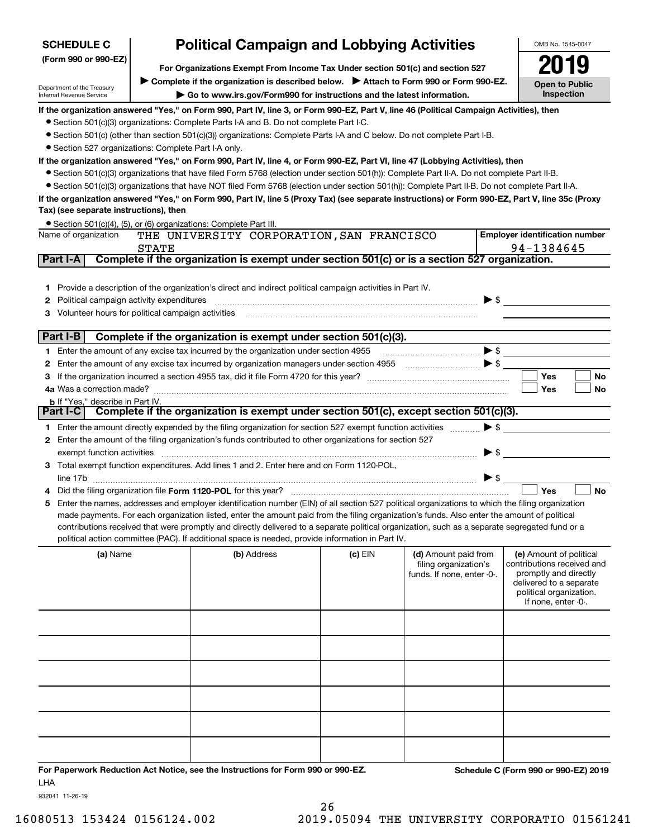| <b>Political Campaign and Lobbying Activities</b><br><b>SCHEDULE C</b> |                                                                                                                                                                          |                                                                                                                                                                                                                        |           |                                                                                                                                                                                                                                                                                                                                                     |                          | OMB No. 1545-0047                     |  |
|------------------------------------------------------------------------|--------------------------------------------------------------------------------------------------------------------------------------------------------------------------|------------------------------------------------------------------------------------------------------------------------------------------------------------------------------------------------------------------------|-----------|-----------------------------------------------------------------------------------------------------------------------------------------------------------------------------------------------------------------------------------------------------------------------------------------------------------------------------------------------------|--------------------------|---------------------------------------|--|
| (Form 990 or 990-EZ)                                                   |                                                                                                                                                                          |                                                                                                                                                                                                                        |           |                                                                                                                                                                                                                                                                                                                                                     |                          |                                       |  |
|                                                                        | For Organizations Exempt From Income Tax Under section 501(c) and section 527<br>▶ Complete if the organization is described below. ▶ Attach to Form 990 or Form 990-EZ. |                                                                                                                                                                                                                        |           |                                                                                                                                                                                                                                                                                                                                                     |                          |                                       |  |
| Department of the Treasury<br>Internal Revenue Service                 |                                                                                                                                                                          | Go to www.irs.gov/Form990 for instructions and the latest information.                                                                                                                                                 |           |                                                                                                                                                                                                                                                                                                                                                     |                          | Open to Public<br><b>Inspection</b>   |  |
|                                                                        |                                                                                                                                                                          | If the organization answered "Yes," on Form 990, Part IV, line 3, or Form 990-EZ, Part V, line 46 (Political Campaign Activities), then                                                                                |           |                                                                                                                                                                                                                                                                                                                                                     |                          |                                       |  |
|                                                                        |                                                                                                                                                                          | • Section 501(c)(3) organizations: Complete Parts I-A and B. Do not complete Part I-C.                                                                                                                                 |           |                                                                                                                                                                                                                                                                                                                                                     |                          |                                       |  |
|                                                                        |                                                                                                                                                                          | • Section 501(c) (other than section 501(c)(3)) organizations: Complete Parts I-A and C below. Do not complete Part I-B.                                                                                               |           |                                                                                                                                                                                                                                                                                                                                                     |                          |                                       |  |
| • Section 527 organizations: Complete Part I-A only.                   |                                                                                                                                                                          |                                                                                                                                                                                                                        |           |                                                                                                                                                                                                                                                                                                                                                     |                          |                                       |  |
|                                                                        |                                                                                                                                                                          | If the organization answered "Yes," on Form 990, Part IV, line 4, or Form 990-EZ, Part VI, line 47 (Lobbying Activities), then                                                                                         |           |                                                                                                                                                                                                                                                                                                                                                     |                          |                                       |  |
|                                                                        |                                                                                                                                                                          | • Section 501(c)(3) organizations that have filed Form 5768 (election under section 501(h)): Complete Part II-A. Do not complete Part II-B.                                                                            |           |                                                                                                                                                                                                                                                                                                                                                     |                          |                                       |  |
|                                                                        |                                                                                                                                                                          | • Section 501(c)(3) organizations that have NOT filed Form 5768 (election under section 501(h)): Complete Part II-B. Do not complete Part II-A.                                                                        |           |                                                                                                                                                                                                                                                                                                                                                     |                          |                                       |  |
|                                                                        |                                                                                                                                                                          | If the organization answered "Yes," on Form 990, Part IV, line 5 (Proxy Tax) (see separate instructions) or Form 990-EZ, Part V, line 35c (Proxy                                                                       |           |                                                                                                                                                                                                                                                                                                                                                     |                          |                                       |  |
| Tax) (see separate instructions), then                                 |                                                                                                                                                                          |                                                                                                                                                                                                                        |           |                                                                                                                                                                                                                                                                                                                                                     |                          |                                       |  |
|                                                                        |                                                                                                                                                                          | • Section 501(c)(4), (5), or (6) organizations: Complete Part III.                                                                                                                                                     |           |                                                                                                                                                                                                                                                                                                                                                     |                          |                                       |  |
| Name of organization                                                   |                                                                                                                                                                          | THE UNIVERSITY CORPORATION, SAN FRANCISCO                                                                                                                                                                              |           |                                                                                                                                                                                                                                                                                                                                                     |                          | <b>Employer identification number</b> |  |
|                                                                        | <b>STATE</b>                                                                                                                                                             |                                                                                                                                                                                                                        |           |                                                                                                                                                                                                                                                                                                                                                     |                          | 94-1384645                            |  |
| Part I-A                                                               |                                                                                                                                                                          | Complete if the organization is exempt under section 501(c) or is a section 527 organization.                                                                                                                          |           |                                                                                                                                                                                                                                                                                                                                                     |                          |                                       |  |
|                                                                        |                                                                                                                                                                          |                                                                                                                                                                                                                        |           |                                                                                                                                                                                                                                                                                                                                                     |                          |                                       |  |
|                                                                        |                                                                                                                                                                          | 1 Provide a description of the organization's direct and indirect political campaign activities in Part IV.                                                                                                            |           |                                                                                                                                                                                                                                                                                                                                                     |                          |                                       |  |
| Political campaign activity expenditures<br>2                          |                                                                                                                                                                          |                                                                                                                                                                                                                        |           |                                                                                                                                                                                                                                                                                                                                                     |                          | $\triangleright$ \$                   |  |
| Volunteer hours for political campaign activities<br>3.                |                                                                                                                                                                          |                                                                                                                                                                                                                        |           |                                                                                                                                                                                                                                                                                                                                                     |                          |                                       |  |
|                                                                        |                                                                                                                                                                          |                                                                                                                                                                                                                        |           |                                                                                                                                                                                                                                                                                                                                                     |                          |                                       |  |
| Part I-B                                                               |                                                                                                                                                                          | Complete if the organization is exempt under section 501(c)(3).                                                                                                                                                        |           |                                                                                                                                                                                                                                                                                                                                                     |                          |                                       |  |
|                                                                        |                                                                                                                                                                          | 1 Enter the amount of any excise tax incurred by the organization under section 4955                                                                                                                                   |           |                                                                                                                                                                                                                                                                                                                                                     |                          |                                       |  |
| 2                                                                      |                                                                                                                                                                          | Enter the amount of any excise tax incurred by organization managers under section 4955                                                                                                                                |           | $\begin{picture}(20,10) \put(0,0){\line(1,0){10}} \put(15,0){\line(1,0){10}} \put(15,0){\line(1,0){10}} \put(15,0){\line(1,0){10}} \put(15,0){\line(1,0){10}} \put(15,0){\line(1,0){10}} \put(15,0){\line(1,0){10}} \put(15,0){\line(1,0){10}} \put(15,0){\line(1,0){10}} \put(15,0){\line(1,0){10}} \put(15,0){\line(1,0){10}} \put(15,0){\line(1$ |                          |                                       |  |
|                                                                        |                                                                                                                                                                          |                                                                                                                                                                                                                        |           |                                                                                                                                                                                                                                                                                                                                                     |                          | Yes<br>No                             |  |
|                                                                        |                                                                                                                                                                          |                                                                                                                                                                                                                        |           |                                                                                                                                                                                                                                                                                                                                                     |                          | <b>No</b><br>Yes                      |  |
| <b>b</b> If "Yes," describe in Part IV.                                |                                                                                                                                                                          | Part I-C Complete if the organization is exempt under section 501(c), except section 501(c)(3).                                                                                                                        |           |                                                                                                                                                                                                                                                                                                                                                     |                          |                                       |  |
|                                                                        |                                                                                                                                                                          |                                                                                                                                                                                                                        |           |                                                                                                                                                                                                                                                                                                                                                     | $\blacktriangleright$ \$ |                                       |  |
|                                                                        |                                                                                                                                                                          | 1 Enter the amount directly expended by the filing organization for section 527 exempt function activities<br>2 Enter the amount of the filing organization's funds contributed to other organizations for section 527 |           |                                                                                                                                                                                                                                                                                                                                                     |                          |                                       |  |
| exempt function activities                                             |                                                                                                                                                                          |                                                                                                                                                                                                                        |           |                                                                                                                                                                                                                                                                                                                                                     | $\blacktriangleright$ \$ |                                       |  |
|                                                                        |                                                                                                                                                                          | 3 Total exempt function expenditures. Add lines 1 and 2. Enter here and on Form 1120-POL,                                                                                                                              |           |                                                                                                                                                                                                                                                                                                                                                     |                          |                                       |  |
|                                                                        |                                                                                                                                                                          |                                                                                                                                                                                                                        |           |                                                                                                                                                                                                                                                                                                                                                     | $\triangleright$ \$      |                                       |  |
|                                                                        |                                                                                                                                                                          |                                                                                                                                                                                                                        |           |                                                                                                                                                                                                                                                                                                                                                     |                          | Yes<br><b>No</b>                      |  |
|                                                                        |                                                                                                                                                                          | 5 Enter the names, addresses and employer identification number (EIN) of all section 527 political organizations to which the filing organization                                                                      |           |                                                                                                                                                                                                                                                                                                                                                     |                          |                                       |  |
|                                                                        |                                                                                                                                                                          | made payments. For each organization listed, enter the amount paid from the filing organization's funds. Also enter the amount of political                                                                            |           |                                                                                                                                                                                                                                                                                                                                                     |                          |                                       |  |
|                                                                        |                                                                                                                                                                          | contributions received that were promptly and directly delivered to a separate political organization, such as a separate segregated fund or a                                                                         |           |                                                                                                                                                                                                                                                                                                                                                     |                          |                                       |  |
|                                                                        |                                                                                                                                                                          | political action committee (PAC). If additional space is needed, provide information in Part IV.                                                                                                                       |           |                                                                                                                                                                                                                                                                                                                                                     |                          |                                       |  |
| (a) Name                                                               |                                                                                                                                                                          | (b) Address                                                                                                                                                                                                            | $(c)$ EIN | (d) Amount paid from                                                                                                                                                                                                                                                                                                                                |                          | (e) Amount of political               |  |
|                                                                        |                                                                                                                                                                          |                                                                                                                                                                                                                        |           | filing organization's                                                                                                                                                                                                                                                                                                                               |                          | contributions received and            |  |
|                                                                        |                                                                                                                                                                          |                                                                                                                                                                                                                        |           | funds. If none, enter -0-.                                                                                                                                                                                                                                                                                                                          |                          | promptly and directly                 |  |
|                                                                        | delivered to a separate<br>political organization.                                                                                                                       |                                                                                                                                                                                                                        |           |                                                                                                                                                                                                                                                                                                                                                     |                          |                                       |  |
|                                                                        |                                                                                                                                                                          |                                                                                                                                                                                                                        |           |                                                                                                                                                                                                                                                                                                                                                     |                          | If none, enter -0-.                   |  |
|                                                                        |                                                                                                                                                                          |                                                                                                                                                                                                                        |           |                                                                                                                                                                                                                                                                                                                                                     |                          |                                       |  |
|                                                                        |                                                                                                                                                                          |                                                                                                                                                                                                                        |           |                                                                                                                                                                                                                                                                                                                                                     |                          |                                       |  |
|                                                                        |                                                                                                                                                                          |                                                                                                                                                                                                                        |           |                                                                                                                                                                                                                                                                                                                                                     |                          |                                       |  |

| For Paperwork Reduction Act Notice, see the Instructions for Form 990 or 990-EZ. |  |
|----------------------------------------------------------------------------------|--|
| I HA                                                                             |  |

**For Paperwork Reduction Act Notice, see the Instructions for Form 990 or 990-EZ. Schedule C (Form 990 or 990-EZ) 2019**

932041 11-26-19

### 26 16080513 153424 0156124.002 2019.05094 THE UNIVERSITY CORPORATIO 01561241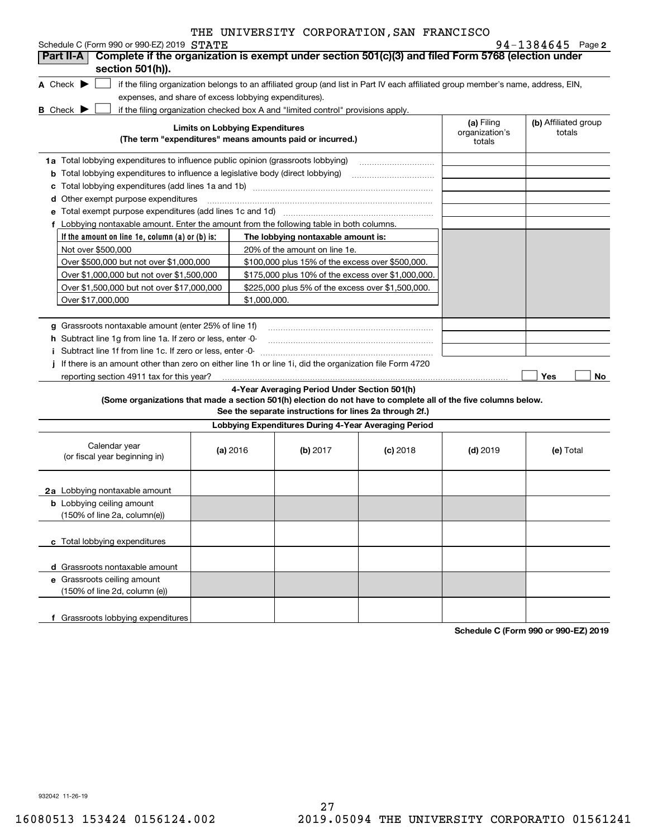| Schedule C (Form 990 or 990-EZ) 2019 STATE                                                                                                                         |                                        |                                                         |            |                                        | $94 - 1384645$ Page 2          |
|--------------------------------------------------------------------------------------------------------------------------------------------------------------------|----------------------------------------|---------------------------------------------------------|------------|----------------------------------------|--------------------------------|
| Complete if the organization is exempt under section 501(c)(3) and filed Form 5768 (election under<br>Part II-A<br>section 501(h)).                                |                                        |                                                         |            |                                        |                                |
| A Check $\blacktriangleright$<br>if the filing organization belongs to an affiliated group (and list in Part IV each affiliated group member's name, address, EIN, |                                        |                                                         |            |                                        |                                |
| expenses, and share of excess lobbying expenditures).                                                                                                              |                                        |                                                         |            |                                        |                                |
| if the filing organization checked box A and "limited control" provisions apply.<br><b>B</b> Check $\blacktriangleright$                                           |                                        |                                                         |            |                                        |                                |
| (The term "expenditures" means amounts paid or incurred.)                                                                                                          | <b>Limits on Lobbying Expenditures</b> |                                                         |            | (a) Filing<br>organization's<br>totals | (b) Affiliated group<br>totals |
| 1a Total lobbying expenditures to influence public opinion (grassroots lobbying)                                                                                   |                                        |                                                         |            |                                        |                                |
| <b>b</b> Total lobbying expenditures to influence a legislative body (direct lobbying)                                                                             |                                        |                                                         |            |                                        |                                |
| c                                                                                                                                                                  |                                        |                                                         |            |                                        |                                |
| <b>d</b> Other exempt purpose expenditures                                                                                                                         |                                        |                                                         |            |                                        |                                |
|                                                                                                                                                                    |                                        |                                                         |            |                                        |                                |
| f Lobbying nontaxable amount. Enter the amount from the following table in both columns.                                                                           |                                        |                                                         |            |                                        |                                |
| If the amount on line 1e, column $(a)$ or $(b)$ is:                                                                                                                |                                        | The lobbying nontaxable amount is:                      |            |                                        |                                |
| Not over \$500,000                                                                                                                                                 |                                        | 20% of the amount on line 1e.                           |            |                                        |                                |
| Over \$500,000 but not over \$1,000,000                                                                                                                            |                                        | \$100,000 plus 15% of the excess over \$500,000.        |            |                                        |                                |
| Over \$1,000,000 but not over \$1,500,000                                                                                                                          |                                        | \$175,000 plus 10% of the excess over \$1,000,000.      |            |                                        |                                |
| Over \$1,500,000 but not over \$17,000,000                                                                                                                         |                                        | \$225,000 plus 5% of the excess over \$1,500,000.       |            |                                        |                                |
| Over \$17,000,000                                                                                                                                                  | \$1,000,000.                           |                                                         |            |                                        |                                |
|                                                                                                                                                                    |                                        |                                                         |            |                                        |                                |
| g Grassroots nontaxable amount (enter 25% of line 1f)                                                                                                              |                                        |                                                         |            |                                        |                                |
| <b>h</b> Subtract line 1g from line 1a. If zero or less, enter 0-                                                                                                  |                                        |                                                         |            |                                        |                                |
| Subtract line 1f from line 1c. If zero or less, enter -0-                                                                                                          |                                        |                                                         |            |                                        |                                |
| If there is an amount other than zero on either line 1h or line 1i, did the organization file Form 4720                                                            |                                        |                                                         |            |                                        |                                |
| reporting section 4911 tax for this year?                                                                                                                          |                                        |                                                         |            |                                        | Yes<br>No.                     |
|                                                                                                                                                                    |                                        | 4-Year Averaging Period Under Section 501(h)            |            |                                        |                                |
| (Some organizations that made a section 501(h) election do not have to complete all of the five columns below.                                                     |                                        | See the separate instructions for lines 2a through 2f.) |            |                                        |                                |
|                                                                                                                                                                    |                                        | Lobbying Expenditures During 4-Year Averaging Period    |            |                                        |                                |
|                                                                                                                                                                    |                                        |                                                         |            |                                        |                                |
| Calendar year<br>(or fiscal year beginning in)                                                                                                                     | (a) 2016                               | (b) 2017                                                | $(c)$ 2018 | $(d)$ 2019                             | (e) Total                      |
|                                                                                                                                                                    |                                        |                                                         |            |                                        |                                |
| 2a Lobbying nontaxable amount                                                                                                                                      |                                        |                                                         |            |                                        |                                |
| <b>b</b> Lobbying ceiling amount                                                                                                                                   |                                        |                                                         |            |                                        |                                |
| (150% of line 2a, column(e))                                                                                                                                       |                                        |                                                         |            |                                        |                                |
|                                                                                                                                                                    |                                        |                                                         |            |                                        |                                |
| c Total lobbying expenditures                                                                                                                                      |                                        |                                                         |            |                                        |                                |
| d Grassroots nontaxable amount                                                                                                                                     |                                        |                                                         |            |                                        |                                |
| e Grassroots ceiling amount                                                                                                                                        |                                        |                                                         |            |                                        |                                |
| (150% of line 2d, column (e))                                                                                                                                      |                                        |                                                         |            |                                        |                                |
|                                                                                                                                                                    |                                        |                                                         |            |                                        |                                |
| f Grassroots lobbying expenditures                                                                                                                                 |                                        |                                                         |            |                                        |                                |

**Schedule C (Form 990 or 990-EZ) 2019**

932042 11-26-19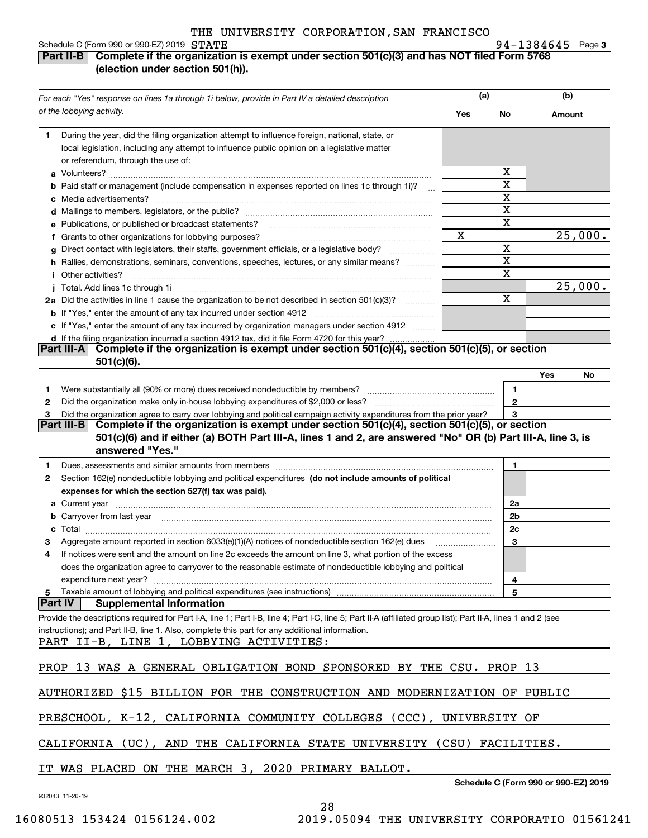## Schedule C (Form 990 or 990-EZ) 2019 STATE

#### **STATE** 94-1384645 Page 3 **Part II-B Complete if the organization is exempt under section 501(c)(3) and has NOT filed Form 5768 (election under section 501(h)).**

|    | For each "Yes" response on lines 1a through 1i below, provide in Part IV a detailed description                                                                                                                                |     | (a)            | (b)    |                                      |
|----|--------------------------------------------------------------------------------------------------------------------------------------------------------------------------------------------------------------------------------|-----|----------------|--------|--------------------------------------|
|    | of the lobbying activity.                                                                                                                                                                                                      | Yes | No             | Amount |                                      |
| 1. | During the year, did the filing organization attempt to influence foreign, national, state, or<br>local legislation, including any attempt to influence public opinion on a legislative matter                                 |     |                |        |                                      |
|    | or referendum, through the use of:                                                                                                                                                                                             |     |                |        |                                      |
|    |                                                                                                                                                                                                                                |     | х              |        |                                      |
|    | <b>b</b> Paid staff or management (include compensation in expenses reported on lines 1c through 1i)?<br>$\sim$                                                                                                                |     | X              |        |                                      |
|    |                                                                                                                                                                                                                                |     | X              |        |                                      |
|    |                                                                                                                                                                                                                                |     | X              |        |                                      |
|    | e Publications, or published or broadcast statements?                                                                                                                                                                          |     | х              |        |                                      |
|    | f Grants to other organizations for lobbying purposes?                                                                                                                                                                         | x   |                |        | 25,000.                              |
|    | g Direct contact with legislators, their staffs, government officials, or a legislative body?                                                                                                                                  |     | X              |        |                                      |
|    | h Rallies, demonstrations, seminars, conventions, speeches, lectures, or any similar means?                                                                                                                                    |     | $\mathbf X$    |        |                                      |
|    | <i>i</i> Other activities?                                                                                                                                                                                                     |     | X              |        |                                      |
|    |                                                                                                                                                                                                                                |     |                |        | 25,000.                              |
|    | 2a Did the activities in line 1 cause the organization to be not described in section 501(c)(3)?                                                                                                                               |     | х              |        |                                      |
|    |                                                                                                                                                                                                                                |     |                |        |                                      |
|    | c If "Yes," enter the amount of any tax incurred by organization managers under section 4912                                                                                                                                   |     |                |        |                                      |
|    | d If the filing organization incurred a section 4912 tax, did it file Form 4720 for this year?                                                                                                                                 |     |                |        |                                      |
|    | Complete if the organization is exempt under section 501(c)(4), section 501(c)(5), or section<br>Part III-A I                                                                                                                  |     |                |        |                                      |
|    | $501(c)(6)$ .                                                                                                                                                                                                                  |     |                |        |                                      |
|    |                                                                                                                                                                                                                                |     |                | Yes    | No                                   |
| 1  |                                                                                                                                                                                                                                |     | 1              |        |                                      |
| 2  |                                                                                                                                                                                                                                |     | $\mathbf{2}$   |        |                                      |
| З  | Did the organization agree to carry over lobbying and political campaign activity expenditures from the prior year?                                                                                                            |     | 3              |        |                                      |
|    | Complete if the organization is exempt under section 501(c)(4), section 501(c)(5), or section<br> Part III-B                                                                                                                   |     |                |        |                                      |
|    | 501(c)(6) and if either (a) BOTH Part III-A, lines 1 and 2, are answered "No" OR (b) Part III-A, line 3, is                                                                                                                    |     |                |        |                                      |
|    | answered "Yes."                                                                                                                                                                                                                |     |                |        |                                      |
| 1  | Dues, assessments and similar amounts from members [11] matter contracts and similar amounts from members [11] matter and similar amounts from members [11] matter and similar amounts from members [11] matter and similar am |     | 1              |        |                                      |
| 2  | Section 162(e) nondeductible lobbying and political expenditures (do not include amounts of political                                                                                                                          |     |                |        |                                      |
|    | expenses for which the section 527(f) tax was paid).                                                                                                                                                                           |     |                |        |                                      |
|    |                                                                                                                                                                                                                                |     | 2a             |        |                                      |
|    | b Carryover from last year manufactured and contract the contract of the contract of the contract of the contract of contract of contract of contract of contract of contract of contract of contract of contract of contract  |     | 2 <sub>b</sub> |        |                                      |
|    |                                                                                                                                                                                                                                |     | 2c             |        |                                      |
|    | Aggregate amount reported in section 6033(e)(1)(A) notices of nondeductible section 162(e) dues                                                                                                                                |     | 3              |        |                                      |
| 4  | If notices were sent and the amount on line 2c exceeds the amount on line 3, what portion of the excess                                                                                                                        |     |                |        |                                      |
|    | does the organization agree to carryover to the reasonable estimate of nondeductible lobbying and political                                                                                                                    |     |                |        |                                      |
|    | expenditure next year?                                                                                                                                                                                                         |     | 4              |        |                                      |
|    | 5 Taxable amount of lobbying and political expenditures (see instructions)                                                                                                                                                     |     | 5              |        |                                      |
|    | <b>Part IV</b><br><b>Supplemental Information</b>                                                                                                                                                                              |     |                |        |                                      |
|    | Provide the descriptions required for Part I-A, line 1; Part I-B, line 4; Part I-C, line 5; Part II-A (affiliated group list); Part II-A, lines 1 and 2 (see                                                                   |     |                |        |                                      |
|    | instructions); and Part II-B, line 1. Also, complete this part for any additional information.                                                                                                                                 |     |                |        |                                      |
|    | PART II-B, LINE 1, LOBBYING ACTIVITIES:                                                                                                                                                                                        |     |                |        |                                      |
|    |                                                                                                                                                                                                                                |     |                |        |                                      |
|    | PROP 13 WAS A GENERAL OBLIGATION BOND SPONSORED BY THE CSU. PROP 13                                                                                                                                                            |     |                |        |                                      |
|    | AUTHORIZED \$15 BILLION FOR THE CONSTRUCTION AND MODERNIZATION OF PUBLIC                                                                                                                                                       |     |                |        |                                      |
|    |                                                                                                                                                                                                                                |     |                |        |                                      |
|    | PRESCHOOL, K-12, CALIFORNIA COMMUNITY COLLEGES (CCC), UNIVERSITY OF                                                                                                                                                            |     |                |        |                                      |
|    |                                                                                                                                                                                                                                |     |                |        |                                      |
|    | CALIFORNIA (UC), AND THE CALIFORNIA STATE UNIVERSITY (CSU) FACILITIES.                                                                                                                                                         |     |                |        |                                      |
|    |                                                                                                                                                                                                                                |     |                |        |                                      |
|    | IT WAS PLACED ON THE MARCH 3, 2020 PRIMARY BALLOT.                                                                                                                                                                             |     |                |        |                                      |
|    |                                                                                                                                                                                                                                |     |                |        | Schedule C (Form 990 or 990-EZ) 2019 |
|    | 932043 11-26-19                                                                                                                                                                                                                |     |                |        |                                      |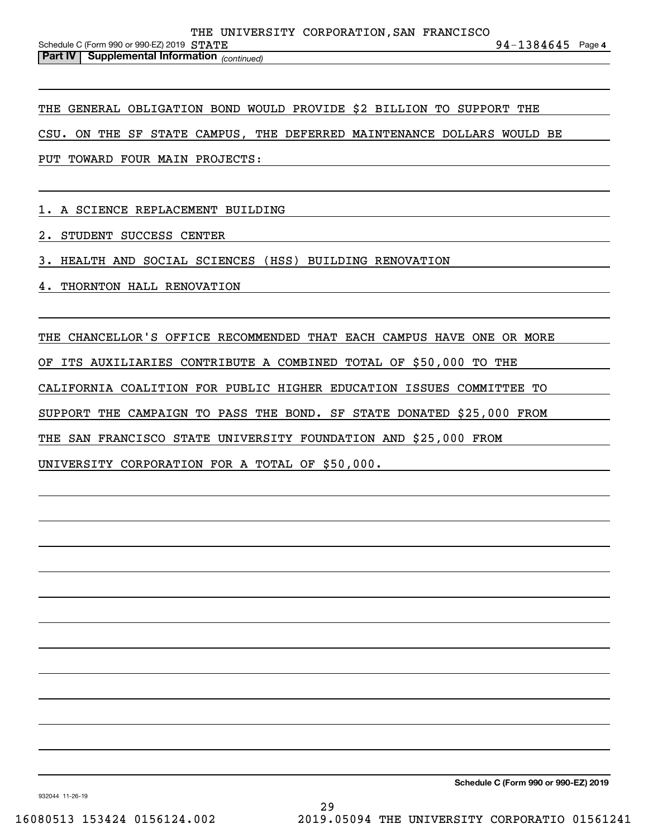THE GENERAL OBLIGATION BOND WOULD PROVIDE \$2 BILLION TO SUPPORT THE

CSU. ON THE SF STATE CAMPUS, THE DEFERRED MAINTENANCE DOLLARS WOULD BE

PUT TOWARD FOUR MAIN PROJECTS:

1. A SCIENCE REPLACEMENT BUILDING

2. STUDENT SUCCESS CENTER

3. HEALTH AND SOCIAL SCIENCES (HSS) BUILDING RENOVATION

4. THORNTON HALL RENOVATION

THE CHANCELLOR'S OFFICE RECOMMENDED THAT EACH CAMPUS HAVE ONE OR MORE

OF ITS AUXILIARIES CONTRIBUTE A COMBINED TOTAL OF \$50,000 TO THE

CALIFORNIA COALITION FOR PUBLIC HIGHER EDUCATION ISSUES COMMITTEE TO

SUPPORT THE CAMPAIGN TO PASS THE BOND. SF STATE DONATED \$25,000 FROM

THE SAN FRANCISCO STATE UNIVERSITY FOUNDATION AND \$25,000 FROM

UNIVERSITY CORPORATION FOR A TOTAL OF \$50,000.

**Schedule C (Form 990 or 990-EZ) 2019**

932044 11-26-19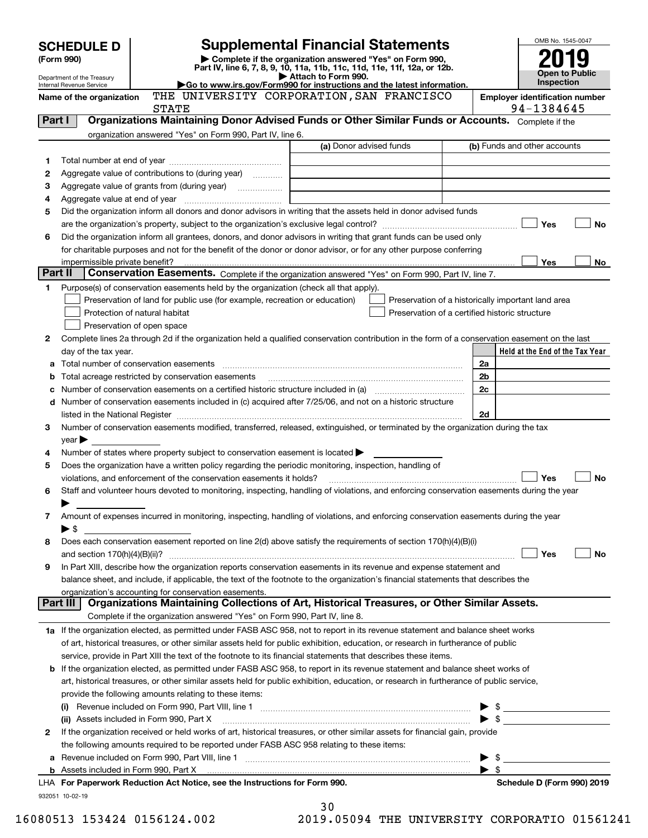|         | <b>SCHEDULE D</b>          |                                                                                                        | <b>Supplemental Financial Statements</b>                                                                                                                                                                                                            |      | OMB No. 1545-0047                                   |
|---------|----------------------------|--------------------------------------------------------------------------------------------------------|-----------------------------------------------------------------------------------------------------------------------------------------------------------------------------------------------------------------------------------------------------|------|-----------------------------------------------------|
|         | (Form 990)                 |                                                                                                        | Complete if the organization answered "Yes" on Form 990,                                                                                                                                                                                            |      |                                                     |
|         | Department of the Treasury |                                                                                                        | Part IV, line 6, 7, 8, 9, 10, 11a, 11b, 11c, 11d, 11e, 11f, 12a, or 12b.<br>Attach to Form 990.                                                                                                                                                     |      | Open to Public                                      |
|         | Internal Revenue Service   |                                                                                                        | Go to www.irs.gov/Form990 for instructions and the latest information.<br>THE UNIVERSITY CORPORATION, SAN FRANCISCO                                                                                                                                 |      | Inspection                                          |
|         | Name of the organization   | <b>STATE</b>                                                                                           |                                                                                                                                                                                                                                                     |      | <b>Employer identification number</b><br>94-1384645 |
| Part I  |                            |                                                                                                        | Organizations Maintaining Donor Advised Funds or Other Similar Funds or Accounts. Complete if the                                                                                                                                                   |      |                                                     |
|         |                            | organization answered "Yes" on Form 990, Part IV, line 6.                                              |                                                                                                                                                                                                                                                     |      |                                                     |
|         |                            |                                                                                                        | (a) Donor advised funds                                                                                                                                                                                                                             |      | (b) Funds and other accounts                        |
| 1       |                            |                                                                                                        |                                                                                                                                                                                                                                                     |      |                                                     |
| 2       |                            | Aggregate value of contributions to (during year)                                                      |                                                                                                                                                                                                                                                     |      |                                                     |
| з<br>4  |                            |                                                                                                        |                                                                                                                                                                                                                                                     |      |                                                     |
| 5       |                            |                                                                                                        | Did the organization inform all donors and donor advisors in writing that the assets held in donor advised funds                                                                                                                                    |      |                                                     |
|         |                            |                                                                                                        |                                                                                                                                                                                                                                                     |      | Yes<br>No                                           |
| 6       |                            |                                                                                                        | Did the organization inform all grantees, donors, and donor advisors in writing that grant funds can be used only                                                                                                                                   |      |                                                     |
|         |                            |                                                                                                        | for charitable purposes and not for the benefit of the donor or donor advisor, or for any other purpose conferring                                                                                                                                  |      |                                                     |
|         |                            |                                                                                                        |                                                                                                                                                                                                                                                     |      | Yes<br>No                                           |
| Part II |                            |                                                                                                        | Conservation Easements. Complete if the organization answered "Yes" on Form 990, Part IV, line 7.                                                                                                                                                   |      |                                                     |
| 1.      |                            | Purpose(s) of conservation easements held by the organization (check all that apply).                  |                                                                                                                                                                                                                                                     |      |                                                     |
|         |                            | Preservation of land for public use (for example, recreation or education)                             | Preservation of a historically important land area                                                                                                                                                                                                  |      |                                                     |
|         |                            | Protection of natural habitat                                                                          | Preservation of a certified historic structure                                                                                                                                                                                                      |      |                                                     |
|         |                            | Preservation of open space                                                                             |                                                                                                                                                                                                                                                     |      |                                                     |
| 2       | day of the tax year.       |                                                                                                        | Complete lines 2a through 2d if the organization held a qualified conservation contribution in the form of a conservation easement on the last                                                                                                      |      | Held at the End of the Tax Year                     |
| a       |                            |                                                                                                        |                                                                                                                                                                                                                                                     | 2a   |                                                     |
| b       |                            | Total acreage restricted by conservation easements                                                     |                                                                                                                                                                                                                                                     | 2b   |                                                     |
| с       |                            |                                                                                                        |                                                                                                                                                                                                                                                     | 2c   |                                                     |
| d       |                            |                                                                                                        | Number of conservation easements included in (c) acquired after 7/25/06, and not on a historic structure                                                                                                                                            |      |                                                     |
|         |                            |                                                                                                        |                                                                                                                                                                                                                                                     | 2d   |                                                     |
| 3       |                            |                                                                                                        | Number of conservation easements modified, transferred, released, extinguished, or terminated by the organization during the tax                                                                                                                    |      |                                                     |
|         | $\mathsf{year}$            |                                                                                                        |                                                                                                                                                                                                                                                     |      |                                                     |
| 4       |                            | Number of states where property subject to conservation easement is located $\blacktriangleright$      |                                                                                                                                                                                                                                                     |      |                                                     |
| 5       |                            | Does the organization have a written policy regarding the periodic monitoring, inspection, handling of |                                                                                                                                                                                                                                                     |      |                                                     |
|         |                            | violations, and enforcement of the conservation easements it holds?                                    |                                                                                                                                                                                                                                                     |      | <b>No</b><br>Yes                                    |
| 6       |                            |                                                                                                        | Staff and volunteer hours devoted to monitoring, inspecting, handling of violations, and enforcing conservation easements during the year                                                                                                           |      |                                                     |
| 7       |                            |                                                                                                        | Amount of expenses incurred in monitoring, inspecting, handling of violations, and enforcing conservation easements during the year                                                                                                                 |      |                                                     |
|         | $\blacktriangleright$ \$   |                                                                                                        |                                                                                                                                                                                                                                                     |      |                                                     |
| 8       |                            |                                                                                                        | Does each conservation easement reported on line 2(d) above satisfy the requirements of section 170(h)(4)(B)(i)                                                                                                                                     |      |                                                     |
|         |                            |                                                                                                        |                                                                                                                                                                                                                                                     |      | Yes<br>No                                           |
| 9       |                            |                                                                                                        | In Part XIII, describe how the organization reports conservation easements in its revenue and expense statement and                                                                                                                                 |      |                                                     |
|         |                            |                                                                                                        | balance sheet, and include, if applicable, the text of the footnote to the organization's financial statements that describes the                                                                                                                   |      |                                                     |
|         |                            | organization's accounting for conservation easements.                                                  |                                                                                                                                                                                                                                                     |      |                                                     |
|         | Part III                   |                                                                                                        | Organizations Maintaining Collections of Art, Historical Treasures, or Other Similar Assets.                                                                                                                                                        |      |                                                     |
|         |                            | Complete if the organization answered "Yes" on Form 990, Part IV, line 8.                              |                                                                                                                                                                                                                                                     |      |                                                     |
|         |                            |                                                                                                        | 1a If the organization elected, as permitted under FASB ASC 958, not to report in its revenue statement and balance sheet works                                                                                                                     |      |                                                     |
|         |                            |                                                                                                        | of art, historical treasures, or other similar assets held for public exhibition, education, or research in furtherance of public<br>service, provide in Part XIII the text of the footnote to its financial statements that describes these items. |      |                                                     |
|         |                            |                                                                                                        | <b>b</b> If the organization elected, as permitted under FASB ASC 958, to report in its revenue statement and balance sheet works of                                                                                                                |      |                                                     |
|         |                            |                                                                                                        | art, historical treasures, or other similar assets held for public exhibition, education, or research in furtherance of public service,                                                                                                             |      |                                                     |
|         |                            | provide the following amounts relating to these items:                                                 |                                                                                                                                                                                                                                                     |      |                                                     |
|         |                            |                                                                                                        |                                                                                                                                                                                                                                                     |      | $\frac{1}{2}$                                       |
|         |                            | (ii) Assets included in Form 990, Part X                                                               |                                                                                                                                                                                                                                                     |      | $\triangleright$ \$                                 |
| 2       |                            |                                                                                                        | If the organization received or held works of art, historical treasures, or other similar assets for financial gain, provide                                                                                                                        |      |                                                     |
|         |                            | the following amounts required to be reported under FASB ASC 958 relating to these items:              |                                                                                                                                                                                                                                                     |      |                                                     |
| a       |                            |                                                                                                        |                                                                                                                                                                                                                                                     | - \$ |                                                     |
|         |                            |                                                                                                        |                                                                                                                                                                                                                                                     | - \$ |                                                     |
|         |                            | LHA For Paperwork Reduction Act Notice, see the Instructions for Form 990.                             |                                                                                                                                                                                                                                                     |      | Schedule D (Form 990) 2019                          |
|         | 932051 10-02-19            |                                                                                                        | っぃ                                                                                                                                                                                                                                                  |      |                                                     |

| ں د |             |  |
|-----|-------------|--|
|     | $05091$ THE |  |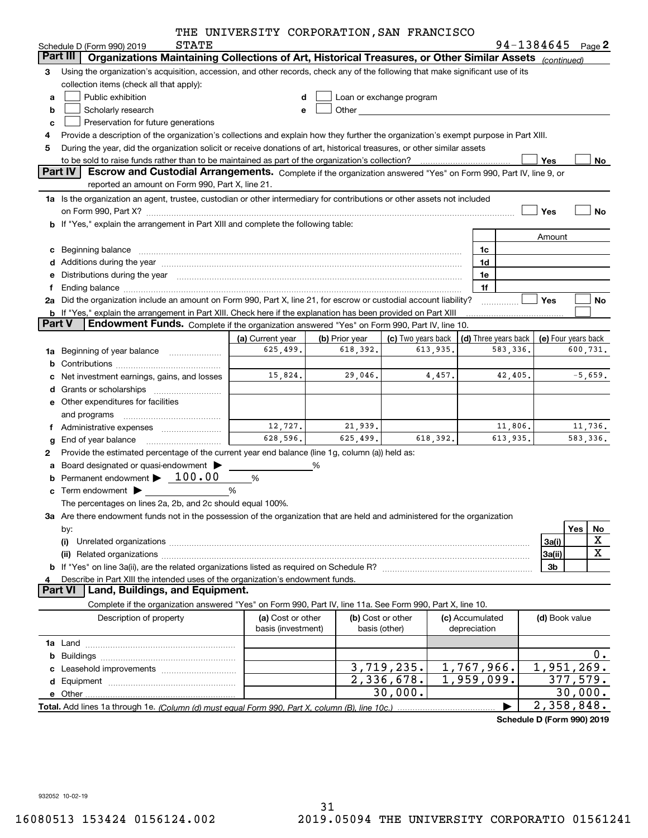| THE UNIVERSITY CORPORATION,SAN FRANCISCO |
|------------------------------------------|
|                                          |

|               |                                                                                                                                                                                                                                | THE UNIVERSITY CORPORATION, SAN FRANCISCO |                            |                                                                                                                                                                                                                               |                      |          |                |                                 |
|---------------|--------------------------------------------------------------------------------------------------------------------------------------------------------------------------------------------------------------------------------|-------------------------------------------|----------------------------|-------------------------------------------------------------------------------------------------------------------------------------------------------------------------------------------------------------------------------|----------------------|----------|----------------|---------------------------------|
|               | <b>STATE</b><br>Schedule D (Form 990) 2019<br>Part III                                                                                                                                                                         |                                           |                            |                                                                                                                                                                                                                               |                      |          |                | $94 - 1384645$ Page 2           |
|               | Organizations Maintaining Collections of Art, Historical Treasures, or Other Similar Assets (continued)                                                                                                                        |                                           |                            |                                                                                                                                                                                                                               |                      |          |                |                                 |
| 3             | Using the organization's acquisition, accession, and other records, check any of the following that make significant use of its                                                                                                |                                           |                            |                                                                                                                                                                                                                               |                      |          |                |                                 |
|               | collection items (check all that apply):                                                                                                                                                                                       |                                           |                            |                                                                                                                                                                                                                               |                      |          |                |                                 |
| a             | Public exhibition                                                                                                                                                                                                              | d                                         |                            | Loan or exchange program                                                                                                                                                                                                      |                      |          |                |                                 |
| b             | Scholarly research                                                                                                                                                                                                             | e                                         |                            | Other and the contract of the contract of the contract of the contract of the contract of the contract of the contract of the contract of the contract of the contract of the contract of the contract of the contract of the |                      |          |                |                                 |
| с             | Preservation for future generations                                                                                                                                                                                            |                                           |                            |                                                                                                                                                                                                                               |                      |          |                |                                 |
| 4             | Provide a description of the organization's collections and explain how they further the organization's exempt purpose in Part XIII.                                                                                           |                                           |                            |                                                                                                                                                                                                                               |                      |          |                |                                 |
| 5             | During the year, did the organization solicit or receive donations of art, historical treasures, or other similar assets                                                                                                       |                                           |                            |                                                                                                                                                                                                                               |                      |          |                |                                 |
|               |                                                                                                                                                                                                                                |                                           |                            |                                                                                                                                                                                                                               |                      |          | Yes            | No                              |
|               | Part IV<br>Escrow and Custodial Arrangements. Complete if the organization answered "Yes" on Form 990, Part IV, line 9, or<br>reported an amount on Form 990, Part X, line 21.                                                 |                                           |                            |                                                                                                                                                                                                                               |                      |          |                |                                 |
|               |                                                                                                                                                                                                                                |                                           |                            |                                                                                                                                                                                                                               |                      |          |                |                                 |
|               | 1a Is the organization an agent, trustee, custodian or other intermediary for contributions or other assets not included                                                                                                       |                                           |                            |                                                                                                                                                                                                                               |                      |          |                |                                 |
|               |                                                                                                                                                                                                                                |                                           |                            |                                                                                                                                                                                                                               |                      |          | Yes            | No                              |
|               | b If "Yes," explain the arrangement in Part XIII and complete the following table:                                                                                                                                             |                                           |                            |                                                                                                                                                                                                                               |                      |          |                |                                 |
|               |                                                                                                                                                                                                                                |                                           |                            |                                                                                                                                                                                                                               |                      |          | Amount         |                                 |
| c             | Beginning balance                                                                                                                                                                                                              |                                           |                            |                                                                                                                                                                                                                               | 1c                   |          |                |                                 |
| d             | Additions during the year manufactured and an annual contract of the year manufactured and a set of the year manufactured and a set of the year manufactured and a set of the year manufactured and set of the set of the set  |                                           |                            |                                                                                                                                                                                                                               | 1d                   |          |                |                                 |
| е             | Distributions during the year manufactured and continuum control of the state of the control of the state of the state of the state of the state of the state of the state of the state of the state of the state of the state |                                           |                            |                                                                                                                                                                                                                               | 1e                   |          |                |                                 |
| f             | Ending balance www.communications.com/www.communications.com/www.communications.com/www.com/www.com                                                                                                                            |                                           |                            |                                                                                                                                                                                                                               | 1f                   |          |                |                                 |
| 2a            | Did the organization include an amount on Form 990, Part X, line 21, for escrow or custodial account liability?                                                                                                                |                                           |                            |                                                                                                                                                                                                                               |                      |          | Yes            | No                              |
| <b>Part V</b> | <b>b</b> If "Yes," explain the arrangement in Part XIII. Check here if the explanation has been provided on Part XIII<br>Endowment Funds. Complete if the organization answered "Yes" on Form 990, Part IV, line 10.           |                                           |                            |                                                                                                                                                                                                                               |                      |          |                |                                 |
|               |                                                                                                                                                                                                                                |                                           |                            |                                                                                                                                                                                                                               |                      |          |                |                                 |
|               |                                                                                                                                                                                                                                | (a) Current year<br>625,499.              | (b) Prior year<br>618,392. | (c) Two years back<br>613,935.                                                                                                                                                                                                | (d) Three years back | 583,336. |                | (e) Four years back<br>600,731. |
|               | 1a Beginning of year balance                                                                                                                                                                                                   |                                           |                            |                                                                                                                                                                                                                               |                      |          |                |                                 |
| b             |                                                                                                                                                                                                                                |                                           |                            |                                                                                                                                                                                                                               |                      |          |                |                                 |
| с             | Net investment earnings, gains, and losses                                                                                                                                                                                     | 15,824.                                   | 29,046.                    | 4,457.                                                                                                                                                                                                                        |                      | 42,405.  |                | $-5,659.$                       |
| d             |                                                                                                                                                                                                                                |                                           |                            |                                                                                                                                                                                                                               |                      |          |                |                                 |
|               | <b>e</b> Other expenditures for facilities                                                                                                                                                                                     |                                           |                            |                                                                                                                                                                                                                               |                      |          |                |                                 |
|               | and programs                                                                                                                                                                                                                   |                                           |                            |                                                                                                                                                                                                                               |                      |          |                |                                 |
|               |                                                                                                                                                                                                                                | 12,727.                                   | 21,939.                    |                                                                                                                                                                                                                               |                      | 11,806.  |                | 11,736.                         |
| g             | End of year balance                                                                                                                                                                                                            | 628,596.                                  | 625,499.                   | 618,392.                                                                                                                                                                                                                      |                      | 613,935. |                | 583,336.                        |
| 2             | Provide the estimated percentage of the current year end balance (line 1g, column (a)) held as:                                                                                                                                |                                           |                            |                                                                                                                                                                                                                               |                      |          |                |                                 |
|               | a Board designated or quasi-endowment >                                                                                                                                                                                        |                                           | %                          |                                                                                                                                                                                                                               |                      |          |                |                                 |
| b             | Permanent endowment > 100.00                                                                                                                                                                                                   | %                                         |                            |                                                                                                                                                                                                                               |                      |          |                |                                 |
| c             | Term endowment <b>Department</b>                                                                                                                                                                                               | %                                         |                            |                                                                                                                                                                                                                               |                      |          |                |                                 |
|               | The percentages on lines 2a, 2b, and 2c should equal 100%.                                                                                                                                                                     |                                           |                            |                                                                                                                                                                                                                               |                      |          |                |                                 |
|               | 3a Are there endowment funds not in the possession of the organization that are held and administered for the organization                                                                                                     |                                           |                            |                                                                                                                                                                                                                               |                      |          |                |                                 |
|               | by:                                                                                                                                                                                                                            |                                           |                            |                                                                                                                                                                                                                               |                      |          |                | Yes<br>No                       |
|               | (i)                                                                                                                                                                                                                            |                                           |                            |                                                                                                                                                                                                                               |                      |          | 3a(i)          | х                               |
|               |                                                                                                                                                                                                                                |                                           |                            |                                                                                                                                                                                                                               |                      |          | 3a(ii)         | х                               |
|               |                                                                                                                                                                                                                                |                                           |                            |                                                                                                                                                                                                                               |                      |          | 3b             |                                 |
| 4             | Describe in Part XIII the intended uses of the organization's endowment funds.                                                                                                                                                 |                                           |                            |                                                                                                                                                                                                                               |                      |          |                |                                 |
|               | Land, Buildings, and Equipment.<br>Part VI                                                                                                                                                                                     |                                           |                            |                                                                                                                                                                                                                               |                      |          |                |                                 |
|               | Complete if the organization answered "Yes" on Form 990, Part IV, line 11a. See Form 990, Part X, line 10.                                                                                                                     |                                           |                            |                                                                                                                                                                                                                               |                      |          |                |                                 |
|               | Description of property                                                                                                                                                                                                        | (a) Cost or other                         |                            | (b) Cost or other                                                                                                                                                                                                             | (c) Accumulated      |          | (d) Book value |                                 |
|               |                                                                                                                                                                                                                                | basis (investment)                        | basis (other)              |                                                                                                                                                                                                                               | depreciation         |          |                |                                 |
|               |                                                                                                                                                                                                                                |                                           |                            |                                                                                                                                                                                                                               |                      |          |                |                                 |
| b             |                                                                                                                                                                                                                                |                                           |                            |                                                                                                                                                                                                                               |                      |          |                | 0.                              |
| c             | Leasehold improvements                                                                                                                                                                                                         |                                           |                            | 3,719,235.                                                                                                                                                                                                                    | 1,767,966.           |          |                | 1,951,269.                      |
|               |                                                                                                                                                                                                                                |                                           |                            | $\overline{2,336,678}$ .                                                                                                                                                                                                      | 1,959,099.           |          |                | 377,579.                        |
|               |                                                                                                                                                                                                                                |                                           |                            | 30,000.                                                                                                                                                                                                                       |                      |          |                | 30,000.                         |
|               |                                                                                                                                                                                                                                |                                           |                            |                                                                                                                                                                                                                               |                      |          |                | 2,358,848.                      |

**Schedule D (Form 990) 2019**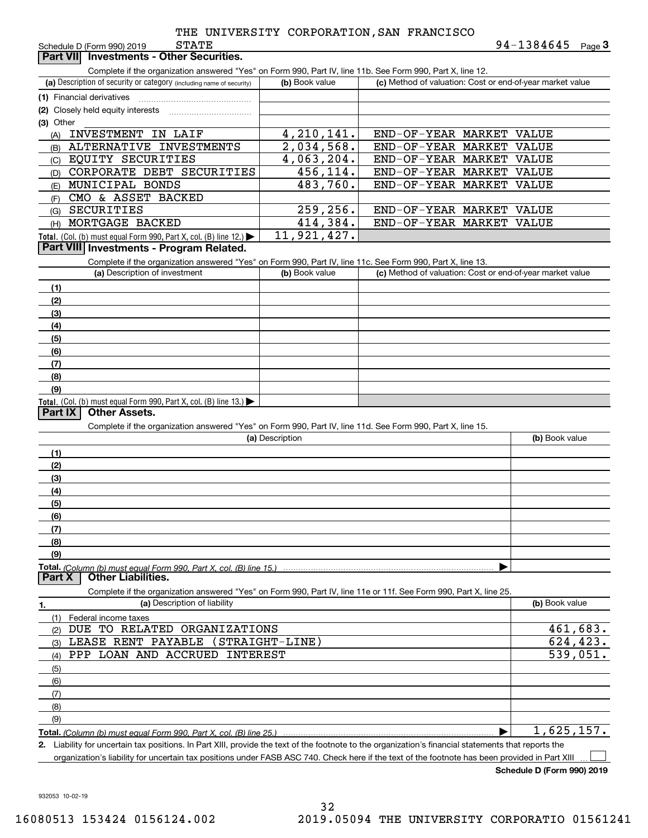Schedule D (Form 990) 2019

 $94-1384645$  Page 3

#### **Part VII Investments - Other Securities.**

Complete if the organization answered "Yes" on Form 990, Part IV, line 11b. See Form 990, Part X, line 12.

| (a) Description of security or category (including name of security)                          | (b) Book value | (c) Method of valuation: Cost or end-of-year market value |
|-----------------------------------------------------------------------------------------------|----------------|-----------------------------------------------------------|
|                                                                                               |                |                                                           |
|                                                                                               |                |                                                           |
| $(3)$ Other                                                                                   |                |                                                           |
| INVESTMENT IN LAIF<br>(A)                                                                     | 4, 210, 141.   | END-OF-YEAR MARKET VALUE                                  |
| (B) ALTERNATIVE INVESTMENTS                                                                   | 2,034,568.     | END-OF-YEAR MARKET VALUE                                  |
| (C) EQUITY SECURITIES                                                                         | 4,063,204.     | END-OF-YEAR MARKET VALUE                                  |
| (D) CORPORATE DEBT SECURITIES                                                                 | 456, 114.      | END-OF-YEAR MARKET VALUE                                  |
| MUNICIPAL BONDS<br>(E)                                                                        | 483,760.       | END-OF-YEAR MARKET VALUE                                  |
| CMO & ASSET BACKED<br>(F)                                                                     |                |                                                           |
| SECURITIES<br>(G)                                                                             | 259, 256.      | END-OF-YEAR MARKET VALUE                                  |
| (H) MORTGAGE BACKED                                                                           | 414,384.       | END-OF-YEAR MARKET VALUE                                  |
| <b>Total.</b> (Col. (b) must equal Form 990, Part X, col. (B) line 12.) $\blacktriangleright$ | 11,921,427.    |                                                           |

### **Part VIII Investments - Program Related.**

Complete if the organization answered "Yes" on Form 990, Part IV, line 11c. See Form 990, Part X, line 13.

| (a) Description of investment                                       | (b) Book value | (c) Method of valuation: Cost or end-of-year market value |
|---------------------------------------------------------------------|----------------|-----------------------------------------------------------|
| (1)                                                                 |                |                                                           |
| (2)                                                                 |                |                                                           |
| (3)                                                                 |                |                                                           |
| (4)                                                                 |                |                                                           |
| (5)                                                                 |                |                                                           |
| (6)                                                                 |                |                                                           |
| (7)                                                                 |                |                                                           |
| (8)                                                                 |                |                                                           |
| (9)                                                                 |                |                                                           |
| Total. (Col. (b) must equal Form 990, Part X, col. (B) line $13.$ ) |                |                                                           |

#### **Part IX Other Assets.**

Complete if the organization answered "Yes" on Form 990, Part IV, line 11d. See Form 990, Part X, line 15.

| (a) Description                                                                                   | (b) Book value |
|---------------------------------------------------------------------------------------------------|----------------|
| (1)                                                                                               |                |
| (2)                                                                                               |                |
| (3)                                                                                               |                |
| (4)                                                                                               |                |
| (5)                                                                                               |                |
| (6)                                                                                               |                |
|                                                                                                   |                |
| (8)                                                                                               |                |
| (9)                                                                                               |                |
| Total. (Column (b) must equal Form 990, Part X, col. (B) line 15.)<br>Dart X L. Other Liabilities |                |
|                                                                                                   |                |

#### **Part X Other Liabilities.**

Complete if the organization answered "Yes" on Form 990, Part IV, line 11e or 11f. See Form 990, Part X, line 25.

| 1.                | (a) Description of liability       | (b) Book value |
|-------------------|------------------------------------|----------------|
|                   | Federal income taxes               |                |
| (2)               | DUE TO RELATED ORGANIZATIONS       | 461,683.       |
| (3)               | LEASE RENT PAYABLE (STRAIGHT-LINE) | 624,423.       |
| (4)               | PPP LOAN AND ACCRUED INTEREST      | 539,051.       |
| $\frac{1}{2}$ (5) |                                    |                |
| (6)               |                                    |                |
| (7)               |                                    |                |
| (8)               |                                    |                |
| (9)               |                                    |                |
|                   |                                    | 1,625,157.     |

**2.** Liability for uncertain tax positions. In Part XIII, provide the text of the footnote to the organization's financial statements that reports the organization's liability for uncertain tax positions under FASB ASC 740. Check here if the text of the footnote has been provided in Part XIII

 $\mathcal{L}^{\text{max}}$ 

**Schedule D (Form 990) 2019**

932053 10-02-19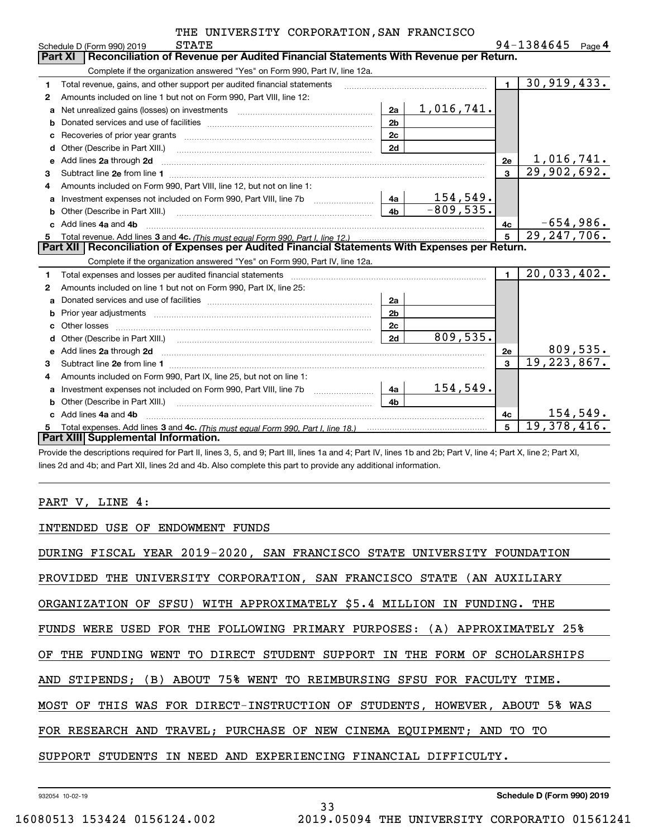|  |  | THE UNIVERSITY CORPORATION, SAN FRANCISCO |  |
|--|--|-------------------------------------------|--|
|--|--|-------------------------------------------|--|

|    | <b>STATE</b><br>Schedule D (Form 990) 2019                                                                                                                                                                                     |                |             |                         | 94-1384645<br>Page $4$ |
|----|--------------------------------------------------------------------------------------------------------------------------------------------------------------------------------------------------------------------------------|----------------|-------------|-------------------------|------------------------|
|    | <b>Part XI</b><br>Reconciliation of Revenue per Audited Financial Statements With Revenue per Return.                                                                                                                          |                |             |                         |                        |
|    | Complete if the organization answered "Yes" on Form 990, Part IV, line 12a.                                                                                                                                                    |                |             |                         |                        |
| 1  | Total revenue, gains, and other support per audited financial statements                                                                                                                                                       |                |             | $\blacksquare$          | 30,919,433.            |
| 2  | Amounts included on line 1 but not on Form 990, Part VIII, line 12:                                                                                                                                                            |                |             |                         |                        |
| a  |                                                                                                                                                                                                                                | 2a             | 1,016,741.  |                         |                        |
| b  |                                                                                                                                                                                                                                | 2 <sub>b</sub> |             |                         |                        |
| C  | Recoveries of prior year grants [11] matter contracts and prior year grants [11] matter contracts and prior year grants and all the contracts and all the contracts of prior year grants and all the contracts of the contract | 2 <sub>c</sub> |             |                         |                        |
| d  | Other (Describe in Part XIII.) <b>Construction Contract Construction</b> Chern Construction Construction Construction                                                                                                          | 2d             |             |                         |                        |
| е  | Add lines 2a through 2d                                                                                                                                                                                                        |                |             | 2e                      | 1,016,741.             |
| 3  |                                                                                                                                                                                                                                |                |             | $\overline{\mathbf{3}}$ | 29,902,692.            |
| 4  | Amounts included on Form 990, Part VIII, line 12, but not on line 1:                                                                                                                                                           |                |             |                         |                        |
| a  |                                                                                                                                                                                                                                | 4a             | 154,549.    |                         |                        |
| b  |                                                                                                                                                                                                                                | 4 <sub>b</sub> | $-809,535.$ |                         |                        |
|    | Add lines 4a and 4b                                                                                                                                                                                                            |                |             | 4с                      | $-654,986.$            |
|    |                                                                                                                                                                                                                                |                |             |                         | 29, 247, 706.          |
| 5  |                                                                                                                                                                                                                                |                |             |                         |                        |
|    | Part XII   Reconciliation of Expenses per Audited Financial Statements With Expenses per Return.                                                                                                                               |                |             |                         |                        |
|    | Complete if the organization answered "Yes" on Form 990, Part IV, line 12a.                                                                                                                                                    |                |             |                         |                        |
| 1. |                                                                                                                                                                                                                                |                |             | $\blacksquare$          | 20,033,402.            |
| 2  | Amounts included on line 1 but not on Form 990, Part IX, line 25:                                                                                                                                                              |                |             |                         |                        |
| a  |                                                                                                                                                                                                                                | 2a             |             |                         |                        |
| b  |                                                                                                                                                                                                                                | 2 <sub>b</sub> |             |                         |                        |
|    | Other losses                                                                                                                                                                                                                   | 2c             |             |                         |                        |
| d  |                                                                                                                                                                                                                                | 2d             | 809,535.    |                         |                        |
| e  | Add lines 2a through 2d                                                                                                                                                                                                        |                |             | 2e                      | 809,535.               |
| 3  |                                                                                                                                                                                                                                |                |             | 3                       | 19,223,867.            |
| 4  | Amounts included on Form 990, Part IX, line 25, but not on line 1:                                                                                                                                                             |                |             |                         |                        |
| a  |                                                                                                                                                                                                                                | 4a             | 154,549.    |                         |                        |
| b  | Other (Describe in Part XIII.)                                                                                                                                                                                                 | 4 <sub>b</sub> |             |                         |                        |
|    | c Add lines 4a and 4b                                                                                                                                                                                                          |                |             | 4c                      | 154, 549.              |
|    | <b>Part XIII Supplemental Information.</b>                                                                                                                                                                                     |                |             | 5                       | 19,378,416.            |

Provide the descriptions required for Part II, lines 3, 5, and 9; Part III, lines 1a and 4; Part IV, lines 1b and 2b; Part V, line 4; Part X, line 2; Part XI, lines 2d and 4b; and Part XII, lines 2d and 4b. Also complete this part to provide any additional information.

#### PART V, LINE 4:

INTENDED USE OF ENDOWMENT FUNDS

DURING FISCAL YEAR 2019-2020, SAN FRANCISCO STATE UNIVERSITY FOUNDATION

PROVIDED THE UNIVERSITY CORPORATION, SAN FRANCISCO STATE (AN AUXILIARY

ORGANIZATION OF SFSU) WITH APPROXIMATELY \$5.4 MILLION IN FUNDING. THE

FUNDS WERE USED FOR THE FOLLOWING PRIMARY PURPOSES: (A) APPROXIMATELY 25%

OF THE FUNDING WENT TO DIRECT STUDENT SUPPORT IN THE FORM OF SCHOLARSHIPS

AND STIPENDS; (B) ABOUT 75% WENT TO REIMBURSING SFSU FOR FACULTY TIME.

MOST OF THIS WAS FOR DIRECT-INSTRUCTION OF STUDENTS, HOWEVER, ABOUT 5% WAS

33

FOR RESEARCH AND TRAVEL; PURCHASE OF NEW CINEMA EQUIPMENT; AND TO TO

SUPPORT STUDENTS IN NEED AND EXPERIENCING FINANCIAL DIFFICULTY.

932054 10-02-19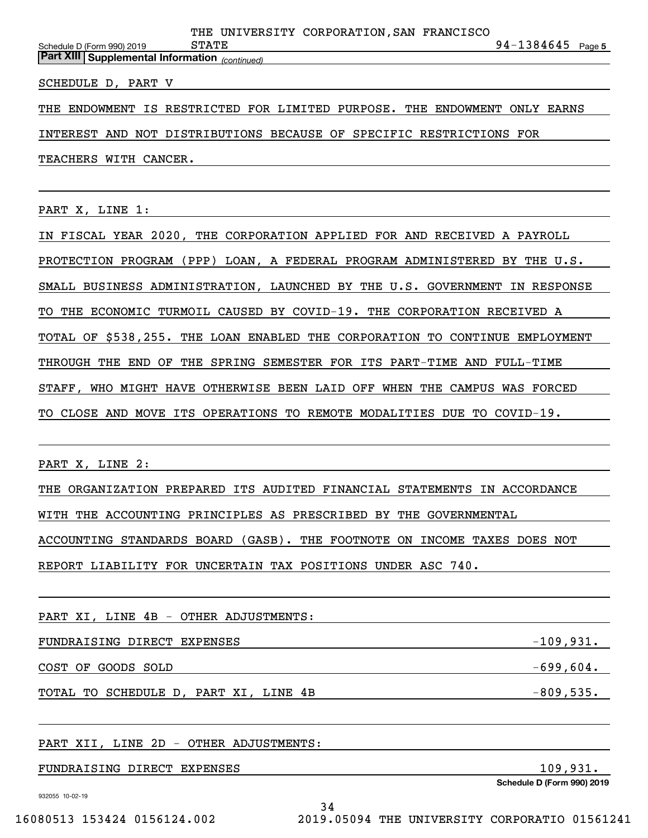|                            |       | THE UNIVERSITY CORPORATION, SAN FRANCISCO |                       |  |
|----------------------------|-------|-------------------------------------------|-----------------------|--|
| Schedule D (Form 990) 2019 | STATE |                                           | $94 - 1384645$ Page 5 |  |
| _______                    |       |                                           |                       |  |

*(continued)* **Part XIII Supplemental Information** 

SCHEDULE D, PART V

THE ENDOWMENT IS RESTRICTED FOR LIMITED PURPOSE. THE ENDOWMENT ONLY EARNS

INTEREST AND NOT DISTRIBUTIONS BECAUSE OF SPECIFIC RESTRICTIONS FOR

TEACHERS WITH CANCER.

PART X, LINE 1:

IN FISCAL YEAR 2020, THE CORPORATION APPLIED FOR AND RECEIVED A PAYROLL PROTECTION PROGRAM (PPP) LOAN, A FEDERAL PROGRAM ADMINISTERED BY THE U.S. SMALL BUSINESS ADMINISTRATION, LAUNCHED BY THE U.S. GOVERNMENT IN RESPONSE TO THE ECONOMIC TURMOIL CAUSED BY COVID-19. THE CORPORATION RECEIVED A TOTAL OF \$538,255. THE LOAN ENABLED THE CORPORATION TO CONTINUE EMPLOYMENT THROUGH THE END OF THE SPRING SEMESTER FOR ITS PART-TIME AND FULL-TIME STAFF, WHO MIGHT HAVE OTHERWISE BEEN LAID OFF WHEN THE CAMPUS WAS FORCED TO CLOSE AND MOVE ITS OPERATIONS TO REMOTE MODALITIES DUE TO COVID-19.

PART X, LINE 2:

THE ORGANIZATION PREPARED ITS AUDITED FINANCIAL STATEMENTS IN ACCORDANCE WITH THE ACCOUNTING PRINCIPLES AS PRESCRIBED BY THE GOVERNMENTAL ACCOUNTING STANDARDS BOARD (GASB). THE FOOTNOTE ON INCOME TAXES DOES NOT REPORT LIABILITY FOR UNCERTAIN TAX POSITIONS UNDER ASC 740.

PART XI, LINE 4B - OTHER ADJUSTMENTS:

FUNDRAISING DIRECT EXPENSES -109,931.

 $\overline{COST}$  of Goods sold

TOTAL TO SCHEDULE D, PART XI, LINE  $4B$   $-809,535$ .

PART XII, LINE 2D - OTHER ADJUSTMENTS:

FUNDRAISING DIRECT EXPENSES 109,931.

**Schedule D (Form 990) 2019**

932055 10-02-19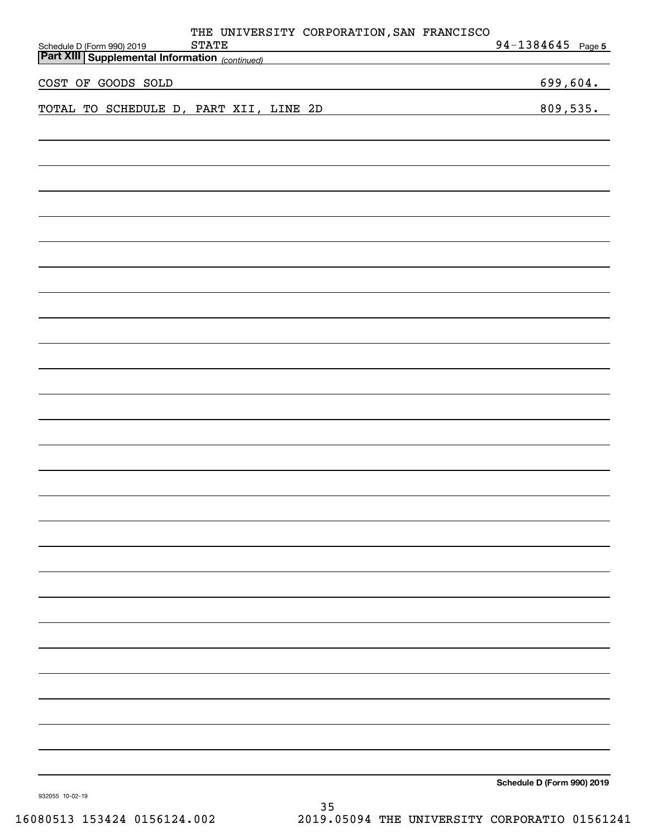|                                                                                                       |              | THE UNIVERSITY CORPORATION, SAN FRANCISCO                                                                            |                                                             |                            |
|-------------------------------------------------------------------------------------------------------|--------------|----------------------------------------------------------------------------------------------------------------------|-------------------------------------------------------------|----------------------------|
| Schedule D (Form 990) 2019<br><u><b>Part XIII</b></u> Supplemental Information <sub>(continued)</sub> | <b>STATE</b> |                                                                                                                      |                                                             | 94-1384645 Page 5          |
| COST OF GOODS SOLD                                                                                    |              | <u> 1989 - Johann Stein, marwolaethau a bhann an t-Amhair an t-Amhair an t-Amhair an t-Amhair an t-Amhair an t-A</u> |                                                             | 699,604.                   |
| TOTAL TO SCHEDULE D, PART XII, LINE 2D                                                                |              |                                                                                                                      |                                                             | 809,535.                   |
|                                                                                                       |              |                                                                                                                      | the control of the control of the control of the control of |                            |
|                                                                                                       |              |                                                                                                                      |                                                             |                            |
|                                                                                                       |              |                                                                                                                      |                                                             |                            |
|                                                                                                       |              |                                                                                                                      |                                                             |                            |
|                                                                                                       |              |                                                                                                                      |                                                             |                            |
|                                                                                                       |              |                                                                                                                      |                                                             |                            |
|                                                                                                       |              |                                                                                                                      |                                                             |                            |
|                                                                                                       |              |                                                                                                                      |                                                             |                            |
|                                                                                                       |              |                                                                                                                      |                                                             |                            |
|                                                                                                       |              |                                                                                                                      |                                                             |                            |
|                                                                                                       |              |                                                                                                                      |                                                             |                            |
|                                                                                                       |              |                                                                                                                      |                                                             |                            |
|                                                                                                       |              |                                                                                                                      |                                                             |                            |
|                                                                                                       |              |                                                                                                                      |                                                             |                            |
|                                                                                                       |              |                                                                                                                      |                                                             |                            |
|                                                                                                       |              |                                                                                                                      |                                                             |                            |
|                                                                                                       |              |                                                                                                                      |                                                             |                            |
|                                                                                                       |              |                                                                                                                      |                                                             |                            |
|                                                                                                       |              |                                                                                                                      |                                                             |                            |
|                                                                                                       |              |                                                                                                                      |                                                             |                            |
|                                                                                                       |              |                                                                                                                      |                                                             |                            |
|                                                                                                       |              |                                                                                                                      |                                                             |                            |
|                                                                                                       |              |                                                                                                                      |                                                             |                            |
|                                                                                                       |              |                                                                                                                      |                                                             |                            |
|                                                                                                       |              |                                                                                                                      |                                                             |                            |
|                                                                                                       |              |                                                                                                                      |                                                             |                            |
|                                                                                                       |              |                                                                                                                      |                                                             |                            |
|                                                                                                       |              |                                                                                                                      |                                                             |                            |
|                                                                                                       |              |                                                                                                                      |                                                             |                            |
|                                                                                                       |              |                                                                                                                      |                                                             |                            |
|                                                                                                       |              |                                                                                                                      |                                                             |                            |
|                                                                                                       |              |                                                                                                                      |                                                             |                            |
|                                                                                                       |              |                                                                                                                      |                                                             |                            |
|                                                                                                       |              |                                                                                                                      |                                                             |                            |
|                                                                                                       |              |                                                                                                                      |                                                             | Schedule D (Form 990) 2019 |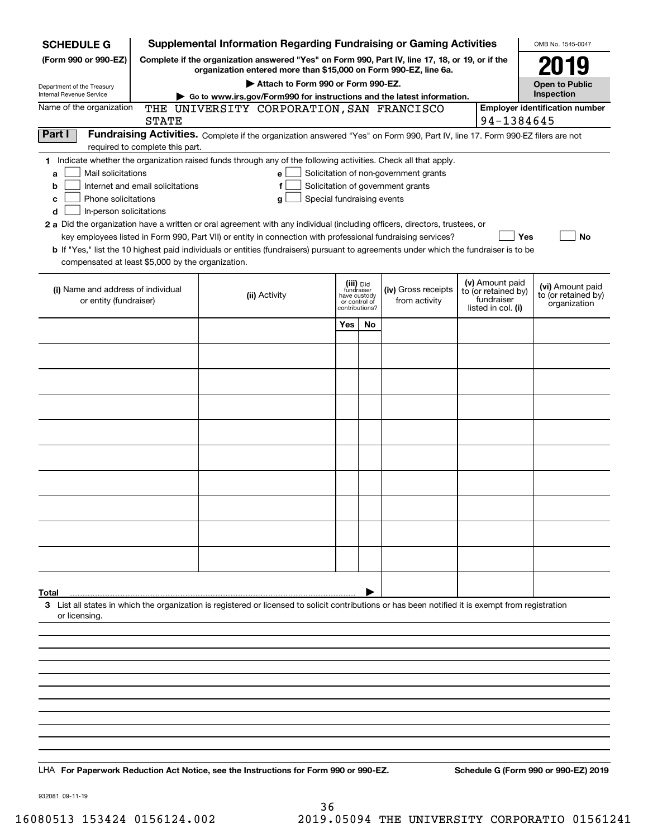| <b>Supplemental Information Regarding Fundraising or Gaming Activities</b><br><b>SCHEDULE G</b>                                                                                                                                                                                                                                                                                                                                                                                                                                                |                                                                                                                                                                     |  |                                                                                                                                                     |                                                                            |    |                                                                            |  | OMB No. 1545-0047                                                          |                                                         |
|------------------------------------------------------------------------------------------------------------------------------------------------------------------------------------------------------------------------------------------------------------------------------------------------------------------------------------------------------------------------------------------------------------------------------------------------------------------------------------------------------------------------------------------------|---------------------------------------------------------------------------------------------------------------------------------------------------------------------|--|-----------------------------------------------------------------------------------------------------------------------------------------------------|----------------------------------------------------------------------------|----|----------------------------------------------------------------------------|--|----------------------------------------------------------------------------|---------------------------------------------------------|
| (Form 990 or 990-EZ)                                                                                                                                                                                                                                                                                                                                                                                                                                                                                                                           | Complete if the organization answered "Yes" on Form 990, Part IV, line 17, 18, or 19, or if the<br>organization entered more than \$15,000 on Form 990-EZ, line 6a. |  | 2019                                                                                                                                                |                                                                            |    |                                                                            |  |                                                                            |                                                         |
| Department of the Treasury                                                                                                                                                                                                                                                                                                                                                                                                                                                                                                                     |                                                                                                                                                                     |  | <b>Open to Public</b>                                                                                                                               |                                                                            |    |                                                                            |  |                                                                            |                                                         |
| Internal Revenue Service                                                                                                                                                                                                                                                                                                                                                                                                                                                                                                                       | Go to www.irs.gov/Form990 for instructions and the latest information.                                                                                              |  |                                                                                                                                                     |                                                                            |    |                                                                            |  |                                                                            | Inspection                                              |
| Name of the organization<br><b>Employer identification number</b><br>THE UNIVERSITY CORPORATION, SAN FRANCISCO<br>94-1384645<br>STATE                                                                                                                                                                                                                                                                                                                                                                                                          |                                                                                                                                                                     |  |                                                                                                                                                     |                                                                            |    |                                                                            |  |                                                                            |                                                         |
| Part I                                                                                                                                                                                                                                                                                                                                                                                                                                                                                                                                         | required to complete this part.                                                                                                                                     |  | Fundraising Activities. Complete if the organization answered "Yes" on Form 990, Part IV, line 17. Form 990-EZ filers are not                       |                                                                            |    |                                                                            |  |                                                                            |                                                         |
| 1 Indicate whether the organization raised funds through any of the following activities. Check all that apply.<br>Mail solicitations<br>a<br>b<br>Phone solicitations<br>с<br>In-person solicitations<br>d<br>2 a Did the organization have a written or oral agreement with any individual (including officers, directors, trustees, or<br><b>b</b> If "Yes," list the 10 highest paid individuals or entities (fundraisers) pursuant to agreements under which the fundraiser is to be<br>compensated at least \$5,000 by the organization. | Internet and email solicitations                                                                                                                                    |  | е<br>Special fundraising events<br>g<br>key employees listed in Form 990, Part VII) or entity in connection with professional fundraising services? |                                                                            |    | Solicitation of non-government grants<br>Solicitation of government grants |  | Yes                                                                        | No                                                      |
| (i) Name and address of individual<br>or entity (fundraiser)                                                                                                                                                                                                                                                                                                                                                                                                                                                                                   |                                                                                                                                                                     |  | (ii) Activity                                                                                                                                       | (iii) Did<br>fundraiser<br>have custody<br>or control of<br>contributions? |    | (iv) Gross receipts<br>from activity                                       |  | (v) Amount paid<br>to (or retained by)<br>fundraiser<br>listed in col. (i) | (vi) Amount paid<br>to (or retained by)<br>organization |
|                                                                                                                                                                                                                                                                                                                                                                                                                                                                                                                                                |                                                                                                                                                                     |  |                                                                                                                                                     | Yes                                                                        | No |                                                                            |  |                                                                            |                                                         |
|                                                                                                                                                                                                                                                                                                                                                                                                                                                                                                                                                |                                                                                                                                                                     |  |                                                                                                                                                     |                                                                            |    |                                                                            |  |                                                                            |                                                         |
|                                                                                                                                                                                                                                                                                                                                                                                                                                                                                                                                                |                                                                                                                                                                     |  |                                                                                                                                                     |                                                                            |    |                                                                            |  |                                                                            |                                                         |
|                                                                                                                                                                                                                                                                                                                                                                                                                                                                                                                                                |                                                                                                                                                                     |  |                                                                                                                                                     |                                                                            |    |                                                                            |  |                                                                            |                                                         |
|                                                                                                                                                                                                                                                                                                                                                                                                                                                                                                                                                |                                                                                                                                                                     |  |                                                                                                                                                     |                                                                            |    |                                                                            |  |                                                                            |                                                         |
|                                                                                                                                                                                                                                                                                                                                                                                                                                                                                                                                                |                                                                                                                                                                     |  |                                                                                                                                                     |                                                                            |    |                                                                            |  |                                                                            |                                                         |
|                                                                                                                                                                                                                                                                                                                                                                                                                                                                                                                                                |                                                                                                                                                                     |  |                                                                                                                                                     |                                                                            |    |                                                                            |  |                                                                            |                                                         |
|                                                                                                                                                                                                                                                                                                                                                                                                                                                                                                                                                |                                                                                                                                                                     |  |                                                                                                                                                     |                                                                            |    |                                                                            |  |                                                                            |                                                         |
|                                                                                                                                                                                                                                                                                                                                                                                                                                                                                                                                                |                                                                                                                                                                     |  |                                                                                                                                                     |                                                                            |    |                                                                            |  |                                                                            |                                                         |
|                                                                                                                                                                                                                                                                                                                                                                                                                                                                                                                                                |                                                                                                                                                                     |  |                                                                                                                                                     |                                                                            |    |                                                                            |  |                                                                            |                                                         |
|                                                                                                                                                                                                                                                                                                                                                                                                                                                                                                                                                |                                                                                                                                                                     |  |                                                                                                                                                     |                                                                            |    |                                                                            |  |                                                                            |                                                         |
|                                                                                                                                                                                                                                                                                                                                                                                                                                                                                                                                                |                                                                                                                                                                     |  |                                                                                                                                                     |                                                                            |    |                                                                            |  |                                                                            |                                                         |
|                                                                                                                                                                                                                                                                                                                                                                                                                                                                                                                                                |                                                                                                                                                                     |  |                                                                                                                                                     |                                                                            |    |                                                                            |  |                                                                            |                                                         |
|                                                                                                                                                                                                                                                                                                                                                                                                                                                                                                                                                |                                                                                                                                                                     |  |                                                                                                                                                     |                                                                            |    |                                                                            |  |                                                                            |                                                         |
| Total<br>3 List all states in which the organization is registered or licensed to solicit contributions or has been notified it is exempt from registration<br>or licensing.                                                                                                                                                                                                                                                                                                                                                                   |                                                                                                                                                                     |  |                                                                                                                                                     |                                                                            |    |                                                                            |  |                                                                            |                                                         |
|                                                                                                                                                                                                                                                                                                                                                                                                                                                                                                                                                |                                                                                                                                                                     |  |                                                                                                                                                     |                                                                            |    |                                                                            |  |                                                                            |                                                         |
|                                                                                                                                                                                                                                                                                                                                                                                                                                                                                                                                                |                                                                                                                                                                     |  |                                                                                                                                                     |                                                                            |    |                                                                            |  |                                                                            |                                                         |
|                                                                                                                                                                                                                                                                                                                                                                                                                                                                                                                                                |                                                                                                                                                                     |  |                                                                                                                                                     |                                                                            |    |                                                                            |  |                                                                            |                                                         |
|                                                                                                                                                                                                                                                                                                                                                                                                                                                                                                                                                |                                                                                                                                                                     |  |                                                                                                                                                     |                                                                            |    |                                                                            |  |                                                                            |                                                         |
|                                                                                                                                                                                                                                                                                                                                                                                                                                                                                                                                                |                                                                                                                                                                     |  |                                                                                                                                                     |                                                                            |    |                                                                            |  |                                                                            |                                                         |
|                                                                                                                                                                                                                                                                                                                                                                                                                                                                                                                                                |                                                                                                                                                                     |  |                                                                                                                                                     |                                                                            |    |                                                                            |  |                                                                            |                                                         |
|                                                                                                                                                                                                                                                                                                                                                                                                                                                                                                                                                |                                                                                                                                                                     |  |                                                                                                                                                     |                                                                            |    |                                                                            |  |                                                                            |                                                         |
| LHA For Paperwork Reduction Act Notice, see the Instructions for Form 990 or 990-EZ.                                                                                                                                                                                                                                                                                                                                                                                                                                                           |                                                                                                                                                                     |  |                                                                                                                                                     |                                                                            |    |                                                                            |  |                                                                            | Schedule G (Form 990 or 990-EZ) 2019                    |

932081 09-11-19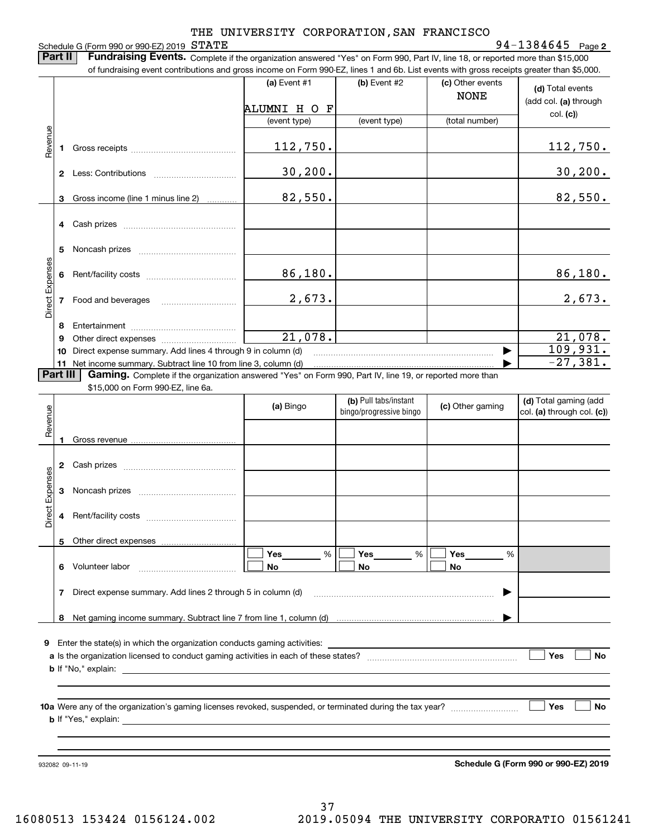THE UNIVERSITY CORPORATION,SAN FRANCISCO Schedule G (Form 990 or 990-EZ) 2019 STATE **2**STATE 94-1384645 **Part II** | Fundraising Events. Complete if the organization answered "Yes" on Form 990, Part IV, line 18, or reported more than \$15,000 of fundraising event contributions and gross income on Form 990-EZ, lines 1 and 6b. List events with gross receipts greater than \$5,000. **(a)** Event #1  $\vert$  **(b)** Event #2 (c) Other events **(d)**  Total events NONE (add col. **(a)** through ALUMNI H O F col. **(c)**) (event type) (event type) (total number) Revenue Revenue 112,750. 112,750. **1**Gross receipts ~~~~~~~~~~~~~~30,200. 30,200. **2** Less: Contributions ................................ 82,550. Gross income (line 1 minus line 2) 82,550. **3**. . . . . . . . . . . . **4** Cash prizes <sub>……………………………………</sub> **5** Noncash prizes \_\_\_\_\_\_\_\_\_\_\_\_\_\_\_\_\_\_\_\_\_\_\_\_\_\_\_\_ Direct Expenses Direct Expense: 86,180. 86,180. **6**Rent/facility costs ~~~~~~~~~~~~ 2,673. 2,673. **7**Food and beverages **8**Entertainment ~~~~~~~~~~~~~~ Other direct expenses ~~~~~~~~~~ 21,078. 21,078. **9**109,931.  $\blacktriangleright$ **10** Direct expense summary. Add lines 4 through 9 in column (d)  $-27,381$ . …… ▶ **11** Net income summary. Subtract line 10 from line 3, column (d) **Part III | Gaming.** Complete if the organization answered "Yes" on Form 990, Part IV, line 19, or reported more than \$15,000 on Form 990-EZ, line 6a. **(b)**  Pull tabs/instant **(d)**  Total gaming (add **(a)**  Revenue Bingo **Contract of Contract Contract Contract Contract Contract Contract Contract Contract Contract Contract Contract Contract Contract Contract Contract Contract Contract Contract Contract Contract Contract Contract Contr** Revenue bingo/progressive bingo col. **(a)** through col. **(c)**) **1**Gross revenue **2** Cash prizes <sub>……………………………………</sub> Direct Expenses Direct Expenses **3**Noncash prizes **4**Rent/facility costs ~~~~~~~~~~~~**5**Other direct expenses  $\boxed{\Box}$  Yes \_\_\_\_\_\_\_ %  $\boxed{\Box}$  Yes \_\_\_\_\_\_\_ %  $\boxed{\Box}$  $\mathcal{L}^{\text{max}}$ %**Yes Yes Yes** % %  $\mathcal{L}^{\text{max}}$ **6** Volunteer labor **No No No**  $\overline{\phantom{a}}$ Direct expense summary. Add lines 2 through 5 in column (d) **7** | …… ▶ **8**Net gaming income summary. Subtract line 7 from line 1, column (d) **9**Enter the state(s) in which the organization conducts gaming activities: **Yes**  $\mathcal{L}^{\text{max}}$ **a**Is the organization licensed to conduct gaming activities in each of these states? ~~~~~~~~~~~~~~~~~~~~**No**

**b**If "No," explain:

**10a**Were any of the organization's gaming licenses revoked, suspended, or terminated during the tax year? **b** If "Yes," explain: **Yes**

932082 09-11-19

**Schedule G (Form 990 or 990-EZ) 2019**

**No**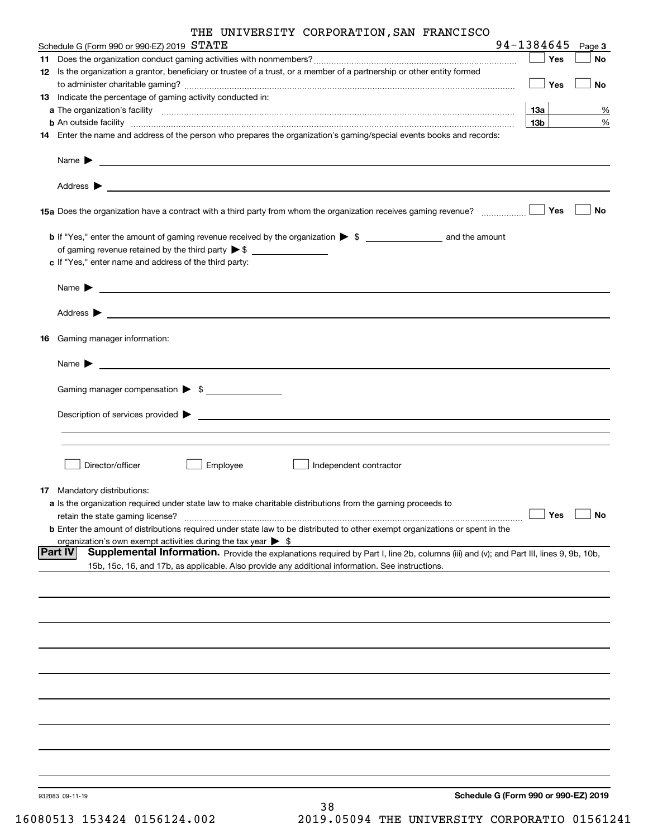|    | Schedule G (Form 990 or 990-EZ) 2019 STATE                                                                                                                                                                                                                   | 94-1384645      | Page 3    |
|----|--------------------------------------------------------------------------------------------------------------------------------------------------------------------------------------------------------------------------------------------------------------|-----------------|-----------|
|    |                                                                                                                                                                                                                                                              | Yes             | No        |
|    | 12 Is the organization a grantor, beneficiary or trustee of a trust, or a member of a partnership or other entity formed                                                                                                                                     |                 |           |
|    |                                                                                                                                                                                                                                                              | Yes             | No        |
|    | <b>13</b> Indicate the percentage of gaming activity conducted in:                                                                                                                                                                                           |                 |           |
|    |                                                                                                                                                                                                                                                              | 13а             | %         |
|    | <b>b</b> An outside facility <i>www.communically.communically.communically.communically.communically.communically.communically.communically.communically.communically.communically.communically.communically.communically.communicall</i>                    | 13 <sub>b</sub> | %         |
|    | 14 Enter the name and address of the person who prepares the organization's gaming/special events books and records:                                                                                                                                         |                 |           |
|    | Name $\blacktriangleright$                                                                                                                                                                                                                                   |                 |           |
|    |                                                                                                                                                                                                                                                              |                 |           |
|    |                                                                                                                                                                                                                                                              | Yes             | No        |
|    |                                                                                                                                                                                                                                                              |                 |           |
|    |                                                                                                                                                                                                                                                              |                 |           |
|    | c If "Yes," enter name and address of the third party:                                                                                                                                                                                                       |                 |           |
|    |                                                                                                                                                                                                                                                              |                 |           |
|    | Name $\blacktriangleright$                                                                                                                                                                                                                                   |                 |           |
|    |                                                                                                                                                                                                                                                              |                 |           |
| 16 | Gaming manager information:                                                                                                                                                                                                                                  |                 |           |
|    | Name $\blacktriangleright$                                                                                                                                                                                                                                   |                 |           |
|    |                                                                                                                                                                                                                                                              |                 |           |
|    | Gaming manager compensation > \$                                                                                                                                                                                                                             |                 |           |
|    | $Description of services provided$ $\triangleright$                                                                                                                                                                                                          |                 |           |
|    |                                                                                                                                                                                                                                                              |                 |           |
|    |                                                                                                                                                                                                                                                              |                 |           |
|    | Director/officer<br>Employee<br>Independent contractor                                                                                                                                                                                                       |                 |           |
|    |                                                                                                                                                                                                                                                              |                 |           |
| 17 | Mandatory distributions:                                                                                                                                                                                                                                     |                 |           |
|    | a Is the organization required under state law to make charitable distributions from the gaming proceeds to                                                                                                                                                  |                 |           |
|    | retain the state gaming license?                                                                                                                                                                                                                             | $\Box$ Yes      | $\Box$ No |
|    | <b>b</b> Enter the amount of distributions required under state law to be distributed to other exempt organizations or spent in the                                                                                                                          |                 |           |
|    | organization's own exempt activities during the tax year $\triangleright$ \$                                                                                                                                                                                 |                 |           |
|    | <b>Part IV</b><br>Supplemental Information. Provide the explanations required by Part I, line 2b, columns (iii) and (v); and Part III, lines 9, 9b, 10b,<br>15b, 15c, 16, and 17b, as applicable. Also provide any additional information. See instructions. |                 |           |
|    |                                                                                                                                                                                                                                                              |                 |           |
|    |                                                                                                                                                                                                                                                              |                 |           |
|    |                                                                                                                                                                                                                                                              |                 |           |
|    |                                                                                                                                                                                                                                                              |                 |           |
|    |                                                                                                                                                                                                                                                              |                 |           |
|    |                                                                                                                                                                                                                                                              |                 |           |
|    |                                                                                                                                                                                                                                                              |                 |           |
|    |                                                                                                                                                                                                                                                              |                 |           |
|    |                                                                                                                                                                                                                                                              |                 |           |
|    |                                                                                                                                                                                                                                                              |                 |           |
|    |                                                                                                                                                                                                                                                              |                 |           |
|    | Schedule G (Form 990 or 990-EZ) 2019<br>932083 09-11-19<br>38                                                                                                                                                                                                |                 |           |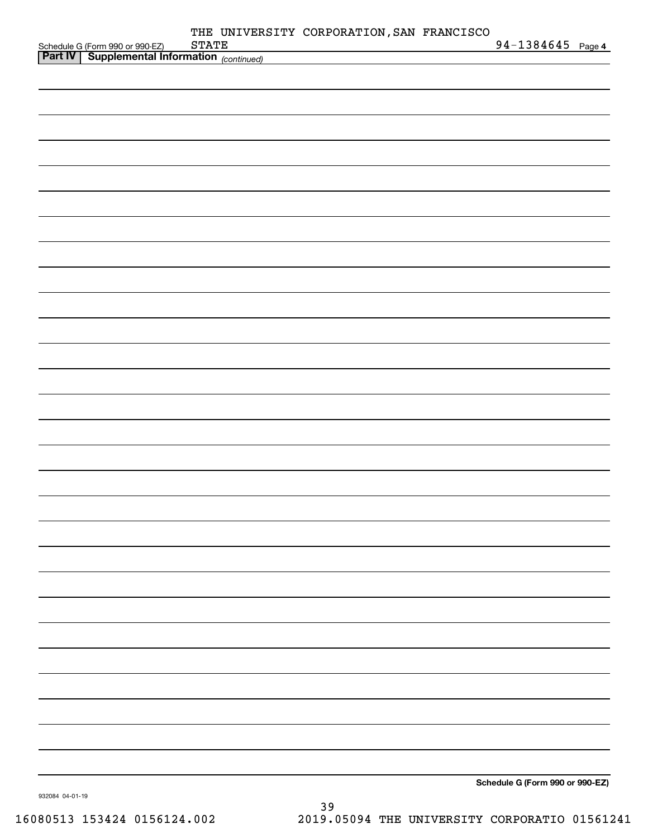|                                                                                              |                  | THE UNIVERSITY CORPORATION, SAN FRANCISCO |                                 |
|----------------------------------------------------------------------------------------------|------------------|-------------------------------------------|---------------------------------|
| Schedule G (Form 990 or 990-EZ) STATE<br><b>Part IV</b> Supplemental Information (continued) | $\texttt{STATE}$ |                                           | 94-1384645 Page 4               |
|                                                                                              |                  |                                           |                                 |
|                                                                                              |                  |                                           |                                 |
|                                                                                              |                  |                                           |                                 |
|                                                                                              |                  |                                           |                                 |
|                                                                                              |                  |                                           |                                 |
|                                                                                              |                  |                                           |                                 |
|                                                                                              |                  |                                           |                                 |
|                                                                                              |                  |                                           |                                 |
|                                                                                              |                  |                                           |                                 |
|                                                                                              |                  |                                           |                                 |
|                                                                                              |                  |                                           |                                 |
|                                                                                              |                  |                                           |                                 |
|                                                                                              |                  |                                           |                                 |
|                                                                                              |                  |                                           |                                 |
|                                                                                              |                  |                                           |                                 |
|                                                                                              |                  |                                           |                                 |
|                                                                                              |                  |                                           |                                 |
|                                                                                              |                  |                                           |                                 |
|                                                                                              |                  |                                           |                                 |
|                                                                                              |                  |                                           |                                 |
|                                                                                              |                  |                                           |                                 |
|                                                                                              |                  |                                           |                                 |
|                                                                                              |                  |                                           |                                 |
|                                                                                              |                  |                                           |                                 |
|                                                                                              |                  |                                           |                                 |
|                                                                                              |                  |                                           |                                 |
|                                                                                              |                  |                                           |                                 |
|                                                                                              |                  |                                           |                                 |
|                                                                                              |                  |                                           |                                 |
|                                                                                              |                  |                                           |                                 |
|                                                                                              |                  |                                           |                                 |
|                                                                                              |                  |                                           |                                 |
|                                                                                              |                  |                                           |                                 |
|                                                                                              |                  |                                           |                                 |
|                                                                                              |                  |                                           |                                 |
|                                                                                              |                  |                                           |                                 |
|                                                                                              |                  |                                           |                                 |
|                                                                                              |                  |                                           |                                 |
|                                                                                              |                  |                                           |                                 |
|                                                                                              |                  |                                           |                                 |
|                                                                                              |                  |                                           |                                 |
|                                                                                              |                  |                                           |                                 |
|                                                                                              |                  |                                           | Schedule G (Form 990 or 990-EZ) |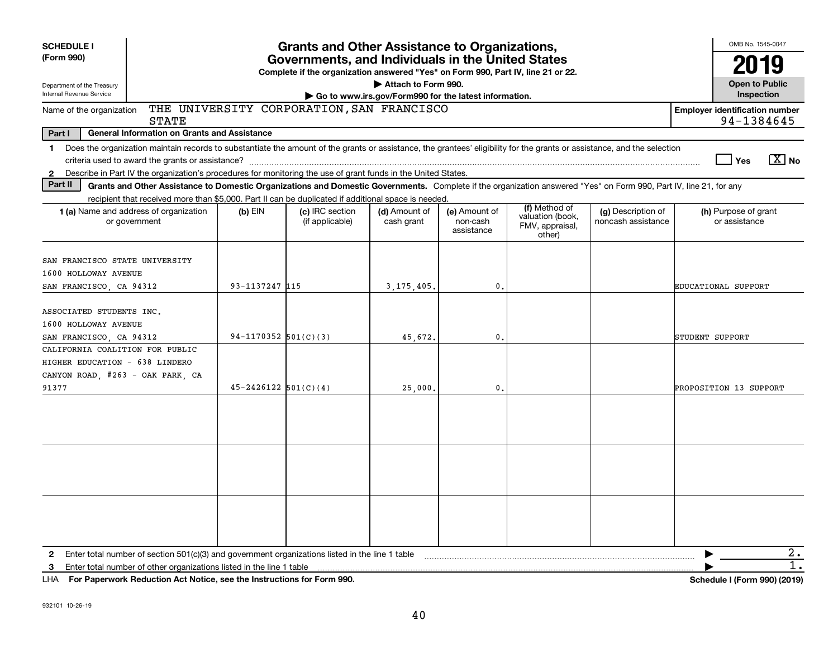| <b>SCHEDULE I</b>                                                                                                              |                                                                                                                                                                          |                          | <b>Grants and Other Assistance to Organizations,</b>                                                                                  |                             |                                         |                                               |                                          |                 | OMB No. 1545-0047                     |                       |
|--------------------------------------------------------------------------------------------------------------------------------|--------------------------------------------------------------------------------------------------------------------------------------------------------------------------|--------------------------|---------------------------------------------------------------------------------------------------------------------------------------|-----------------------------|-----------------------------------------|-----------------------------------------------|------------------------------------------|-----------------|---------------------------------------|-----------------------|
| (Form 990)                                                                                                                     |                                                                                                                                                                          |                          | Governments, and Individuals in the United States<br>Complete if the organization answered "Yes" on Form 990, Part IV, line 21 or 22. |                             |                                         |                                               |                                          |                 | 2019                                  |                       |
| Department of the Treasury<br>Internal Revenue Service                                                                         | Attach to Form 990.<br>Go to www.irs.gov/Form990 for the latest information.                                                                                             |                          |                                                                                                                                       |                             |                                         |                                               |                                          |                 |                                       |                       |
| THE UNIVERSITY CORPORATION, SAN FRANCISCO<br>Name of the organization<br><b>Employer identification number</b><br><b>STATE</b> |                                                                                                                                                                          |                          |                                                                                                                                       |                             |                                         |                                               |                                          |                 |                                       |                       |
| Part I                                                                                                                         | General Information on Grants and Assistance                                                                                                                             |                          |                                                                                                                                       |                             |                                         |                                               |                                          |                 |                                       |                       |
| $\mathbf 1$                                                                                                                    | Does the organization maintain records to substantiate the amount of the grants or assistance, the grantees' eligibility for the grants or assistance, and the selection |                          |                                                                                                                                       |                             |                                         |                                               |                                          |                 |                                       |                       |
|                                                                                                                                |                                                                                                                                                                          |                          |                                                                                                                                       |                             |                                         |                                               |                                          |                 | Yes                                   | $\boxed{\text{X}}$ No |
| $\mathbf{2}$                                                                                                                   | Describe in Part IV the organization's procedures for monitoring the use of grant funds in the United States.                                                            |                          |                                                                                                                                       |                             |                                         |                                               |                                          |                 |                                       |                       |
| Part II                                                                                                                        | Grants and Other Assistance to Domestic Organizations and Domestic Governments. Complete if the organization answered "Yes" on Form 990, Part IV, line 21, for any       |                          |                                                                                                                                       |                             |                                         |                                               |                                          |                 |                                       |                       |
|                                                                                                                                | recipient that received more than \$5,000. Part II can be duplicated if additional space is needed.                                                                      |                          |                                                                                                                                       |                             |                                         | (f) Method of                                 |                                          |                 |                                       |                       |
|                                                                                                                                | 1 (a) Name and address of organization<br>or government                                                                                                                  | $(b)$ EIN                | (c) IRC section<br>(if applicable)                                                                                                    | (d) Amount of<br>cash grant | (e) Amount of<br>non-cash<br>assistance | valuation (book,<br>FMV, appraisal,<br>other) | (g) Description of<br>noncash assistance |                 | (h) Purpose of grant<br>or assistance |                       |
|                                                                                                                                |                                                                                                                                                                          |                          |                                                                                                                                       |                             |                                         |                                               |                                          |                 |                                       |                       |
| SAN FRANCISCO STATE UNIVERSITY                                                                                                 |                                                                                                                                                                          |                          |                                                                                                                                       |                             |                                         |                                               |                                          |                 |                                       |                       |
| 1600 HOLLOWAY AVENUE                                                                                                           |                                                                                                                                                                          |                          |                                                                                                                                       |                             |                                         |                                               |                                          |                 |                                       |                       |
| SAN FRANCISCO, CA 94312                                                                                                        |                                                                                                                                                                          | 93-1137247 115           |                                                                                                                                       | 3, 175, 405.                | 0.                                      |                                               |                                          |                 | EDUCATIONAL SUPPORT                   |                       |
| ASSOCIATED STUDENTS INC.                                                                                                       |                                                                                                                                                                          |                          |                                                                                                                                       |                             |                                         |                                               |                                          |                 |                                       |                       |
| 1600 HOLLOWAY AVENUE                                                                                                           |                                                                                                                                                                          |                          |                                                                                                                                       |                             |                                         |                                               |                                          |                 |                                       |                       |
| SAN FRANCISCO, CA 94312                                                                                                        |                                                                                                                                                                          | $94-1170352$ $501(C)(3)$ |                                                                                                                                       | 45,672.                     | 0.                                      |                                               |                                          | STUDENT SUPPORT |                                       |                       |
| CALIFORNIA COALITION FOR PUBLIC                                                                                                |                                                                                                                                                                          |                          |                                                                                                                                       |                             |                                         |                                               |                                          |                 |                                       |                       |
| HIGHER EDUCATION - 638 LINDERO                                                                                                 |                                                                                                                                                                          |                          |                                                                                                                                       |                             |                                         |                                               |                                          |                 |                                       |                       |
| CANYON ROAD, #263 - OAK PARK, CA                                                                                               |                                                                                                                                                                          |                          |                                                                                                                                       |                             |                                         |                                               |                                          |                 |                                       |                       |
| 91377                                                                                                                          |                                                                                                                                                                          | $45 - 2426122$ 501(C)(4) |                                                                                                                                       | 25,000.                     | 0.                                      |                                               |                                          |                 | PROPOSITION 13 SUPPORT                |                       |
|                                                                                                                                |                                                                                                                                                                          |                          |                                                                                                                                       |                             |                                         |                                               |                                          |                 |                                       |                       |
|                                                                                                                                |                                                                                                                                                                          |                          |                                                                                                                                       |                             |                                         |                                               |                                          |                 |                                       |                       |
|                                                                                                                                |                                                                                                                                                                          |                          |                                                                                                                                       |                             |                                         |                                               |                                          |                 |                                       |                       |
|                                                                                                                                |                                                                                                                                                                          |                          |                                                                                                                                       |                             |                                         |                                               |                                          |                 |                                       |                       |
|                                                                                                                                |                                                                                                                                                                          |                          |                                                                                                                                       |                             |                                         |                                               |                                          |                 |                                       |                       |
|                                                                                                                                |                                                                                                                                                                          |                          |                                                                                                                                       |                             |                                         |                                               |                                          |                 |                                       |                       |
|                                                                                                                                |                                                                                                                                                                          |                          |                                                                                                                                       |                             |                                         |                                               |                                          |                 |                                       |                       |
|                                                                                                                                |                                                                                                                                                                          |                          |                                                                                                                                       |                             |                                         |                                               |                                          |                 |                                       |                       |
|                                                                                                                                |                                                                                                                                                                          |                          |                                                                                                                                       |                             |                                         |                                               |                                          |                 |                                       |                       |
|                                                                                                                                |                                                                                                                                                                          |                          |                                                                                                                                       |                             |                                         |                                               |                                          |                 |                                       |                       |
|                                                                                                                                |                                                                                                                                                                          |                          |                                                                                                                                       |                             |                                         |                                               |                                          |                 |                                       |                       |
|                                                                                                                                |                                                                                                                                                                          |                          |                                                                                                                                       |                             |                                         |                                               |                                          |                 |                                       | 2.                    |
| $\mathbf{2}$                                                                                                                   | Enter total number of section 501(c)(3) and government organizations listed in the line 1 table                                                                          |                          |                                                                                                                                       |                             |                                         |                                               |                                          |                 |                                       | 1.                    |
|                                                                                                                                | 3 Enter total number of other organizations listed in the line 1 table                                                                                                   |                          |                                                                                                                                       |                             |                                         |                                               |                                          |                 |                                       |                       |

**For Paperwork Reduction Act Notice, see the Instructions for Form 990. Schedule I (Form 990) (2019)** LHA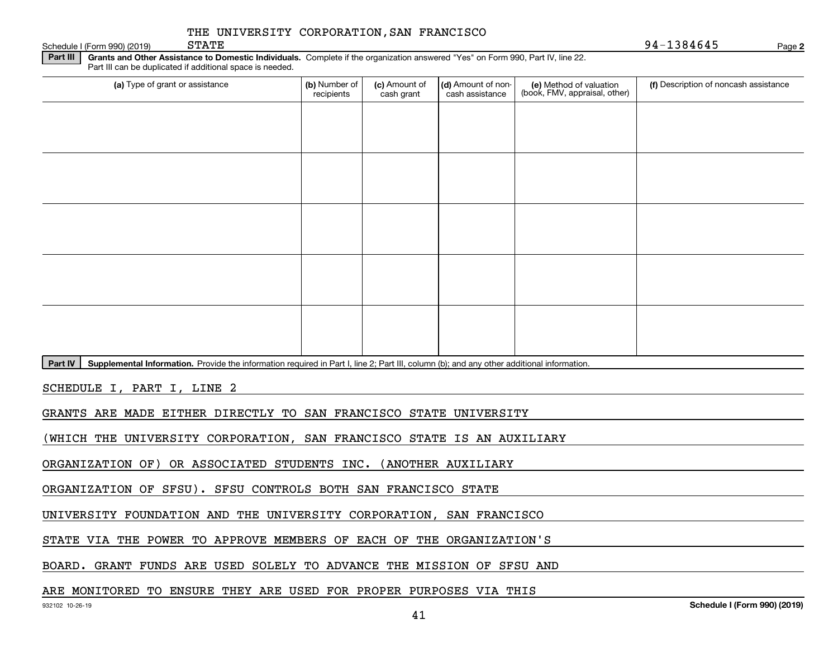Schedule I (Form 990) (2019)  $\qquad$  STATE

94-1384645

**2**

**Part III | Grants and Other Assistance to Domestic Individuals. Complete if the organization answered "Yes" on Form 990, Part IV, line 22.** Part III can be duplicated if additional space is needed.

| (a) Type of grant or assistance | (b) Number of<br>recipients | (c) Amount of<br>cash grant | (d) Amount of non-<br>cash assistance | (e) Method of valuation<br>(book, FMV, appraisal, other) | (f) Description of noncash assistance |
|---------------------------------|-----------------------------|-----------------------------|---------------------------------------|----------------------------------------------------------|---------------------------------------|
|                                 |                             |                             |                                       |                                                          |                                       |
|                                 |                             |                             |                                       |                                                          |                                       |
|                                 |                             |                             |                                       |                                                          |                                       |
|                                 |                             |                             |                                       |                                                          |                                       |
|                                 |                             |                             |                                       |                                                          |                                       |
|                                 |                             |                             |                                       |                                                          |                                       |
|                                 |                             |                             |                                       |                                                          |                                       |
|                                 |                             |                             |                                       |                                                          |                                       |
|                                 |                             |                             |                                       |                                                          |                                       |
|                                 |                             |                             |                                       |                                                          |                                       |

Part IV | Supplemental Information. Provide the information required in Part I, line 2; Part III, column (b); and any other additional information.

SCHEDULE I, PART I, LINE 2

GRANTS ARE MADE EITHER DIRECTLY TO SAN FRANCISCO STATE UNIVERSITY

(WHICH THE UNIVERSITY CORPORATION, SAN FRANCISCO STATE IS AN AUXILIARY

ORGANIZATION OF) OR ASSOCIATED STUDENTS INC. (ANOTHER AUXILIARY

ORGANIZATION OF SFSU). SFSU CONTROLS BOTH SAN FRANCISCO STATE

UNIVERSITY FOUNDATION AND THE UNIVERSITY CORPORATION, SAN FRANCISCO

STATE VIA THE POWER TO APPROVE MEMBERS OF EACH OF THE ORGANIZATION'S

BOARD. GRANT FUNDS ARE USED SOLELY TO ADVANCE THE MISSION OF SFSU AND

## ARE MONITORED TO ENSURE THEY ARE USED FOR PROPER PURPOSES VIA THIS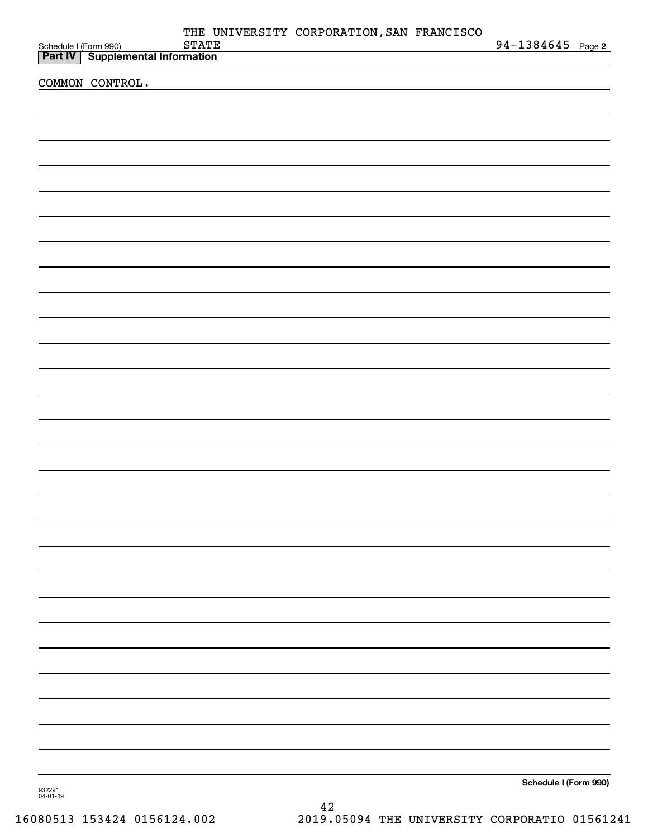|                    |                                                                        |              | THE UNIVERSITY CORPORATION, SAN FRANCISCO |                       |  |
|--------------------|------------------------------------------------------------------------|--------------|-------------------------------------------|-----------------------|--|
|                    | Schedule I (Form 990) STATE<br><b>Part IV</b> Supplemental Information | <b>STATE</b> |                                           | 94-1384645 Page 2     |  |
|                    |                                                                        |              |                                           |                       |  |
|                    | COMMON CONTROL.                                                        |              |                                           |                       |  |
|                    |                                                                        |              |                                           |                       |  |
|                    |                                                                        |              |                                           |                       |  |
|                    |                                                                        |              |                                           |                       |  |
|                    |                                                                        |              |                                           |                       |  |
|                    |                                                                        |              |                                           |                       |  |
|                    |                                                                        |              |                                           |                       |  |
|                    |                                                                        |              |                                           |                       |  |
|                    |                                                                        |              |                                           |                       |  |
|                    |                                                                        |              |                                           |                       |  |
|                    |                                                                        |              |                                           |                       |  |
|                    |                                                                        |              |                                           |                       |  |
|                    |                                                                        |              |                                           |                       |  |
|                    |                                                                        |              |                                           |                       |  |
|                    |                                                                        |              |                                           |                       |  |
|                    |                                                                        |              |                                           |                       |  |
|                    |                                                                        |              |                                           |                       |  |
|                    |                                                                        |              |                                           |                       |  |
|                    |                                                                        |              |                                           |                       |  |
|                    |                                                                        |              |                                           |                       |  |
|                    |                                                                        |              |                                           |                       |  |
|                    |                                                                        |              |                                           |                       |  |
|                    |                                                                        |              |                                           |                       |  |
|                    |                                                                        |              |                                           |                       |  |
|                    |                                                                        |              |                                           |                       |  |
|                    |                                                                        |              |                                           |                       |  |
|                    |                                                                        |              |                                           |                       |  |
|                    |                                                                        |              |                                           |                       |  |
|                    |                                                                        |              |                                           |                       |  |
|                    |                                                                        |              |                                           |                       |  |
|                    |                                                                        |              |                                           |                       |  |
|                    |                                                                        |              |                                           |                       |  |
|                    |                                                                        |              |                                           |                       |  |
|                    |                                                                        |              |                                           |                       |  |
|                    |                                                                        |              |                                           |                       |  |
|                    |                                                                        |              |                                           |                       |  |
| 932291<br>04-01-19 |                                                                        |              |                                           | Schedule I (Form 990) |  |

932291 04-01-19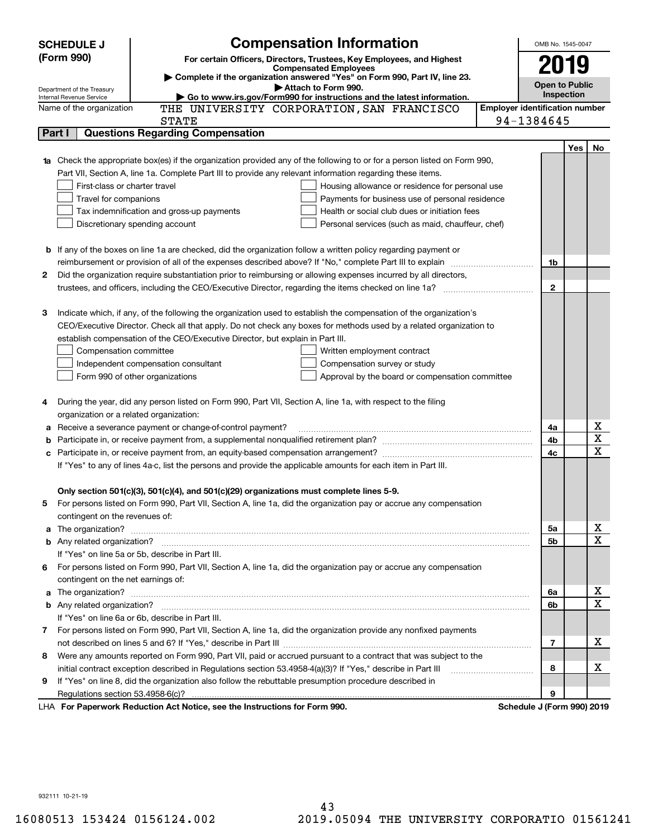| <b>SCHEDULE J</b>                                                                                                                                        |                                                                                                                                                                                                                                      | <b>Compensation Information</b>                                       |                                       | OMB No. 1545-0047          |     |                              |  |  |  |
|----------------------------------------------------------------------------------------------------------------------------------------------------------|--------------------------------------------------------------------------------------------------------------------------------------------------------------------------------------------------------------------------------------|-----------------------------------------------------------------------|---------------------------------------|----------------------------|-----|------------------------------|--|--|--|
| (Form 990)                                                                                                                                               |                                                                                                                                                                                                                                      | For certain Officers, Directors, Trustees, Key Employees, and Highest |                                       | 2019                       |     |                              |  |  |  |
|                                                                                                                                                          | <b>Compensated Employees</b>                                                                                                                                                                                                         |                                                                       |                                       |                            |     |                              |  |  |  |
| Complete if the organization answered "Yes" on Form 990, Part IV, line 23.<br><b>Open to Public</b><br>Attach to Form 990.<br>Department of the Treasury |                                                                                                                                                                                                                                      |                                                                       |                                       |                            |     |                              |  |  |  |
| Internal Revenue Service                                                                                                                                 | Go to www.irs.gov/Form990 for instructions and the latest information.                                                                                                                                                               |                                                                       |                                       |                            |     |                              |  |  |  |
| Name of the organization                                                                                                                                 | THE UNIVERSITY CORPORATION, SAN FRANCISCO                                                                                                                                                                                            |                                                                       | <b>Employer identification number</b> |                            |     |                              |  |  |  |
|                                                                                                                                                          | <b>STATE</b>                                                                                                                                                                                                                         |                                                                       |                                       | 94-1384645                 |     |                              |  |  |  |
| Part I                                                                                                                                                   | <b>Questions Regarding Compensation</b>                                                                                                                                                                                              |                                                                       |                                       |                            |     |                              |  |  |  |
|                                                                                                                                                          |                                                                                                                                                                                                                                      |                                                                       |                                       |                            | Yes | No                           |  |  |  |
|                                                                                                                                                          | <b>1a</b> Check the appropriate box(es) if the organization provided any of the following to or for a person listed on Form 990,                                                                                                     |                                                                       |                                       |                            |     |                              |  |  |  |
|                                                                                                                                                          | Part VII, Section A, line 1a. Complete Part III to provide any relevant information regarding these items.                                                                                                                           |                                                                       |                                       |                            |     |                              |  |  |  |
| First-class or charter travel                                                                                                                            |                                                                                                                                                                                                                                      | Housing allowance or residence for personal use                       |                                       |                            |     |                              |  |  |  |
| Travel for companions                                                                                                                                    |                                                                                                                                                                                                                                      | Payments for business use of personal residence                       |                                       |                            |     |                              |  |  |  |
|                                                                                                                                                          | Tax indemnification and gross-up payments                                                                                                                                                                                            | Health or social club dues or initiation fees                         |                                       |                            |     |                              |  |  |  |
|                                                                                                                                                          | Discretionary spending account                                                                                                                                                                                                       | Personal services (such as maid, chauffeur, chef)                     |                                       |                            |     |                              |  |  |  |
|                                                                                                                                                          |                                                                                                                                                                                                                                      |                                                                       |                                       |                            |     |                              |  |  |  |
|                                                                                                                                                          | <b>b</b> If any of the boxes on line 1a are checked, did the organization follow a written policy regarding payment or                                                                                                               |                                                                       |                                       |                            |     |                              |  |  |  |
|                                                                                                                                                          | reimbursement or provision of all of the expenses described above? If "No," complete Part III to explain                                                                                                                             |                                                                       |                                       | 1b                         |     |                              |  |  |  |
| 2                                                                                                                                                        | Did the organization require substantiation prior to reimbursing or allowing expenses incurred by all directors,                                                                                                                     |                                                                       |                                       |                            |     |                              |  |  |  |
|                                                                                                                                                          |                                                                                                                                                                                                                                      |                                                                       |                                       | $\mathbf{2}$               |     |                              |  |  |  |
|                                                                                                                                                          |                                                                                                                                                                                                                                      |                                                                       |                                       |                            |     |                              |  |  |  |
| 3                                                                                                                                                        | Indicate which, if any, of the following the organization used to establish the compensation of the organization's                                                                                                                   |                                                                       |                                       |                            |     |                              |  |  |  |
|                                                                                                                                                          | CEO/Executive Director. Check all that apply. Do not check any boxes for methods used by a related organization to                                                                                                                   |                                                                       |                                       |                            |     |                              |  |  |  |
|                                                                                                                                                          | establish compensation of the CEO/Executive Director, but explain in Part III.                                                                                                                                                       |                                                                       |                                       |                            |     |                              |  |  |  |
| Compensation committee                                                                                                                                   |                                                                                                                                                                                                                                      | Written employment contract                                           |                                       |                            |     |                              |  |  |  |
|                                                                                                                                                          | Independent compensation consultant                                                                                                                                                                                                  | Compensation survey or study                                          |                                       |                            |     |                              |  |  |  |
|                                                                                                                                                          | Form 990 of other organizations                                                                                                                                                                                                      | Approval by the board or compensation committee                       |                                       |                            |     |                              |  |  |  |
|                                                                                                                                                          |                                                                                                                                                                                                                                      |                                                                       |                                       |                            |     |                              |  |  |  |
| 4                                                                                                                                                        | During the year, did any person listed on Form 990, Part VII, Section A, line 1a, with respect to the filing                                                                                                                         |                                                                       |                                       |                            |     |                              |  |  |  |
| organization or a related organization:                                                                                                                  |                                                                                                                                                                                                                                      |                                                                       |                                       |                            |     |                              |  |  |  |
|                                                                                                                                                          | Receive a severance payment or change-of-control payment?                                                                                                                                                                            |                                                                       |                                       | 4a                         |     | x<br>$\overline{\mathbf{x}}$ |  |  |  |
|                                                                                                                                                          |                                                                                                                                                                                                                                      |                                                                       |                                       | 4b                         |     | $\overline{\mathbf{x}}$      |  |  |  |
|                                                                                                                                                          |                                                                                                                                                                                                                                      |                                                                       |                                       | 4c                         |     |                              |  |  |  |
|                                                                                                                                                          | If "Yes" to any of lines 4a-c, list the persons and provide the applicable amounts for each item in Part III.                                                                                                                        |                                                                       |                                       |                            |     |                              |  |  |  |
|                                                                                                                                                          |                                                                                                                                                                                                                                      |                                                                       |                                       |                            |     |                              |  |  |  |
|                                                                                                                                                          | Only section 501(c)(3), 501(c)(4), and 501(c)(29) organizations must complete lines 5-9.                                                                                                                                             |                                                                       |                                       |                            |     |                              |  |  |  |
| 5.                                                                                                                                                       | For persons listed on Form 990, Part VII, Section A, line 1a, did the organization pay or accrue any compensation                                                                                                                    |                                                                       |                                       |                            |     |                              |  |  |  |
| contingent on the revenues of:                                                                                                                           |                                                                                                                                                                                                                                      |                                                                       |                                       |                            |     | <u>x</u>                     |  |  |  |
|                                                                                                                                                          | a The organization? <b>Entitled Strategies and Strategies and Strategies and Strategies and Strategies and Strategies and Strategies and Strategies and Strategies and Strategies and Strategies and Strategies and Strategies a</b> |                                                                       |                                       | 5a<br>5b                   |     | $\overline{\mathbf{x}}$      |  |  |  |
|                                                                                                                                                          | If "Yes" on line 5a or 5b, describe in Part III.                                                                                                                                                                                     |                                                                       |                                       |                            |     |                              |  |  |  |
|                                                                                                                                                          | 6 For persons listed on Form 990, Part VII, Section A, line 1a, did the organization pay or accrue any compensation                                                                                                                  |                                                                       |                                       |                            |     |                              |  |  |  |
| contingent on the net earnings of:                                                                                                                       |                                                                                                                                                                                                                                      |                                                                       |                                       |                            |     |                              |  |  |  |
|                                                                                                                                                          |                                                                                                                                                                                                                                      |                                                                       |                                       | 6a                         |     | <u>x</u>                     |  |  |  |
|                                                                                                                                                          |                                                                                                                                                                                                                                      |                                                                       |                                       | 6b                         |     | $\overline{\mathbf{x}}$      |  |  |  |
|                                                                                                                                                          | If "Yes" on line 6a or 6b, describe in Part III.                                                                                                                                                                                     |                                                                       |                                       |                            |     |                              |  |  |  |
|                                                                                                                                                          | 7 For persons listed on Form 990, Part VII, Section A, line 1a, did the organization provide any nonfixed payments                                                                                                                   |                                                                       |                                       |                            |     |                              |  |  |  |
|                                                                                                                                                          |                                                                                                                                                                                                                                      |                                                                       |                                       | 7                          |     | х                            |  |  |  |
| 8                                                                                                                                                        | Were any amounts reported on Form 990, Part VII, paid or accrued pursuant to a contract that was subject to the                                                                                                                      |                                                                       |                                       |                            |     |                              |  |  |  |
|                                                                                                                                                          | initial contract exception described in Regulations section 53.4958-4(a)(3)? If "Yes," describe in Part III                                                                                                                          |                                                                       |                                       | 8                          |     | х                            |  |  |  |
| 9                                                                                                                                                        | If "Yes" on line 8, did the organization also follow the rebuttable presumption procedure described in                                                                                                                               |                                                                       |                                       |                            |     |                              |  |  |  |
|                                                                                                                                                          |                                                                                                                                                                                                                                      |                                                                       |                                       | 9                          |     |                              |  |  |  |
|                                                                                                                                                          | LHA For Paperwork Reduction Act Notice, see the Instructions for Form 990.                                                                                                                                                           |                                                                       |                                       | Schedule J (Form 990) 2019 |     |                              |  |  |  |
|                                                                                                                                                          |                                                                                                                                                                                                                                      |                                                                       |                                       |                            |     |                              |  |  |  |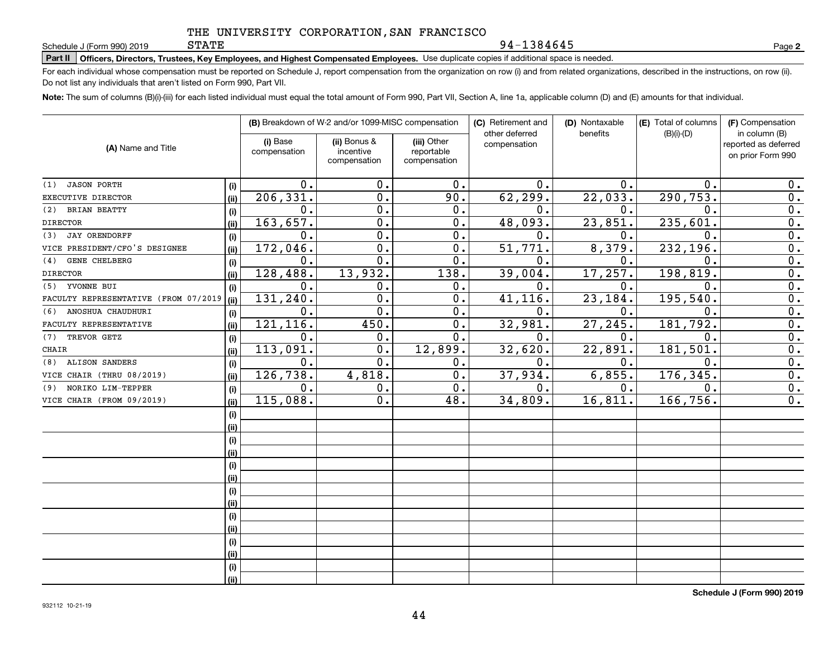94-1384645

**2**

# **Part II Officers, Directors, Trustees, Key Employees, and Highest Compensated Employees.**  Schedule J (Form 990) 2019 Page Use duplicate copies if additional space is needed.

For each individual whose compensation must be reported on Schedule J, report compensation from the organization on row (i) and from related organizations, described in the instructions, on row (ii). Do not list any individuals that aren't listed on Form 990, Part VII.

**Note:**  The sum of columns (B)(i)-(iii) for each listed individual must equal the total amount of Form 990, Part VII, Section A, line 1a, applicable column (D) and (E) amounts for that individual.

| (A) Name and Title                   |      |                          | (B) Breakdown of W-2 and/or 1099-MISC compensation |                                           | (C) Retirement and<br>other deferred | (D) Nontaxable<br>benefits | (E) Total of columns<br>$(B)(i)-(D)$ | (F) Compensation<br>in column (B)         |
|--------------------------------------|------|--------------------------|----------------------------------------------------|-------------------------------------------|--------------------------------------|----------------------------|--------------------------------------|-------------------------------------------|
|                                      |      | (i) Base<br>compensation | (ii) Bonus &<br>incentive<br>compensation          | (iii) Other<br>reportable<br>compensation | compensation                         |                            |                                      | reported as deferred<br>on prior Form 990 |
| <b>JASON PORTH</b><br>(1)            | (i)  | 0.                       | 0.                                                 | 0.                                        | $\mathbf 0$ .                        | 0.                         | 0.                                   | 0.                                        |
| EXECUTIVE DIRECTOR                   | (ii) | 206,331.                 | 0.                                                 | 90.                                       | 62,299.                              | 22,033.                    | 290, 753.                            | 0.                                        |
| <b>BRIAN BEATTY</b><br>(2)           | (i)  | 0.                       | $\mathbf 0$ .                                      | 0.                                        | $\mathbf 0$ .                        | $\mathbf 0$ .              | $\mathbf 0$ .                        | 0.                                        |
| <b>DIRECTOR</b>                      | (ii) | 163, 657.                | $\mathbf 0$ .                                      | 0.                                        | 48,093.                              | 23,851.                    | 235,601                              | 0.                                        |
| <b>JAY ORENDORFF</b><br>(3)          | (i)  | 0.                       | $\overline{0}$ .                                   | 0.                                        | $\mathbf{0}$ .                       | $\mathbf 0$ .              | $\mathbf 0$ .                        | $\overline{0}$ .                          |
| VICE PRESIDENT/CFO'S DESIGNEE        | (ii) | 172,046.                 | $\mathbf 0$ .                                      | 0.                                        | 51,771.                              | 8,379.                     | 232,196.                             | $\overline{0}$ .                          |
| <b>GENE CHELBERG</b><br>(4)          | (i)  | 0.                       | $\mathbf 0$ .                                      | 0.                                        | $\mathbf{0}$ .                       | 0.                         | $\mathbf 0$                          | $\overline{0}$ .                          |
| <b>DIRECTOR</b>                      | (ii) | 128,488.                 | 13,932.                                            | 138.                                      | 39,004.                              | 17,257.                    | 198,819.                             | $\overline{0}$ .                          |
| (5) YVONNE BUI                       | (i)  | 0.                       | 0.                                                 | 0.                                        | 0.                                   | $\mathbf 0$ .              | $\mathbf 0$                          | $\overline{0}$ .                          |
| FACULTY REPRESENTATIVE (FROM 07/2019 | (ii) | 131,240.                 | $\overline{0}$ .                                   | 0.                                        | 41, 116.                             | 23,184.                    | 195,540                              | $\overline{0}$ .                          |
| ANOSHUA CHAUDHURI<br>(6)             | (i)  | 0.                       | $\mathbf 0$ .                                      | 0.                                        | $\mathbf 0$ .                        | $\mathbf 0$ .              | $\mathbf 0$                          | $\overline{0}$ .                          |
| FACULTY REPRESENTATIVE               | (ii) | 121, 116.                | 450.                                               | 0.                                        | 32,981.                              | 27,245.                    | 181,792.                             | $\mathbf 0$ .                             |
| TREVOR GETZ<br>(7)                   | (i)  | 0.                       | 0.                                                 | 0.                                        | 0.                                   | $\mathbf 0$ .              | $\mathbf 0$                          | $\mathbf 0$ .                             |
| <b>CHAIR</b>                         | (ii) | 113,091.                 | 0.                                                 | 12,899.                                   | 32,620.                              | 22,891.                    | 181, 501                             | 0.                                        |
| ALISON SANDERS<br>(8)                | (i)  | 0.                       | $\overline{0}$ .                                   | 0.                                        | $\overline{0}$ .                     | 0.                         | $\overline{0}$ .                     | $\overline{0}$ .                          |
| VICE CHAIR (THRU 08/2019)            | (ii) | 126,738.                 | 4,818.                                             | $\overline{0}$ .                          | 37,934.                              | 6,855.                     | 176,345.                             | $\overline{0}$ .                          |
| NORIKO LIM-TEPPER<br>(9)             | (i)  | 0.                       | 0.                                                 | 0.                                        | 0.                                   | 0.                         | 0.                                   | $\overline{0}$ .                          |
| VICE CHAIR (FROM 09/2019)            | (ii) | 115,088.                 | $\overline{0}$ .                                   | 48.                                       | 34,809.                              | 16,811.                    | 166, 756.                            | 0.                                        |
|                                      | (i)  |                          |                                                    |                                           |                                      |                            |                                      |                                           |
|                                      | (ii) |                          |                                                    |                                           |                                      |                            |                                      |                                           |
|                                      | (i)  |                          |                                                    |                                           |                                      |                            |                                      |                                           |
|                                      | (ii) |                          |                                                    |                                           |                                      |                            |                                      |                                           |
|                                      | (i)  |                          |                                                    |                                           |                                      |                            |                                      |                                           |
|                                      | (ii) |                          |                                                    |                                           |                                      |                            |                                      |                                           |
|                                      | (i)  |                          |                                                    |                                           |                                      |                            |                                      |                                           |
|                                      | (ii) |                          |                                                    |                                           |                                      |                            |                                      |                                           |
|                                      | (i)  |                          |                                                    |                                           |                                      |                            |                                      |                                           |
|                                      | (ii) |                          |                                                    |                                           |                                      |                            |                                      |                                           |
|                                      | (i)  |                          |                                                    |                                           |                                      |                            |                                      |                                           |
|                                      | (ii) |                          |                                                    |                                           |                                      |                            |                                      |                                           |
|                                      | (i)  |                          |                                                    |                                           |                                      |                            |                                      |                                           |
|                                      | (ii) |                          |                                                    |                                           |                                      |                            |                                      |                                           |

**Schedule J (Form 990) 2019**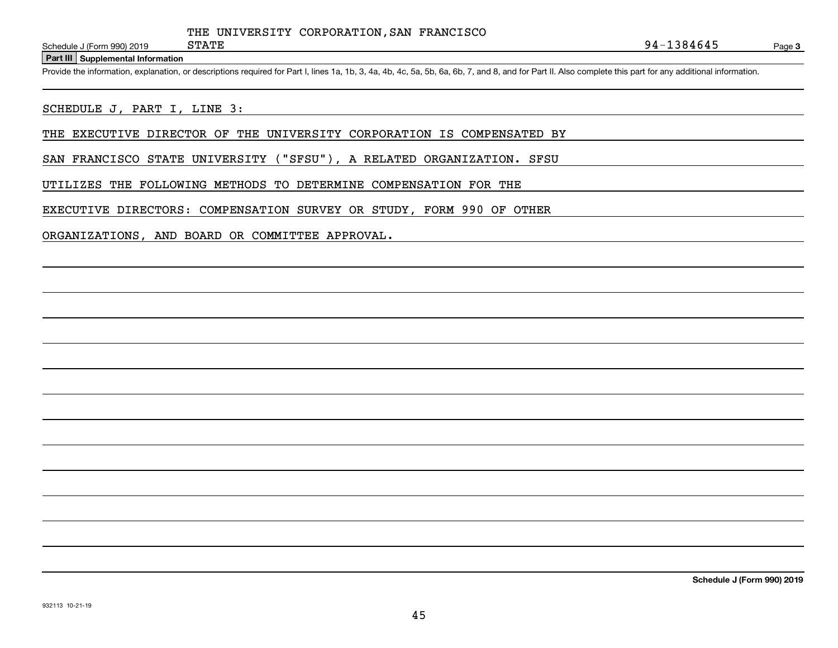**Part III Supplemental Information**

94 – 1384645<br>Part III Supplemental Information<br>Provide the information, explanation, or descriptions required for Part I, lines 1a, 1b, 3, 4a, 4b, 4c, 5a, 5b, 6a, 6b, 7, and 8, and for Part II. Also complete this part for

SCHEDULE J, PART I, LINE 3:

THE EXECUTIVE DIRECTOR OF THE UNIVERSITY CORPORATION IS COMPENSATED BY

SAN FRANCISCO STATE UNIVERSITY ("SFSU"), A RELATED ORGANIZATION. SFSU

UTILIZES THE FOLLOWING METHODS TO DETERMINE COMPENSATION FOR THE

EXECUTIVE DIRECTORS: COMPENSATION SURVEY OR STUDY, FORM 990 OF OTHER

ORGANIZATIONS, AND BOARD OR COMMITTEE APPROVAL.

**Schedule J (Form 990) 2019**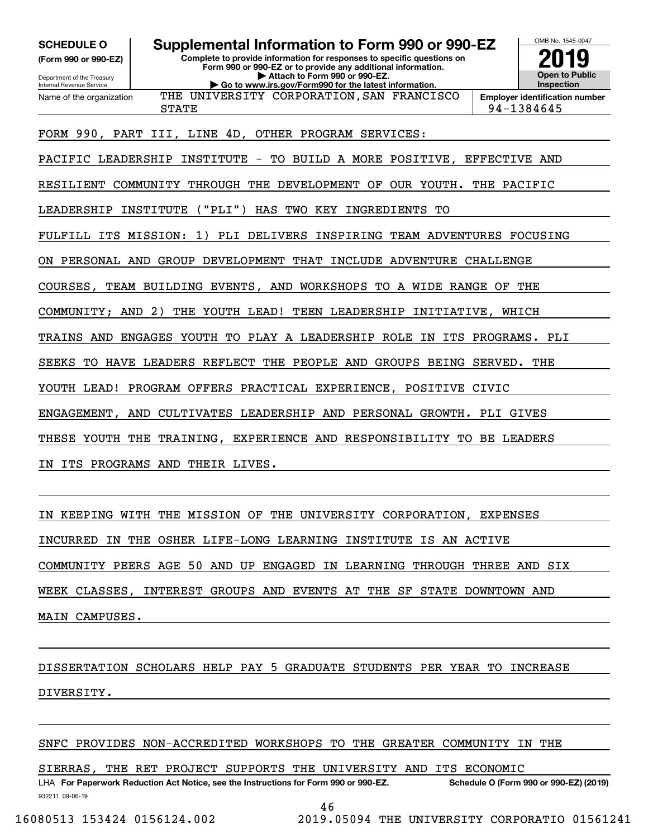**(Form 990 or 990-EZ)**

Department of the Treasury Internal Revenue Service Name of the organization

## **SCHEDULE O Supplemental Information to Form 990 or 990-EZ**

**Complete to provide information for responses to specific questions on Form 990 or 990-EZ or to provide any additional information. | Attach to Form 990 or 990-EZ. | Go to www.irs.gov/Form990 for the latest information.** THE UNIVERSITY CORPORATION,SAN FRANCISCO



STATE 94-1384645

FORM 990, PART III, LINE 4D, OTHER PROGRAM SERVICES:

PACIFIC LEADERSHIP INSTITUTE - TO BUILD A MORE POSITIVE, EFFECTIVE AND

RESILIENT COMMUNITY THROUGH THE DEVELOPMENT OF OUR YOUTH. THE PACIFIC

LEADERSHIP INSTITUTE ("PLI") HAS TWO KEY INGREDIENTS TO

FULFILL ITS MISSION: 1) PLI DELIVERS INSPIRING TEAM ADVENTURES FOCUSING

ON PERSONAL AND GROUP DEVELOPMENT THAT INCLUDE ADVENTURE CHALLENGE

COURSES, TEAM BUILDING EVENTS, AND WORKSHOPS TO A WIDE RANGE OF THE

COMMUNITY; AND 2) THE YOUTH LEAD! TEEN LEADERSHIP INITIATIVE, WHICH

TRAINS AND ENGAGES YOUTH TO PLAY A LEADERSHIP ROLE IN ITS PROGRAMS. PLI

SEEKS TO HAVE LEADERS REFLECT THE PEOPLE AND GROUPS BEING SERVED. THE

YOUTH LEAD! PROGRAM OFFERS PRACTICAL EXPERIENCE, POSITIVE CIVIC

ENGAGEMENT, AND CULTIVATES LEADERSHIP AND PERSONAL GROWTH. PLI GIVES

THESE YOUTH THE TRAINING, EXPERIENCE AND RESPONSIBILITY TO BE LEADERS

IN ITS PROGRAMS AND THEIR LIVES.

IN KEEPING WITH THE MISSION OF THE UNIVERSITY CORPORATION, EXPENSES

INCURRED IN THE OSHER LIFE-LONG LEARNING INSTITUTE IS AN ACTIVE

COMMUNITY PEERS AGE 50 AND UP ENGAGED IN LEARNING THROUGH THREE AND SIX

WEEK CLASSES, INTEREST GROUPS AND EVENTS AT THE SF STATE DOWNTOWN AND

MAIN CAMPUSES.

DISSERTATION SCHOLARS HELP PAY 5 GRADUATE STUDENTS PER YEAR TO INCREASE DIVERSITY.

SNFC PROVIDES NON-ACCREDITED WORKSHOPS TO THE GREATER COMMUNITY IN THE

SIERRAS, THE RET PROJECT SUPPORTS THE UNIVERSITY AND ITS ECONOMIC

932211 09-06-19 LHA For Paperwork Reduction Act Notice, see the Instructions for Form 990 or 990-EZ. Schedule O (Form 990 or 990-EZ) (2019)

46

16080513 153424 0156124.002 2019.05094 THE UNIVERSITY CORPORATIO 01561241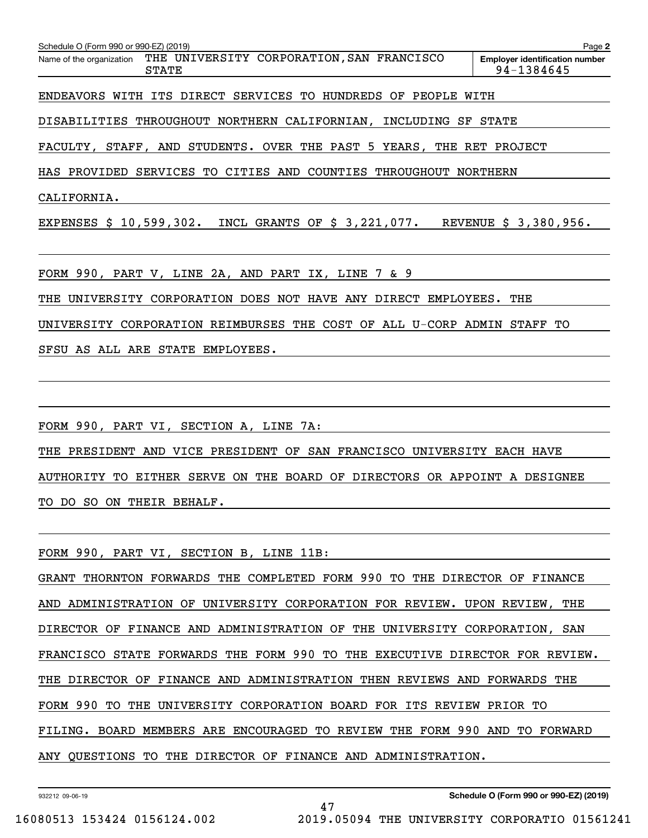| Schedule O (Form 990 or 990-EZ) (2019)                                                | Page 2                                                               |  |  |  |  |  |
|---------------------------------------------------------------------------------------|----------------------------------------------------------------------|--|--|--|--|--|
| THE UNIVERSITY CORPORATION, SAN FRANCISCO<br>Name of the organization<br><b>STATE</b> | <b>Employer identification number</b><br>94-1384645                  |  |  |  |  |  |
| ENDEAVORS WITH ITS DIRECT SERVICES TO HUNDREDS OF PEOPLE WITH                         |                                                                      |  |  |  |  |  |
| DISABILITIES THROUGHOUT NORTHERN CALIFORNIAN, INCLUDING SF                            | STATE                                                                |  |  |  |  |  |
|                                                                                       | FACULTY, STAFF, AND STUDENTS. OVER THE PAST 5 YEARS, THE RET PROJECT |  |  |  |  |  |
| HAS PROVIDED<br>SERVICES TO CITIES AND COUNTIES<br>THROUGHOUT NORTHERN                |                                                                      |  |  |  |  |  |
| CALIFORNIA.                                                                           |                                                                      |  |  |  |  |  |
| EXPENSES \$ 10,599,302. INCL GRANTS OF \$ 3,221,077. REVENUE \$ 3,380,956.            |                                                                      |  |  |  |  |  |
|                                                                                       |                                                                      |  |  |  |  |  |
| FORM 990, PART V, LINE 2A, AND PART IX, LINE 7 & 9                                    |                                                                      |  |  |  |  |  |

THE UNIVERSITY CORPORATION DOES NOT HAVE ANY DIRECT EMPLOYEES. THE

UNIVERSITY CORPORATION REIMBURSES THE COST OF ALL U-CORP ADMIN STAFF TO

SFSU AS ALL ARE STATE EMPLOYEES.

FORM 990, PART VI, SECTION A, LINE 7A:

THE PRESIDENT AND VICE PRESIDENT OF SAN FRANCISCO UNIVERSITY EACH HAVE AUTHORITY TO EITHER SERVE ON THE BOARD OF DIRECTORS OR APPOINT A DESIGNEE TO DO SO ON THEIR BEHALF.

FORM 990, PART VI, SECTION B, LINE 11B:

GRANT THORNTON FORWARDS THE COMPLETED FORM 990 TO THE DIRECTOR OF FINANCE AND ADMINISTRATION OF UNIVERSITY CORPORATION FOR REVIEW. UPON REVIEW, THE DIRECTOR OF FINANCE AND ADMINISTRATION OF THE UNIVERSITY CORPORATION, SAN FRANCISCO STATE FORWARDS THE FORM 990 TO THE EXECUTIVE DIRECTOR FOR REVIEW. THE DIRECTOR OF FINANCE AND ADMINISTRATION THEN REVIEWS AND FORWARDS THE FORM 990 TO THE UNIVERSITY CORPORATION BOARD FOR ITS REVIEW PRIOR TO FILING. BOARD MEMBERS ARE ENCOURAGED TO REVIEW THE FORM 990 AND TO FORWARD ANY QUESTIONS TO THE DIRECTOR OF FINANCE AND ADMINISTRATION.

47

932212 09-06-19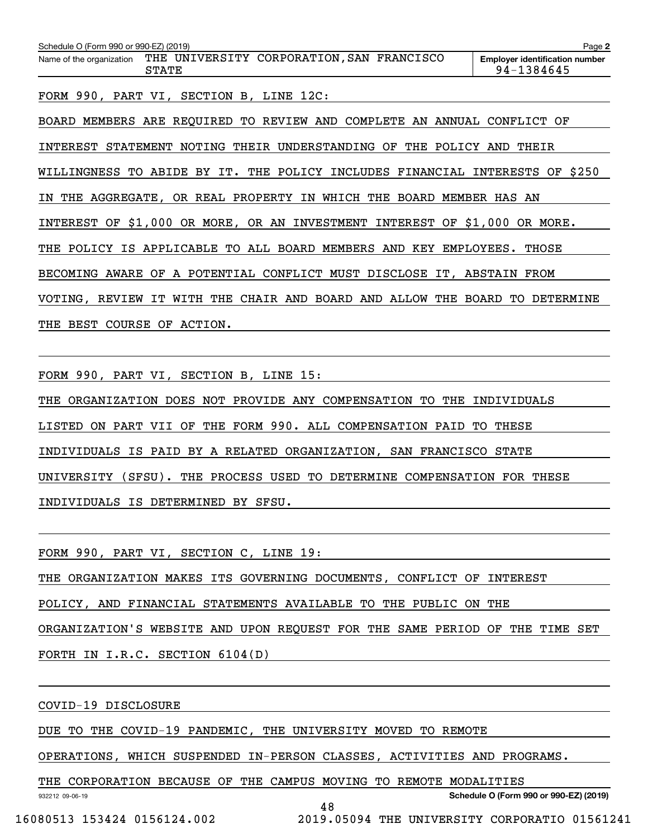| Schedule O (Form 990 or 990-EZ) (2019)                                     |                                                           |                      |    |                   | Page 2                                              |
|----------------------------------------------------------------------------|-----------------------------------------------------------|----------------------|----|-------------------|-----------------------------------------------------|
| Name of the organization                                                   | THE UNIVERSITY CORPORATION, SAN FRANCISCO<br><b>STATE</b> |                      |    |                   | <b>Employer identification number</b><br>94-1384645 |
| FORM 990, PART VI,                                                         |                                                           | SECTION B, LINE 12C: |    |                   |                                                     |
| BOARD MEMBERS ARE REQUIRED TO REVIEW AND                                   |                                                           |                      |    |                   | COMPLETE AN ANNUAL CONFLICT OF                      |
| INTEREST STATEMENT NOTING THEIR UNDERSTANDING                              |                                                           |                      | OF | POLICY AND<br>THE | THEIR                                               |
| WILLINGNESS TO ABIDE BY IT. THE POLICY INCLUDES FINANCIAL INTERESTS        |                                                           |                      |    |                   | \$250<br>OF                                         |
| IN THE AGGREGATE, OR REAL PROPERTY IN WHICH THE BOARD MEMBER HAS AN        |                                                           |                      |    |                   |                                                     |
| INTEREST OF \$1,000 OR MORE, OR AN INVESTMENT INTEREST OF \$1,000 OR MORE. |                                                           |                      |    |                   |                                                     |
| THE                                                                        | POLICY IS APPLICABLE TO ALL BOARD MEMBERS AND KEY         |                      |    |                   | EMPLOYEES.<br>THOSE                                 |
| BECOMING AWARE OF A POTENTIAL CONFLICT MUST DISCLOSE IT, ABSTAIN FROM      |                                                           |                      |    |                   |                                                     |
| VOTING, REVIEW IT WITH THE CHAIR AND BOARD AND                             |                                                           |                      |    | ALLOW<br>THE      | BOARD<br>DETERMINE<br>TO.                           |
| THE BEST COURSE OF                                                         | ACTION.                                                   |                      |    |                   |                                                     |

FORM 990, PART VI, SECTION B, LINE 15:

THE ORGANIZATION DOES NOT PROVIDE ANY COMPENSATION TO THE INDIVIDUALS

LISTED ON PART VII OF THE FORM 990. ALL COMPENSATION PAID TO THESE

INDIVIDUALS IS PAID BY A RELATED ORGANIZATION, SAN FRANCISCO STATE

UNIVERSITY (SFSU). THE PROCESS USED TO DETERMINE COMPENSATION FOR THESE

INDIVIDUALS IS DETERMINED BY SFSU.

FORM 990, PART VI, SECTION C, LINE 19:

THE ORGANIZATION MAKES ITS GOVERNING DOCUMENTS, CONFLICT OF INTEREST

POLICY, AND FINANCIAL STATEMENTS AVAILABLE TO THE PUBLIC ON THE

ORGANIZATION'S WEBSITE AND UPON REQUEST FOR THE SAME PERIOD OF THE TIME SET

FORTH IN I.R.C. SECTION 6104(D)

COVID-19 DISCLOSURE

DUE TO THE COVID-19 PANDEMIC, THE UNIVERSITY MOVED TO REMOTE

OPERATIONS, WHICH SUSPENDED IN-PERSON CLASSES, ACTIVITIES AND PROGRAMS.

THE CORPORATION BECAUSE OF THE CAMPUS MOVING TO REMOTE MODALITIES

932212 09-06-19

**Schedule O (Form 990 or 990-EZ) (2019)**

```
48
```
16080513 153424 0156124.002 2019.05094 THE UNIVERSITY CORPORATIO 01561241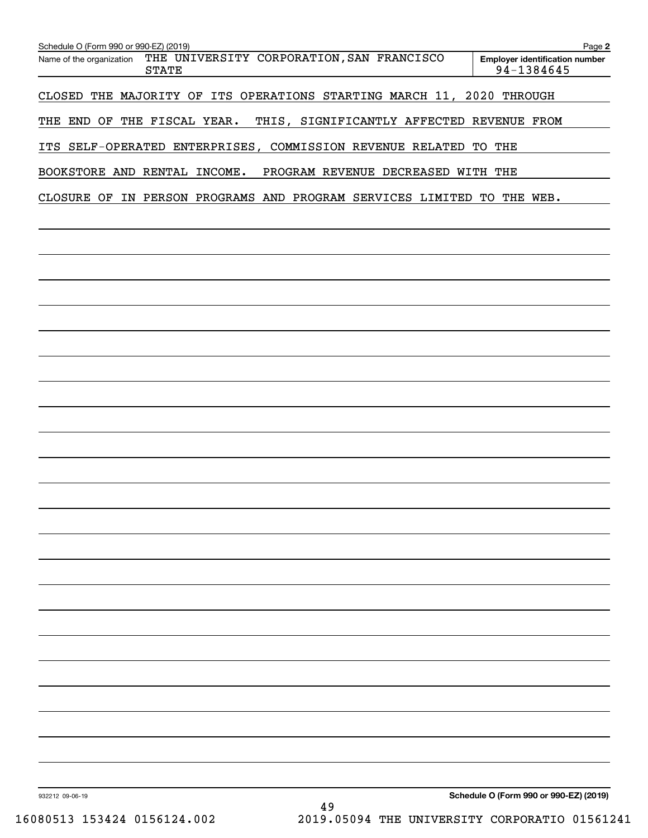| Schedule O (Form 990 or 990-EZ) (2019)<br>Name of the organization THE UNIVERSITY CORPORATION, SAN FRANCISCO | Page 2                                              |
|--------------------------------------------------------------------------------------------------------------|-----------------------------------------------------|
| <b>STATE</b>                                                                                                 | <b>Employer identification number</b><br>94-1384645 |
| CLOSED THE MAJORITY OF ITS OPERATIONS STARTING MARCH 11, 2020 THROUGH                                        |                                                     |
| THE END OF THE FISCAL YEAR.<br>THIS, SIGNIFICANTLY AFFECTED REVENUE FROM                                     |                                                     |
| ITS SELF-OPERATED ENTERPRISES, COMMISSION REVENUE RELATED TO THE                                             |                                                     |
| BOOKSTORE AND RENTAL INCOME. PROGRAM REVENUE DECREASED WITH THE                                              |                                                     |
| CLOSURE OF IN PERSON PROGRAMS AND PROGRAM SERVICES LIMITED TO THE WEB.                                       |                                                     |
|                                                                                                              |                                                     |
|                                                                                                              |                                                     |
|                                                                                                              |                                                     |
|                                                                                                              |                                                     |
|                                                                                                              |                                                     |
|                                                                                                              |                                                     |
|                                                                                                              |                                                     |
|                                                                                                              |                                                     |
|                                                                                                              |                                                     |
|                                                                                                              |                                                     |
|                                                                                                              |                                                     |
|                                                                                                              |                                                     |
|                                                                                                              |                                                     |
|                                                                                                              |                                                     |
|                                                                                                              |                                                     |
|                                                                                                              |                                                     |
|                                                                                                              |                                                     |
|                                                                                                              |                                                     |
|                                                                                                              |                                                     |
|                                                                                                              |                                                     |
|                                                                                                              |                                                     |
|                                                                                                              |                                                     |
| 932212 09-06-19<br>49                                                                                        | Schedule O (Form 990 or 990-EZ) (2019)              |

49 16080513 153424 0156124.002 2019.05094 THE UNIVERSITY CORPORATIO 01561241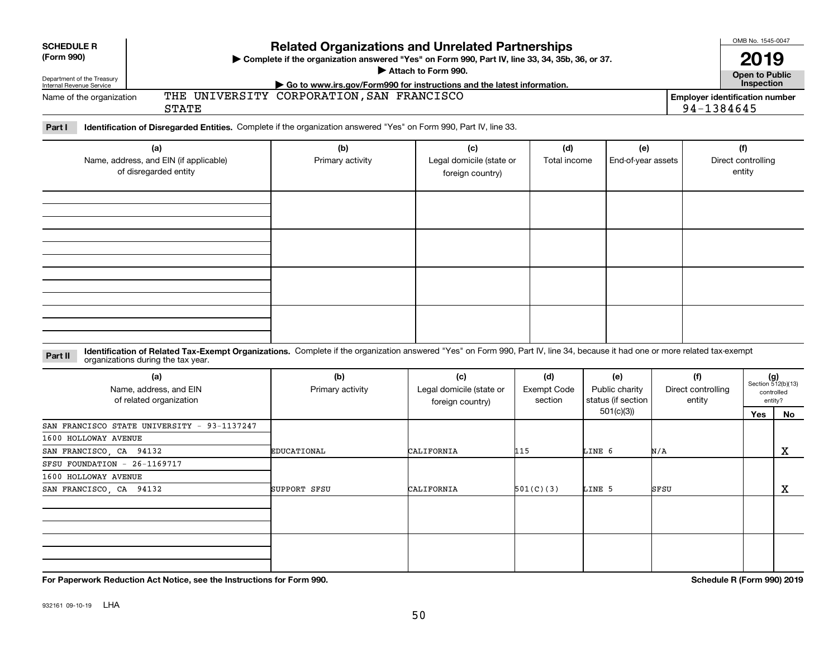| <b>SCHEDULE R</b><br>(Form 990)                        |                                                                                                                                                                              | <b>Related Organizations and Unrelated Partnerships</b><br>> Complete if the organization answered "Yes" on Form 990, Part IV, line 33, 34, 35b, 36, or 37. | Attach to Form 990.                                 |                                      |                                                          |                                                     | OMB No. 1545-0047<br><b>2019</b><br><b>Open to Public</b> |                             |
|--------------------------------------------------------|------------------------------------------------------------------------------------------------------------------------------------------------------------------------------|-------------------------------------------------------------------------------------------------------------------------------------------------------------|-----------------------------------------------------|--------------------------------------|----------------------------------------------------------|-----------------------------------------------------|-----------------------------------------------------------|-----------------------------|
| Department of the Treasury<br>Internal Revenue Service |                                                                                                                                                                              | ► Go to www.irs.gov/Form990 for instructions and the latest information.                                                                                    |                                                     |                                      |                                                          |                                                     | Inspection                                                |                             |
| Name of the organization                               | <b>STATE</b>                                                                                                                                                                 | THE UNIVERSITY CORPORATION, SAN FRANCISCO                                                                                                                   |                                                     |                                      |                                                          | <b>Employer identification number</b><br>94-1384645 |                                                           |                             |
| Part I                                                 | Identification of Disregarded Entities. Complete if the organization answered "Yes" on Form 990, Part IV, line 33.                                                           |                                                                                                                                                             |                                                     |                                      |                                                          |                                                     |                                                           |                             |
|                                                        | (a)                                                                                                                                                                          | (b)                                                                                                                                                         | (c)                                                 | (d)                                  | (e)                                                      |                                                     | (f)                                                       |                             |
|                                                        | Name, address, and EIN (if applicable)<br>of disregarded entity                                                                                                              | Primary activity                                                                                                                                            | Legal domicile (state or<br>foreign country)        | Total income                         | End-of-year assets                                       |                                                     | Direct controlling<br>entity                              |                             |
|                                                        |                                                                                                                                                                              |                                                                                                                                                             |                                                     |                                      |                                                          |                                                     |                                                           |                             |
| Part II                                                | Identification of Related Tax-Exempt Organizations. Complete if the organization answered "Yes" on Form 990, Part IV, line 34, because it had one or more related tax-exempt |                                                                                                                                                             |                                                     |                                      |                                                          |                                                     |                                                           |                             |
|                                                        | organizations during the tax year.                                                                                                                                           |                                                                                                                                                             |                                                     |                                      |                                                          | (f)                                                 |                                                           |                             |
|                                                        | (a)<br>Name, address, and EIN<br>of related organization                                                                                                                     | (b)<br>Primary activity                                                                                                                                     | (c)<br>Legal domicile (state or<br>foreign country) | (d)<br><b>Exempt Code</b><br>section | (e)<br>Public charity<br>status (if section<br>501(c)(3) | Direct controlling<br>entity                        | $(g)$<br>Section 512(b)(13)<br>Yes                        | controlled<br>entity?<br>No |
|                                                        | SAN FRANCISCO STATE UNIVERSITY - 93-1137247                                                                                                                                  |                                                                                                                                                             |                                                     |                                      |                                                          |                                                     |                                                           |                             |
| 1600 HOLLOWAY AVENUE                                   |                                                                                                                                                                              |                                                                                                                                                             |                                                     |                                      |                                                          |                                                     |                                                           |                             |

**For Paperwork Reduction Act Notice, see the Instructions for Form 990. Schedule R (Form 990) 2019**

EDUCATIONAL

SUPPORT SFSU

X

X

N/A

LINE 6

LINE 5

SFSU

SFSU FOUNDATION - 26-1169717 SAN FRANCISCO, CA 94132

SAN FRANCISCO, CA 94132

1600 HOLLOWAY AVENUE

CALIFORNIA

115

501(C)(3)

CALIFORNIA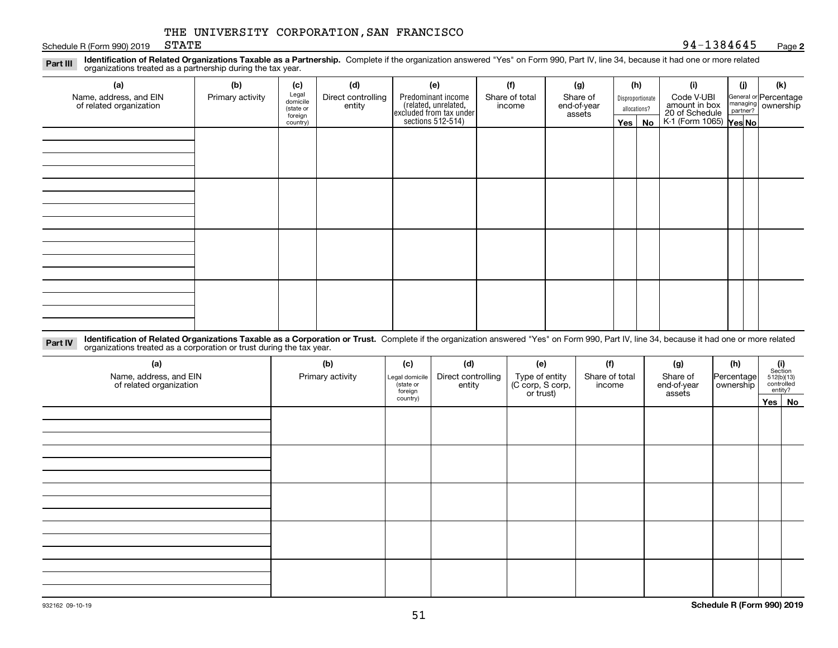Schedule R (Form 990) 2019  $STATE$ 

#### **2**94-1384645

**Identification of Related Organizations Taxable as a Partnership.** Complete if the organization answered "Yes" on Form 990, Part IV, line 34, because it had one or more related **Part III** organizations treated as a partnership during the tax year.

| (j)<br>(k)<br>General or Percentage<br>managing ownership<br>20 of Schedule<br>K-1 (Form 1065) Yes No |
|-------------------------------------------------------------------------------------------------------|
|                                                                                                       |
|                                                                                                       |
|                                                                                                       |
|                                                                                                       |
|                                                                                                       |
|                                                                                                       |
|                                                                                                       |
|                                                                                                       |
|                                                                                                       |
|                                                                                                       |
|                                                                                                       |
|                                                                                                       |
|                                                                                                       |
|                                                                                                       |
|                                                                                                       |
|                                                                                                       |
|                                                                                                       |
|                                                                                                       |
|                                                                                                       |
|                                                                                                       |
|                                                                                                       |

**Identification of Related Organizations Taxable as a Corporation or Trust.** Complete if the organization answered "Yes" on Form 990, Part IV, line 34, because it had one or more related **Part IV** organizations treated as a corporation or trust during the tax year.

| (a)<br>Name, address, and EIN<br>of related organization | (b)<br>Primary activity | (c)<br>Legal domicile<br>(state or<br>foreign<br>country) | (d)<br>Direct controlling<br>entity | (e)<br>Type of entity<br>(C corp, S corp,<br>or trust) | (f)<br>Share of total<br>income | (g)<br>Share of<br>end-of-year<br>assets | (h)<br>Percentage<br>ownership | $\begin{array}{c} \textbf{(i)}\\ \text{Section}\\ 512 \text{(b)} \text{(13)}\\ \text{controlled}\\ \text{entity?} \end{array}$<br>Yes No |
|----------------------------------------------------------|-------------------------|-----------------------------------------------------------|-------------------------------------|--------------------------------------------------------|---------------------------------|------------------------------------------|--------------------------------|------------------------------------------------------------------------------------------------------------------------------------------|
|                                                          |                         |                                                           |                                     |                                                        |                                 |                                          |                                |                                                                                                                                          |
|                                                          |                         |                                                           |                                     |                                                        |                                 |                                          |                                |                                                                                                                                          |
|                                                          |                         |                                                           |                                     |                                                        |                                 |                                          |                                |                                                                                                                                          |
|                                                          |                         |                                                           |                                     |                                                        |                                 |                                          |                                |                                                                                                                                          |
|                                                          |                         |                                                           |                                     |                                                        |                                 |                                          |                                |                                                                                                                                          |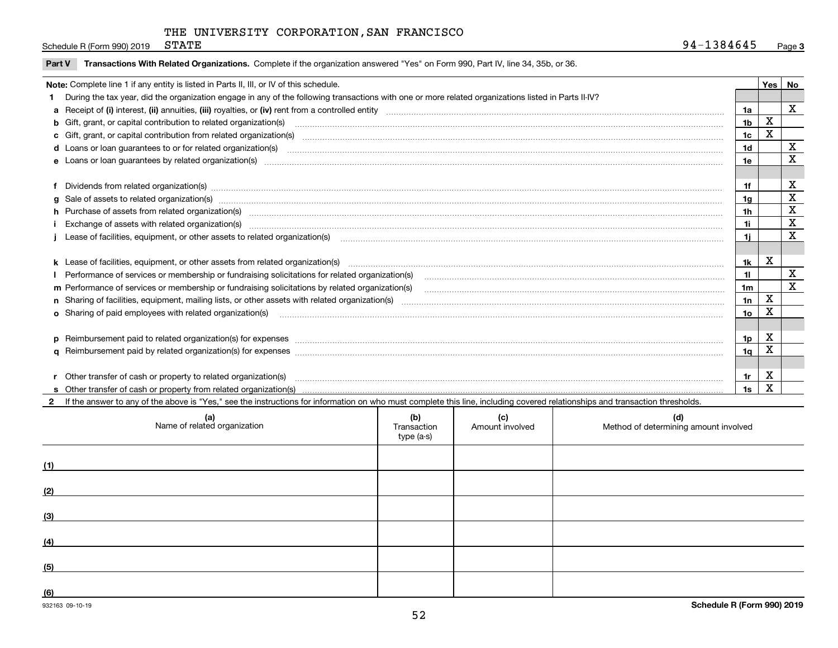**3**Schedule R (Form 990) 2019 Page STATE 94-1384645

|  | Part V Transactions With Related Organizations. Complete if the organization answered "Yes" on Form 990, Part IV, line 34, 35b, or 36. |  |  |
|--|----------------------------------------------------------------------------------------------------------------------------------------|--|--|
|--|----------------------------------------------------------------------------------------------------------------------------------------|--|--|

| Note: Complete line 1 if any entity is listed in Parts II, III, or IV of this schedule. |                                                                                                                                                                                                                                |                 |   |              |  |  |
|-----------------------------------------------------------------------------------------|--------------------------------------------------------------------------------------------------------------------------------------------------------------------------------------------------------------------------------|-----------------|---|--------------|--|--|
|                                                                                         | During the tax year, did the organization engage in any of the following transactions with one or more related organizations listed in Parts II-IV?                                                                            |                 |   |              |  |  |
|                                                                                         |                                                                                                                                                                                                                                | 1a              |   | $\mathbf{x}$ |  |  |
|                                                                                         | b Gift, grant, or capital contribution to related organization(s) manufactured and contribution to related organization(s)                                                                                                     | 1 <sub>b</sub>  | X |              |  |  |
|                                                                                         | c Gift, grant, or capital contribution from related organization(s) material content and contribution from related organization(s) material content and content and contribution from related organization(s) material content | 1 <sub>c</sub>  | X |              |  |  |
|                                                                                         |                                                                                                                                                                                                                                | 1 <sub>d</sub>  |   | х            |  |  |
|                                                                                         |                                                                                                                                                                                                                                | 1e              |   | X            |  |  |
|                                                                                         |                                                                                                                                                                                                                                |                 |   |              |  |  |
|                                                                                         | Dividends from related organization(s) www.andron.com/www.andron.com/www.andron.com/www.andron.com/www.andron.com/www.andron.com/www.andron.com/www.andron.com/www.andron.com/www.andron.com/www.andron.com/www.andron.com/www | 1f              |   | X            |  |  |
|                                                                                         | g Sale of assets to related organization(s) www.assettion.com/www.assettion.com/www.assettion.com/www.assettion.com/www.assettion.com/www.assettion.com/www.assettion.com/www.assettion.com/www.assettion.com/www.assettion.co | 1 <sub>q</sub>  |   | $\mathbf X$  |  |  |
|                                                                                         | h Purchase of assets from related organization(s) manufactured and content to the content of the content of the content of the content of the content of the content of the content of the content of the content of the conte | 1 <sub>h</sub>  |   | X            |  |  |
|                                                                                         |                                                                                                                                                                                                                                | 1i              |   | $\mathbf x$  |  |  |
|                                                                                         | Lease of facilities, equipment, or other assets to related organization(s) contained and contained and contained and contained and contained and contained and contained and contained and contained and contained and contain | 11              |   | X            |  |  |
|                                                                                         |                                                                                                                                                                                                                                |                 |   |              |  |  |
|                                                                                         |                                                                                                                                                                                                                                | 1k              | х |              |  |  |
|                                                                                         |                                                                                                                                                                                                                                | 11              |   | $\mathbf X$  |  |  |
|                                                                                         |                                                                                                                                                                                                                                | 1 <sub>m</sub>  |   | X            |  |  |
|                                                                                         |                                                                                                                                                                                                                                | 1n              | X |              |  |  |
|                                                                                         | <b>o</b> Sharing of paid employees with related organization(s)                                                                                                                                                                | 10 <sub>o</sub> | х |              |  |  |
|                                                                                         |                                                                                                                                                                                                                                |                 |   |              |  |  |
|                                                                                         | p Reimbursement paid to related organization(s) for expenses [11111] and the content of the content of the content of the content of the content of the content of the content of the content of the content of the content of | 1p              | X |              |  |  |
|                                                                                         |                                                                                                                                                                                                                                | 1q              | x |              |  |  |
|                                                                                         |                                                                                                                                                                                                                                |                 |   |              |  |  |
|                                                                                         | Other transfer of cash or property to related organization(s)                                                                                                                                                                  | 1r              | X |              |  |  |
|                                                                                         |                                                                                                                                                                                                                                | 1s              | x |              |  |  |
|                                                                                         | If the answer to any of the above is "Yes," see the instructions for information on who must complete this line, including covered relationships and transaction thresholds.                                                   |                 |   |              |  |  |

| (a)<br>Name of related organization | (b)<br>Transaction<br>type (a-s) | (c)<br>Amount involved | (d)<br>Method of determining amount involved |
|-------------------------------------|----------------------------------|------------------------|----------------------------------------------|
| (1)                                 |                                  |                        |                                              |
| (2)                                 |                                  |                        |                                              |
| (3)                                 |                                  |                        |                                              |
| (4)                                 |                                  |                        |                                              |
| (5)                                 |                                  |                        |                                              |
| (6)                                 |                                  |                        |                                              |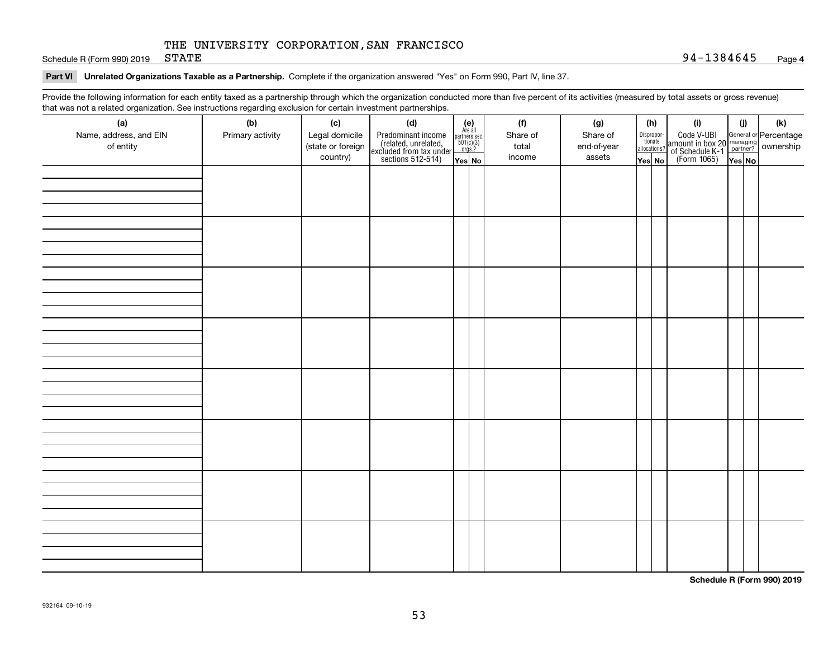Schedule R (Form 990) 2019 STATE

#### **Part VI Unrelated Organizations Taxable as a Partnership. Complete if the organization answered "Yes" on Form 990, Part IV, line 37.**

Provide the following information for each entity taxed as a partnership through which the organization conducted more than five percent of its activities (measured by total assets or gross revenue) that was not a related organization. See instructions regarding exclusion for certain investment partnerships.

| that was not a related erganization. See includitions regarding excludion for contain invectment partnerompe.<br>(a) | (b)              | (c)                           | (d)                                                                                        |                                                                                                                  | (f)             | (g)                   | (h)                              | (i)                                                                                          | (i) | (k) |
|----------------------------------------------------------------------------------------------------------------------|------------------|-------------------------------|--------------------------------------------------------------------------------------------|------------------------------------------------------------------------------------------------------------------|-----------------|-----------------------|----------------------------------|----------------------------------------------------------------------------------------------|-----|-----|
| Name, address, and EIN                                                                                               | Primary activity | Legal domicile                | Predominant income<br>(related, unrelated,<br>excluded from tax under<br>sections 512-514) | $\begin{array}{c} \textbf{(e)}\\ \text{Are all} \\ \text{partners sec.}\\ 501(c)(3)\\ \text{orgs.?} \end{array}$ | Share of        | Share of              | Disproportionate<br>allocations? | Code V-UBI<br>amount in box 20 managing<br>of Schedule K-1 partner?<br>(Form 1065)<br>ves No |     |     |
| of entity                                                                                                            |                  | (state or foreign<br>country) |                                                                                            |                                                                                                                  | total<br>income | end-of-year<br>assets |                                  |                                                                                              |     |     |
|                                                                                                                      |                  |                               |                                                                                            | Yes No                                                                                                           |                 |                       | Yes No                           |                                                                                              |     |     |
|                                                                                                                      |                  |                               |                                                                                            |                                                                                                                  |                 |                       |                                  |                                                                                              |     |     |
|                                                                                                                      |                  |                               |                                                                                            |                                                                                                                  |                 |                       |                                  |                                                                                              |     |     |
|                                                                                                                      |                  |                               |                                                                                            |                                                                                                                  |                 |                       |                                  |                                                                                              |     |     |
|                                                                                                                      |                  |                               |                                                                                            |                                                                                                                  |                 |                       |                                  |                                                                                              |     |     |
|                                                                                                                      |                  |                               |                                                                                            |                                                                                                                  |                 |                       |                                  |                                                                                              |     |     |
|                                                                                                                      |                  |                               |                                                                                            |                                                                                                                  |                 |                       |                                  |                                                                                              |     |     |
|                                                                                                                      |                  |                               |                                                                                            |                                                                                                                  |                 |                       |                                  |                                                                                              |     |     |
|                                                                                                                      |                  |                               |                                                                                            |                                                                                                                  |                 |                       |                                  |                                                                                              |     |     |
|                                                                                                                      |                  |                               |                                                                                            |                                                                                                                  |                 |                       |                                  |                                                                                              |     |     |
|                                                                                                                      |                  |                               |                                                                                            |                                                                                                                  |                 |                       |                                  |                                                                                              |     |     |
|                                                                                                                      |                  |                               |                                                                                            |                                                                                                                  |                 |                       |                                  |                                                                                              |     |     |
|                                                                                                                      |                  |                               |                                                                                            |                                                                                                                  |                 |                       |                                  |                                                                                              |     |     |
|                                                                                                                      |                  |                               |                                                                                            |                                                                                                                  |                 |                       |                                  |                                                                                              |     |     |
|                                                                                                                      |                  |                               |                                                                                            |                                                                                                                  |                 |                       |                                  |                                                                                              |     |     |
|                                                                                                                      |                  |                               |                                                                                            |                                                                                                                  |                 |                       |                                  |                                                                                              |     |     |
|                                                                                                                      |                  |                               |                                                                                            |                                                                                                                  |                 |                       |                                  |                                                                                              |     |     |
|                                                                                                                      |                  |                               |                                                                                            |                                                                                                                  |                 |                       |                                  |                                                                                              |     |     |
|                                                                                                                      |                  |                               |                                                                                            |                                                                                                                  |                 |                       |                                  |                                                                                              |     |     |
|                                                                                                                      |                  |                               |                                                                                            |                                                                                                                  |                 |                       |                                  |                                                                                              |     |     |
|                                                                                                                      |                  |                               |                                                                                            |                                                                                                                  |                 |                       |                                  |                                                                                              |     |     |
|                                                                                                                      |                  |                               |                                                                                            |                                                                                                                  |                 |                       |                                  |                                                                                              |     |     |
|                                                                                                                      |                  |                               |                                                                                            |                                                                                                                  |                 |                       |                                  |                                                                                              |     |     |
|                                                                                                                      |                  |                               |                                                                                            |                                                                                                                  |                 |                       |                                  |                                                                                              |     |     |
|                                                                                                                      |                  |                               |                                                                                            |                                                                                                                  |                 |                       |                                  |                                                                                              |     |     |
|                                                                                                                      |                  |                               |                                                                                            |                                                                                                                  |                 |                       |                                  |                                                                                              |     |     |
|                                                                                                                      |                  |                               |                                                                                            |                                                                                                                  |                 |                       |                                  |                                                                                              |     |     |
|                                                                                                                      |                  |                               |                                                                                            |                                                                                                                  |                 |                       |                                  |                                                                                              |     |     |

**Schedule R (Form 990) 2019**